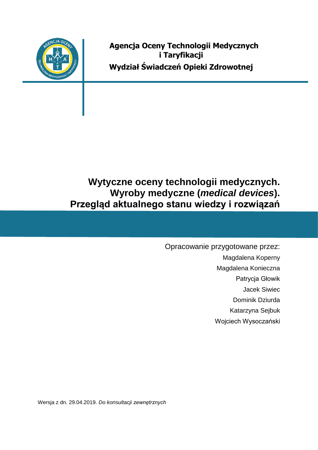

**Agencja Oceny Technologii Medycznych i Taryfikacji Wydział Świadczeń Opieki Zdrowotnej**

**Wytyczne oceny technologii medycznych. Wyroby medyczne (***medical devices***). Przegląd aktualnego stanu wiedzy i rozwiązań** 

> Opracowanie przygotowane przez: Magdalena Koperny Magdalena Konieczna Patrycja Głowik Jacek Siwiec Dominik Dziurda Katarzyna Sejbuk Wojciech Wysoczański

Wersja z dn. 29.04.2019*. Do konsultacji zewnętrznych*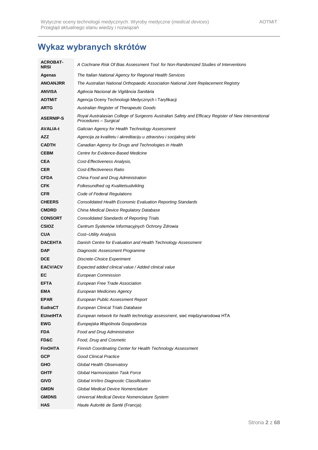# **Wykaz wybranych skrótów**

| <b>ACROBAT-</b><br><b>NRSI</b> | A Cochrane Risk Of Bias Assessment Tool: for Non-Randomized Studies of Interventions                                          |
|--------------------------------|-------------------------------------------------------------------------------------------------------------------------------|
| Agenas                         | The Italian National Agency for Regional Health Services                                                                      |
| <b>ANOANJRR</b>                | The Australian National Orthopaedic Association National Joint Replacement Registry                                           |
| <b>ANVISA</b>                  | Agência Nacional de Vigilância Sanitária                                                                                      |
| <b>AOTMIT</b>                  | Agencja Oceny Technologii Medycznych i Taryfikacji                                                                            |
| <b>ARTG</b>                    | Australian Register of Therapeutic Goods                                                                                      |
| <b>ASERNIP-S</b>               | Royal Australasian College of Surgeons Australian Safety and Efficacy Register of New Interventional<br>Procedures – Surgical |
| <b>AVALIA-t</b>                | Galician Agency for Health Technology Assessment                                                                              |
| AZZ                            | Agencija za kvalitetu i akreditaciju u zdravstvu i socijalnoj skrbi                                                           |
| <b>CADTH</b>                   | Canadian Agency for Drugs and Technologies in Health                                                                          |
| <b>CEBM</b>                    | Centre for Evidence-Based Medicine                                                                                            |
| <b>CEA</b>                     | Cost-Effectiveness Analysis,                                                                                                  |
| <b>CER</b>                     | Cost-Effectiveness Ratio                                                                                                      |
| <b>CFDA</b>                    | China Food and Drug Administration                                                                                            |
| <b>CFK</b>                     | Folkesundhed og Kvalitetsudvikling                                                                                            |
| <b>CFR</b>                     | Code of Federal Regulations                                                                                                   |
| <b>CHEERS</b>                  | Consolidated Health Economic Evaluation Reporting Standards                                                                   |
| <b>CMDRD</b>                   | China Medical Device Regulatory Database                                                                                      |
| <b>CONSORT</b>                 | <b>Consolidated Standards of Reporting Trials</b>                                                                             |
| <b>CSIOZ</b>                   | Centrum Systemów Informacyjnych Ochrony Zdrowia                                                                               |
| <b>CUA</b>                     | Cost–Utility Analysis                                                                                                         |
| <b>DACEHTA</b>                 | Danish Centre for Evaluation and Health Technology Assessment                                                                 |
| <b>DAP</b>                     | Diagnostic Assessment Programme                                                                                               |
| <b>DCE</b>                     | Discrete-Choice Experiment                                                                                                    |
| <b>EACV/ACV</b>                | Expected added clinical value / Added clinical value                                                                          |
| EC                             | European Commission                                                                                                           |
| <b>EFTA</b>                    | European Free Trade Association                                                                                               |
| <b>EMA</b>                     | European Medicines Agency                                                                                                     |
| <b>EPAR</b>                    | European Public Assessment Report                                                                                             |
| <b>EudraCT</b>                 | European Clinical Trials Database                                                                                             |
| <b>EUnetHTA</b>                | European network for health technology assessment, sieć międzynarodowa HTA                                                    |
| <b>EWG</b>                     | Europejska Wspólnota Gospodarcza                                                                                              |
| <b>FDA</b>                     | Food and Drug Administration                                                                                                  |
| FD&C                           | Food, Drug and Cosmetic                                                                                                       |
| <b>FinOHTA</b>                 | Finnish Coordinating Center for Health Technology Assessment                                                                  |
| <b>GCP</b>                     | <b>Good Clinical Practice</b>                                                                                                 |
| <b>GHO</b>                     | Global Health Observatory                                                                                                     |
| <b>GHTF</b>                    | Global Harmonization Task Force                                                                                               |
| <b>GIVD</b>                    | Global InVitro Diagnostic Classification                                                                                      |
| <b>GMDN</b>                    | Global Medical Device Nomenclature                                                                                            |
| <b>GMDNS</b>                   | Universal Medical Device Nomenclature System                                                                                  |
| <b>HAS</b>                     | Haute Autorité de Santé (Francja)                                                                                             |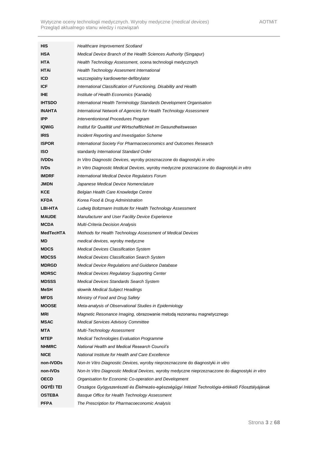| HIS              | Healthcare Improvement Scotland                                                                  |  |
|------------------|--------------------------------------------------------------------------------------------------|--|
| <b>HSA</b>       | Medical Device Branch of the Health Sciences Authority (Singapur)                                |  |
| <b>HTA</b>       | Health Technology Assessment, ocena technologii medycznych                                       |  |
| <b>HTAi</b>      | Health Technology Assesment International                                                        |  |
| <b>ICD</b>       | wszczepialny kardiowerter-defibrylator                                                           |  |
| <b>ICF</b>       | International Classification of Functioning, Disability and Health                               |  |
| <b>IHE</b>       | Institute of Health Economics (Kanada)                                                           |  |
| <b>IHTSDO</b>    | International Health Terminology Standards Development Organisation                              |  |
| <b>INAHTA</b>    | International Network of Agencies for Health Technology Assessment                               |  |
| <b>IPP</b>       | Interventionional Procedures Program                                                             |  |
| <b>IQWIG</b>     | Institut für Qualität und Wirtschaftlichkeit im Gesundheitswesen                                 |  |
| <b>IRIS</b>      | Incident Reporting and Investigation Scheme                                                      |  |
| <b>ISPOR</b>     | International Society For Pharmacoeconomics and Outcomes Research                                |  |
| <b>ISO</b>       | standardy International Standard Order                                                           |  |
| <b>IVDDs</b>     | In Vitro Diagnostic Devices, wyroby przeznaczone do diagnostyki in vitro                         |  |
| <b>IVDs</b>      | In Vitro Diagnostic Medical Devices, wyroby medyczne przeznaczone do diagnostyki in vitro        |  |
| <b>IMDRF</b>     | International Medical Device Regulators Forum                                                    |  |
| <b>JMDN</b>      | Japanese Medical Device Nomenclature                                                             |  |
| <b>KCE</b>       | Belgian Health Care Knowledge Centre                                                             |  |
| <b>KFDA</b>      | Korea Food & Drug Administration                                                                 |  |
| <b>LBI-HTA</b>   | Ludwig Boltzmann Institute for Health Technology Assessment                                      |  |
| <b>MAUDE</b>     | Manufacturer and User Facility Device Experience                                                 |  |
| <b>MCDA</b>      | <b>Multi-Criteria Decision Analysis</b>                                                          |  |
| <b>MedTecHTA</b> | Methods for Health Technology Assessment of Medical Devices                                      |  |
| MD               | <i>medical devices, wyroby medyczne</i>                                                          |  |
| <b>MDCS</b>      | <b>Medical Devices Classification System</b>                                                     |  |
| <b>MDCSS</b>     | <b>Medical Devices Classification Search System</b>                                              |  |
| <b>MDRGD</b>     | Medical Device Regulations and Guidance Database                                                 |  |
| <b>MDRSC</b>     | <b>Medical Devices Regulatory Supporting Center</b>                                              |  |
| <b>MDSSS</b>     | Medical Devices Standards Search System                                                          |  |
| <b>MeSH</b>      | słownik Medical Subject Headings                                                                 |  |
| <b>MFDS</b>      | Ministry of Food and Drug Safety                                                                 |  |
| <b>MOOSE</b>     | Meta-analysis of Observational Studies in Epidemiology                                           |  |
| MRI              | Magnetic Resonance Imaging, obrazowanie metodą rezonansu magnetycznego                           |  |
| <b>MSAC</b>      | <b>Medical Services Advisory Committee</b>                                                       |  |
| MTA              | Multi-Technology Assessment                                                                      |  |
| <b>MTEP</b>      | <b>Medical Technologies Evaluation Programme</b>                                                 |  |
| <b>NHMRC</b>     | <b>National Health and Medical Research Council's</b>                                            |  |
| <b>NICE</b>      | National Institute for Health and Care Excellence                                                |  |
| non-IVDDs        | Non-In Vitro Diagnostic Devices, wyroby nieprzeznaczone do diagnostyki in vitro                  |  |
| non-IVDs         | Non-In Vitro Diagnostic Medical Devices, wyroby medyczne nieprzeznaczone do diagnostyki in vitro |  |
| <b>OECD</b>      | Organisation for Economic Co-operation and Development                                           |  |
| <b>OGYEI TEI</b> | Országos Gyógyszerészeti és Elelmezés-egészségügyi Intézet Technológia-értékelő Főosztályájának  |  |
| <b>OSTEBA</b>    | Basque Office for Health Technology Assessment                                                   |  |
| <b>PFPA</b>      | The Prescription for Pharmacoeconomic Analysis                                                   |  |
|                  |                                                                                                  |  |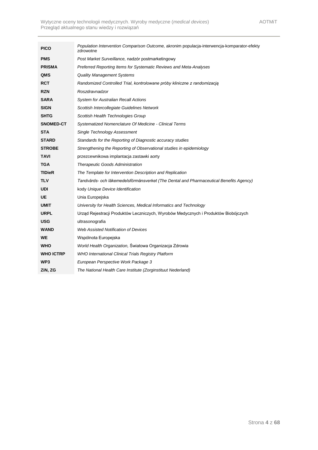| <b>PICO</b>      | Population Intervention Comparison Outcome, akronim populacja-interwencja-komparator-efekty<br>zdrowotne |  |
|------------------|----------------------------------------------------------------------------------------------------------|--|
| <b>PMS</b>       | Post Market Surveillance, nadzór postmarketingowy                                                        |  |
| <b>PRISMA</b>    | Preferred Reporting Items for Systematic Reviews and Meta-Analyses                                       |  |
| QMS              | <b>Quality Management Systems</b>                                                                        |  |
| RCT              | Randomized Controlled Trial, kontrolowane próby kliniczne z randomizacją                                 |  |
| <b>RZN</b>       | Roszdravnadzor                                                                                           |  |
| <b>SARA</b>      | <b>System for Australian Recall Actions</b>                                                              |  |
| <b>SIGN</b>      | Scottish Intercollegiate Guidelines Network                                                              |  |
| <b>SHTG</b>      | Scottish Health Technologies Group                                                                       |  |
| <b>SNOMED-CT</b> | Systematized Nomenclature Of Medicine - Clinical Terms                                                   |  |
| <b>STA</b>       | <b>Single Technology Assessment</b>                                                                      |  |
| <b>STARD</b>     | Standards for the Reporting of Diagnostic accuracy studies                                               |  |
| <b>STROBE</b>    | Strengthening the Reporting of Observational studies in epidemiology                                     |  |
| TAVI             | przezcewnikowa implantacja zastawki aorty                                                                |  |
| <b>TGA</b>       | <b>Therapeutic Goods Administration</b>                                                                  |  |
| <b>TIDieR</b>    | The Template for Intervention Description and Replication                                                |  |
| <b>TLV</b>       | Tandvårds- och läkemedelsförmånsverket (The Dental and Pharmaceutical Benefits Agency)                   |  |
| <b>UDI</b>       | kody Unique Device Identification                                                                        |  |
| UE               | Unia Europejska                                                                                          |  |
| UMIT             | University for Health Sciences, Medical Informatics and Technology                                       |  |
| <b>URPL</b>      | Urząd Rejestracji Produktów Leczniczych, Wyrobów Medycznych i Produktów Biobójczych                      |  |
| USG              | ultrasonografia                                                                                          |  |
| <b>WAND</b>      | <b>Web Assisted Notification of Devices</b>                                                              |  |
| <b>WE</b>        | Wspólnota Europejska                                                                                     |  |
| <b>WHO</b>       | World Health Organization, Światowa Organizacja Zdrowia                                                  |  |
| <b>WHO ICTRP</b> | <b>WHO International Clinical Trials Registry Platform</b>                                               |  |
| WP3              | European Perspective Work Package 3                                                                      |  |
| ZiN, ZG          | The National Health Care Institute (Zorginstituut Nederland)                                             |  |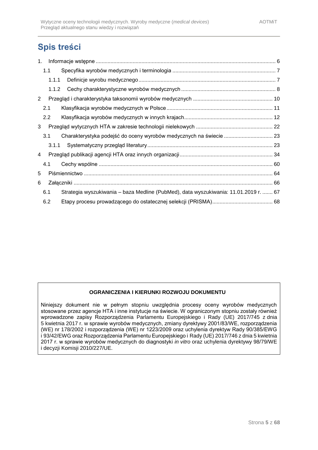# **Spis treści**

| 1.                    |                  |       |                                                                                      |  |
|-----------------------|------------------|-------|--------------------------------------------------------------------------------------|--|
|                       | 1.1              |       |                                                                                      |  |
|                       |                  | 1.1.1 |                                                                                      |  |
|                       |                  | 1.1.2 |                                                                                      |  |
| $\mathbf{2}^{\prime}$ |                  |       |                                                                                      |  |
|                       | 2.1              |       |                                                                                      |  |
|                       | $2.2\phantom{0}$ |       |                                                                                      |  |
| 3                     |                  |       |                                                                                      |  |
|                       | 3.1              |       |                                                                                      |  |
|                       |                  | 3.1.1 |                                                                                      |  |
| 4                     |                  |       |                                                                                      |  |
|                       | 4.1              |       |                                                                                      |  |
| 5                     |                  |       |                                                                                      |  |
| 6                     |                  |       |                                                                                      |  |
|                       | 6.1              |       | Strategia wyszukiwania – baza Medline (PubMed), data wyszukiwania: 11.01.2019 r.  67 |  |
|                       | 6.2              |       |                                                                                      |  |

### **OGRANICZENIA I KIERUNKI ROZWOJU DOKUMENTU**

Niniejszy dokument nie w pełnym stopniu uwzględnia procesy oceny wyrobów medycznych stosowane przez agencje HTA i inne instytucje na świecie. W ograniczonym stopniu zostały również wprowadzone zapisy Rozporządzenia Parlamentu Europejskiego i Rady (UE) 2017/745 z dnia 5 kwietnia 2017 r. w sprawie wyrobów medycznych, zmiany dyrektywy 2001/83/WE, rozporządzenia (WE) nr 178/2002 i rozporządzenia (WE) nr 1223/2009 oraz uchylenia dyrektyw Rady 90/385/EWG i 93/42/EWG oraz Rozporządzenia Parlamentu Europejskiego i Rady (UE) 2017/746 z dnia 5 kwietnia 2017 r. w sprawie wyrobów medycznych do diagnostyki *in vitro* oraz uchylenia dyrektywy 98/79/WE i decyzji Komisji 2010/227/UE.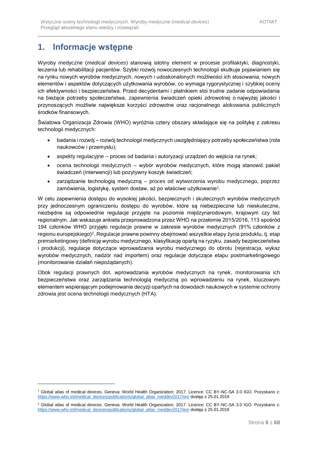# <span id="page-5-0"></span>**1. Informacje wstępne**

1

Wyroby medyczne (*medical devices*) stanowią istotny element w procesie profilaktyki, diagnostyki, leczenia lub rehabilitacji pacjentów. Szybki rozwój nowoczesnych technologii skutkuje pojawianiem się na rynku nowych wyrobów medycznych, nowych i udoskonalonych możliwości ich stosowania, nowych elementów i aspektów dotyczących użytkowania wyrobów, co wymaga rygorystycznej i szybkiej oceny ich efektywności i bezpieczeństwa. Przed decydentami i płatnikiem stoi trudne zadanie odpowiadania na bieżące potrzeby społeczeństwa, zapewnienia świadczeń opieki zdrowotnej o najwyżej jakości i przynoszących możliwie największe korzyści zdrowotne oraz racjonalnego alokowania publicznych środków finansowych.

Światowa Organizacja Zdrowia (WHO) wyróżnia cztery obszary składające się na politykę z zakresu technologii medycznych:

- badania i rozwój rozwój technologii medycznych uwzględniający potrzeby społeczeństwa (rola naukowców i przemysłu);
- aspekty regulacyjne proces od badania i autoryzacji urządzeń do wejścia na rynek;
- ocena technologii medycznych wybór wyrobów medycznych, które mogą stanowić pakiet świadczeń (interwencji) lub pozytywny koszyk świadczeń;
- zarządzanie technologią medyczną proces od wytworzenia wyrobu medycznego, poprzez zamówienia, logistykę, system dostaw, aż po właściwe użytkowanie<sup>1</sup> .

W celu zapewnienia dostępu do wysokiej jakości, bezpiecznych i skutecznych wyrobów medycznych przy jednoczesnym ograniczeniu dostępu do wyrobów, które są niebezpieczne lub nieskuteczne, niezbędne są odpowiednie regulacje przyjęte na poziomie międzynarodowym, krajowym czy też regionalnym. Jak wskazuje ankieta przeprowadzona przez WHO na przełomie 2015/2016, 113 spośród 194 członków WHO przyjęło regulacje prawne w zakresie wyrobów medycznych (91% członków z regionu europejskiego)<sup>2</sup>. Regulacje prawne powinny obejmować wszystkie etapy życia produktu, tj. etap premarketingowy (definicję wyrobu medycznego, klasyfikację opartą na ryzyku, zasady bezpieczeństwa i produkcji), regulacje dotyczące wprowadzania wyrobu medycznego do obrotu (rejestracja, wykaz wyrobów medycznych, nadzór nad importem) oraz regulacje dotyczące etapu postmarketingowego (monitorowanie działań niepożądanych).

Obok regulacji prawnych dot. wprowadzania wyrobów medycznych na rynek, monitorowania ich bezpieczeństwa oraz zarządzania technologią medyczną po wprowadzeniu na rynek, kluczowym elementem wspierającym podejmowanie decyzji opartych na dowodach naukowych w systemie ochrony zdrowia jest ocena technologii medycznych (HTA).

<sup>1</sup> Global atlas of medical devices. Geneva: World Health Organization; 2017. Licence: CC BY-NC-SA 3.0 IGO. Pozyskano z: [https://www.who.int/medical\\_devices/publications/global\\_atlas\\_meddev2017/en/](https://www.who.int/medical_devices/publications/global_atlas_meddev2017/en/) dostęp z 25.01.2019

<sup>&</sup>lt;sup>2</sup> Global atlas of medical devices. Geneva: World Health Organization; 2017. Licence: CC BY-NC-SA 3.0 IGO. Pozyskano z: [https://www.who.int/medical\\_devices/publications/global\\_atlas\\_meddev2017/en/](https://www.who.int/medical_devices/publications/global_atlas_meddev2017/en/) dostęp z 25.01.2019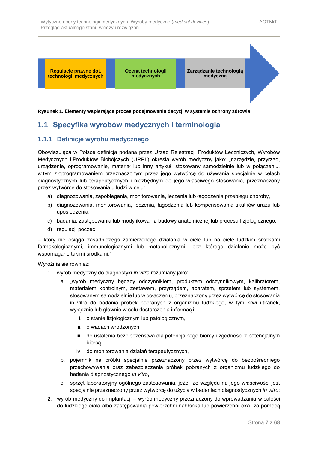

#### **Rysunek 1. Elementy wspierające proces podejmowania decyzji w systemie ochrony zdrowia**

## <span id="page-6-0"></span>**1.1 Specyfika wyrobów medycznych i terminologia**

### <span id="page-6-1"></span>**1.1.1 Definicje wyrobu medycznego**

Obowiązująca w Polsce definicja podana przez Urząd Rejestracji Produktów Leczniczych, Wyrobów Medycznych i Produktów Biobójczych (URPL) określa wyrób medyczny jako: "narzędzie, przyrząd, urządzenie, oprogramowanie, materiał lub inny artykuł, stosowany samodzielnie lub w połączeniu, w tym z oprogramowaniem przeznaczonym przez jego wytwórcę do używania specjalnie w celach diagnostycznych lub terapeutycznych i niezbędnym do jego właściwego stosowania, przeznaczony przez wytwórcę do stosowania u ludzi w celu:

- a) diagnozowania, zapobiegania, monitorowania, leczenia lub łagodzenia przebiegu choroby,
- b) diagnozowania, monitorowania, leczenia, łagodzenia lub kompensowania skutków urazu lub upośledzenia,
- c) badania, zastępowania lub modyfikowania budowy anatomicznej lub procesu fizjologicznego,
- d) regulacji poczęć

– który nie osiąga zasadniczego zamierzonego działania w ciele lub na ciele ludzkim środkami farmakologicznymi, immunologicznymi lub metabolicznymi, lecz którego działanie może być wspomagane takimi środkami."

Wyróżnia się również:

- 1. wyrób medyczny do diagnostyki *in vitro* rozumiany jako:
	- a. "wyrób medyczny będący odczynnikiem, produktem odczynnikowym, kalibratorem, materiałem kontrolnym, zestawem, przyrządem, aparatem, sprzętem lub systemem, stosowanym samodzielnie lub w połączeniu, przeznaczony przez wytwórcę do stosowania in vitro do badania próbek pobranych z organizmu ludzkiego, w tym krwi i tkanek, wyłącznie lub głównie w celu dostarczenia informacji:
		- i. o stanie fizjologicznym lub patologicznym,
		- ii. o wadach wrodzonych,
		- iii. do ustalenia bezpieczeństwa dla potencjalnego biorcy i zgodności z potencjalnym biorcą,
		- iv. do monitorowania działań terapeutycznych,
	- b. pojemnik na próbki specjalnie przeznaczony przez wytwórcę do bezpośredniego przechowywania oraz zabezpieczenia próbek pobranych z organizmu ludzkiego do badania diagnostycznego *in vitro*,
	- c. sprzęt laboratoryjny ogólnego zastosowania, jeżeli ze względu na jego właściwości jest specjalnie przeznaczony przez wytwórcę do użycia w badaniach diagnostycznych *in vitro*;
- 2. wyrób medyczny do implantacji wyrób medyczny przeznaczony do wprowadzania w całości do ludzkiego ciała albo zastępowania powierzchni nabłonka lub powierzchni oka, za pomocą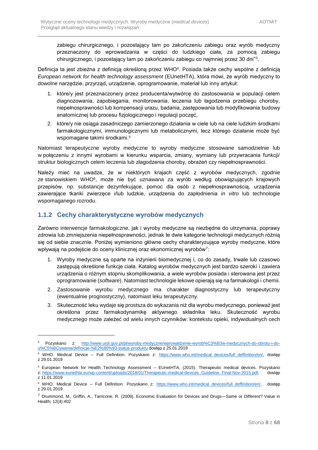zabiegu chirurgicznego, i pozostający tam po zakończeniu zabiegu oraz wyrób medyczny przeznaczony do wprowadzania w części do ludzkiego ciała, za pomocą zabiegu chirurgicznego, i pozostający tam po zakończeniu zabiegu co najmniej przez 30 dni" 3 .

Definicja ta jest zbieżna z definicją określoną przez WHO<sup>4</sup>. Posiada także cechy wspólne z definicją *European network for health technology assessment* (EUnetHTA), która mówi, że wyrób medyczny to dowolne narzędzie, przyrząd, urządzenie, oprogramowanie, materiał lub inny artykuł:

- 1. które/y jest przeznaczone/y przez producenta/wytwórcę do zastosowania w populacji celem diagnozowania, zapobiegania, monitorowania, leczenia lub łagodzenia przebiegu choroby, niepełnosprawności lub kompensacji urazu, badania, zastępowania lub modyfikowania budowy anatomicznej lub procesu fizjologicznego i regulacji poczęć,
- 2. które/y nie osiąga zasadniczego zamierzonego działania w ciele lub na ciele ludzkim środkami farmakologicznymi, immunologicznymi lub metabolicznymi, lecz którego działanie może być wspomagane takimi środkami.<sup>5</sup>

Natomiast terapeutyczne wyroby medyczne to wyroby medyczne stosowane samodzielnie lub w połączeniu z innymi wyrobami w kierunku wsparcia, zmiany, wymiany lub przywracania funkcji/ struktur biologicznych celem leczenia lub złagodzenia choroby, obrażeń czy niepełnosprawności.

Należy mieć na uwadze, że w niektórych krajach część z wyrobów medycznych, zgodnie ze stanowiskiem WHO<sup>6</sup> , może nie być uznawana za wyrób według obowiązujących krajowych przepisów, np. substancje dezynfekujące, pomoc dla osób z niepełnosprawnością, urządzenia zawierające tkanki zwierzęce i/lub ludzkie, urządzenia do zapłodnienia *in vitro* lub technologie wspomaganego rozrodu.

### <span id="page-7-0"></span>**1.1.2 Cechy charakterystyczne wyrobów medycznych**

Zarówno interwencje farmakologiczne, jak i wyroby medyczne są niezbędne do utrzymania, poprawy zdrowia lub zmniejszenia niepełnosprawności, jednak te dwie kategorie technologii medycznych różnią się od siebie znacznie. Poniżej wymieniono główne cechy charakteryzujące wyroby medyczne, które wpływają na podejście do oceny klinicznej oraz ekonomicznej wyrobów<sup>7</sup>:

- 1. Wyroby medyczne są oparte na inżynierii biomedycznej i, co do zasady, trwale lub czasowo zastępują określone funkcje ciała. Katalog wyrobów medycznych jest bardzo szeroki i zawiera urządzenia o różnym stopniu skomplikowania, a wiele wyrobów posiada i sterowana jest przez oprogramowanie (*software*). Natomiast technologie lekowe opierają się na farmakologii i chemii.
- 2. Zastosowanie wyrobu medycznego ma charakter diagnostyczny lub terapeutyczny (ewentualnie prognostyczny), natomiast leku terapeutyczny.
- 3. Skuteczność leku wydaje się prostsza do wykazania niż dla wyrobu medycznego, ponieważ jest określona przez farmakodynamikę aktywnego składnika leku. Skuteczność wyrobu medycznego może zależeć od wielu innych czynników: kontekstu opieki, indywidualnych cech

<sup>3</sup> Pozyskano z: [http://www.urpl.gov.pl/pl/wyroby-medyczne/wprowadzenie-wyrob%C3%B3w-medycznych-do-obrotu-i-do](http://www.urpl.gov.pl/pl/wyroby-medyczne/wprowadzenie-wyrob%C3%B3w-medycznych-do-obrotu-i-do-u%C5%BCywania/definicje-%E2%80%93-status-produktu)[u%C5%BCywania/definicje-%E2%80%93-status-produktu](http://www.urpl.gov.pl/pl/wyroby-medyczne/wprowadzenie-wyrob%C3%B3w-medycznych-do-obrotu-i-do-u%C5%BCywania/definicje-%E2%80%93-status-produktu) dostęp z 25.01.2019

<sup>&</sup>lt;sup>4</sup> WHO. Medical Device – Full Definition. Pozyskano z: [https://www.who.int/medical\\_devices/full\\_deffinition/en/,](https://www.who.int/medical_devices/full_deffinition/en/) dostęp z 29.01.2019

<sup>5</sup> European Network for Health Technology Assessment – EUnetHTA, (2015). Therapeutic medical devices. Pozyskano z: [https://www.eunethta.eu/wp-content/uploads/2018/01/Therapeutic-medical-devices\\_Guideline\\_Final-Nov-2015.pdf,](https://www.eunethta.eu/wp-content/uploads/2018/01/Therapeutic-medical-devices_Guideline_Final-Nov-2015.pdf) dostęp

z 11.01.2019

<sup>&</sup>lt;sup>6</sup> WHO. Medical Device – Full Definition. Pozyskano z: https://www.who.int/medical devices/full deffinition/en/, dostep z 29.01.2019

<sup>7</sup> Drummond, M., Griffin, A., Tarricone, R. (2009). Economic Evaluation for Devices and Drugs—Same or Different? Value in Health; 12(4):402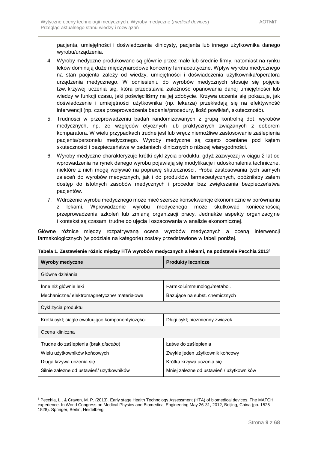pacjenta, umiejętności i doświadczenia klinicysty, pacjenta lub innego użytkownika danego wyrobu/urządzenia.

- 4. Wyroby medyczne produkowane są głównie przez małe lub średnie firmy, natomiast na rynku leków dominują duże międzynarodowe koncerny farmaceutyczne. Wpływ wyrobu medycznego na stan pacjenta zależy od wiedzy, umiejętności i doświadczenia użytkownika/operatora urządzenia medycznego. W odniesieniu do wyrobów medycznych stosuje się pojęcie tzw. krzywej uczenia się, która przedstawia zależność opanowania danej umiejętności lub wiedzy w funkcji czasu, jaki poświęciliśmy na jej zdobycie. Krzywa uczenia się pokazuje, jak doświadczenie i umiejętności użytkownika (np. lekarza) przekładają się na efektywność interwencji (np. czas przeprowadzenia badania/procedury, ilość powikłań, skuteczność).
- 5. Trudności w przeprowadzeniu badań randomizowanych z grupą kontrolną dot. wyrobów medycznych, np. ze względów etycznych lub praktycznych związanych z doborem komparatora. W wielu przypadkach trudne jest lub wręcz niemożliwe zastosowanie zaślepienia pacjenta/personelu medycznego. Wyroby medyczne są często oceniane pod kątem skuteczności i bezpieczeństwa w badaniach klinicznych o niższej wiarygodności.
- 6. Wyroby medyczne charakteryzuje krótki cykl życia produktu, gdyż zazwyczaj w ciągu 2 lat od wprowadzenia na rynek danego wyrobu pojawiają się modyfikacje i udoskonalenia techniczne, niektóre z nich mogą wpływać na poprawę skuteczności. Próba zastosowania tych samych zaleceń do wyrobów medycznych, jak i do produktów farmaceutycznych, opóźniłaby zatem dostęp do istotnych zasobów medycznych i procedur bez zwiększania bezpieczeństwa pacjentów.
- 7. Wdrożenie wyrobu medycznego może mieć szersze konsekwencje ekonomiczne w porównaniu z lekami. Wprowadzenie wyrobu medycznego może skutkować koniecznością przeprowadzenia szkoleń lub zmianą organizacji pracy. Jednakże aspekty organizacyjne i kontekst są czasami trudne do ujęcia i oszacowania w analizie ekonomicznej.

Główne różnice między rozpatrywaną oceną wyrobów medycznych a oceną interwencji farmakologicznych (w podziale na kategorie) zostały przedstawione w tabeli poniżej.

| Wyroby medyczne                                  | <b>Produkty lecznicze</b>                |  |  |
|--------------------------------------------------|------------------------------------------|--|--|
| Główne działania                                 |                                          |  |  |
| Inne niż głównie leki                            | Farmkol./immunolog./metabol.             |  |  |
| Mechaniczne/elektromagnetyczne/materiałowe       | Bazujące na subst. chemicznych           |  |  |
| Cykl życia produktu                              |                                          |  |  |
| Krótki cykl; ciągle ewoluujące komponenty/części | Długi cykl; niezmienny związek           |  |  |
| Ocena kliniczna                                  |                                          |  |  |
| Trudne do zaślepienia (brak <i>placebo</i> )     | Łatwe do zaślepienia                     |  |  |
| Wielu użytkowników końcowych                     | Zwykle jeden użytkownik końcowy          |  |  |
| Długa krzywa uczenia się                         | Krótka krzywa uczenia się                |  |  |
| Silnie zależne od ustawień/ użytkowników         | Mniej zależne od ustawień / użytkowników |  |  |

|  |  |  | Tabela 1. Zestawienie różnic między HTA wyrobów medycznych a lekami, na podstawie Pecchia 2013 $^{\rm 8}$ |
|--|--|--|-----------------------------------------------------------------------------------------------------------|
|--|--|--|-----------------------------------------------------------------------------------------------------------|

<sup>8</sup> Pecchia, L., & Craven, M. P. (2013). Early stage Health Technology Assessment (HTA) of biomedical devices. The MATCH experience. In World Congress on Medical Physics and Biomedical Engineering May 26-31, 2012, Beijing, China (pp. 1525- 1528). Springer, Berlin, Heidelberg.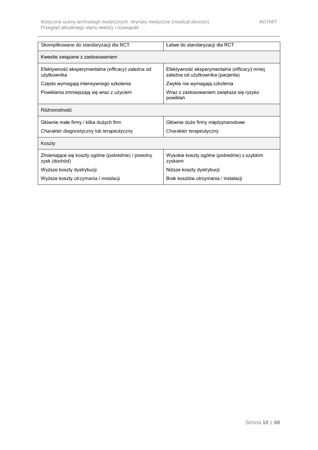<span id="page-9-0"></span>

| Skomplikowane do standaryzacji dla RCT                               | Łatwe do standaryzacji dla RCT                                                    |
|----------------------------------------------------------------------|-----------------------------------------------------------------------------------|
|                                                                      |                                                                                   |
| Kwestie związane z zastosowaniem                                     |                                                                                   |
| Efektywność eksperymentalna (efficacy) zależna od<br>użytkownika     | Efektywność eksperymentalna (efficacy) mniej<br>zależna od użytkownika (pacjenta) |
| Często wymagają intensywnego szkolenia                               | Zwykle nie wymagają szkolenia                                                     |
| Powikłania zmniejszają się wraz z użyciem                            | Wraz z zastosowaniem zwiększa się ryzyko<br>powikłań                              |
| Różnorodność                                                         |                                                                                   |
| Głównie małe firmy / kilka dużych firm                               | Głównie duże firmy międzynarodowe                                                 |
| Charakter diagnostyczny lub terapeutyczny                            | Charakter terapeutyczny                                                           |
| Koszty                                                               |                                                                                   |
| Zmieniające się koszty ogólne (pośrednie) / powolny<br>zysk (dochód) | Wysokie koszty ogólne (pośrednie) z szybkim<br>zyskiem                            |
| Wyższe koszty dystrybucji                                            | Niższe koszty dystrybucji                                                         |
| Wyższe koszty utrzymania / instalacji                                | Brak kosztów utrzymania / instalacji                                              |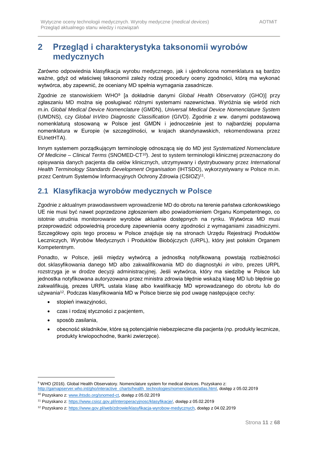# **2 Przegląd i charakterystyka taksonomii wyrobów medycznych**

Zarówno odpowiednia klasyfikacja wyrobu medycznego, jak i ujednolicona nomenklatura są bardzo ważne, gdyż od właściwej taksonomii zależy rodzaj procedury oceny zgodności, którą ma wykonać wytwórca, aby zapewnić, że oceniany MD spełnia wymagania zasadnicze.

Zgodnie ze stanowiskiem WHO<sup>9</sup> [a dokładnie danymi *Global Health Observatory* (GHO)] przy zgłaszaniu MD można się posługiwać różnymi systemami nazewnictwa. Wyróżnia się wśród nich m.in. *Global Medical Device Nomenclature* (GMDN), *Universal Medical Device Nomenclature System* (UMDNS), czy *Global InVitro Diagnostic Classification* (GIVD). Zgodnie z ww. danymi podstawową nomenklaturą stosowaną w Polsce jest GMDN i jednocześnie jest to najbardziej popularna nomenklatura w Europie (w szczególności, w krajach skandynawskich, rekomendowana przez EUnetHTA).

Innym systemem porządkującym terminologię odnoszącą się do MD jest *Systematized Nomenclature Of Medicine – Clinical Terms* (SNOMED-CT<sup>10</sup>). Jest to system terminologii klinicznej przeznaczony do opisywania danych pacjenta dla celów klinicznych, utrzymywany i dystrybuowany przez *International Health Terminology Standards Development Organisation* (IHTSDO), wykorzystywany w Polsce m.in. przez Centrum Systemów Informacyjnych Ochrony Zdrowia (CSIOZ)<sup>11</sup>.

## <span id="page-10-0"></span>**2.1 Klasyfikacja wyrobów medycznych w Polsce**

Zgodnie z aktualnym prawodawstwem wprowadzenie MD do obrotu na terenie państwa członkowskiego UE nie musi być nawet poprzedzone zgłoszeniem albo powiadomieniem Organu Kompetentnego, co istotnie utrudnia monitorowanie wyrobów aktualnie dostępnych na rynku. Wytwórca MD musi przeprowadzić odpowiednią procedurę zapewnienia oceny zgodności z wymaganiami zasadniczymi. Szczegółowy opis tego procesu w Polsce znajduje się na stronach Urzędu Rejestracji Produktów Leczniczych, Wyrobów Medycznych i Produktów Biobójczych (URPL), który jest polskim Organem Kompetentnym.

Ponadto, w Polsce, jeśli między wytwórcą a jednostką notyfikowaną powstają rozbieżności dot. sklasyfikowania danego MD albo zakwalifikowania MD do diagnostyki *in vitro*, prezes URPL rozstrzyga je w drodze decyzji administracyjnej. Jeśli wytwórca, który ma siedzibę w Polsce lub jednostka notyfikowana autoryzowana przez ministra zdrowia błędnie wskażą klasę MD lub błędnie go zakwalifikują, prezes URPL ustala klasę albo kwalifikację MD wprowadzanego do obrotu lub do używania<sup>12</sup>. Podczas klasyfikowania MD w Polsce bierze się pod uwagę następujące cechy:

- stopień inwazyjności,
- czas i rodzaj styczności z pacjentem,
- sposób zasilania,

-

• obecność składników, które są potencjalnie niebezpieczne dla pacjenta (np. produkty lecznicze, produkty krwiopochodne, tkanki zwierzęce).

<sup>9</sup> WHO (2016). Global Health Observatory. Nomenclature system for medical devices. Pozyskano z: [http://gamapserver.who.int/gho/interactive\\_charts/health\\_technologies/nomenclature/atlas.html,](http://gamapserver.who.int/gho/interactive_charts/health_technologies/nomenclature/atlas.html) dostęp z 05.02.2019

<sup>10</sup> Pozyskano z[: www.ihtsdo.org/snomed-ct,](http://www.ihtsdo.org/snomed-ct) dostęp z 05.02.2019

<sup>11</sup> Pozyskano z[: https://www.csioz.gov.pl/interoperacyjnosc/klasyfikacje/,](https://www.csioz.gov.pl/interoperacyjnosc/klasyfikacje/) dostęp z 05.02.2019

<sup>12</sup> Pozyskano z[: https://www.gov.pl/web/zdrowie/klasyfikacja-wyrobow-medycznych,](https://www.gov.pl/web/zdrowie/klasyfikacja-wyrobow-medycznych) dostęp z 04.02.2019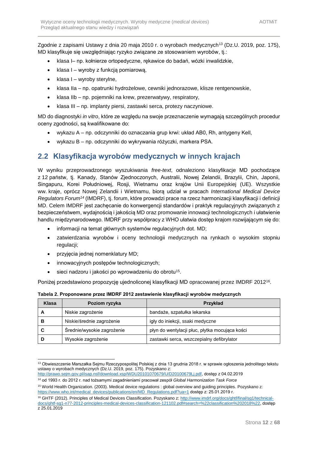Zgodnie z zapisami Ustawy z dnia 20 maja 2010 r. o wyrobach medycznych<sup>13</sup> (Dz.U. 2019, poz. 175), MD klasyfikuje się uwzględniając ryzyko związane ze stosowaniem wyrobów, tj.:

- klasa I– np. kołnierze ortopedyczne, rękawice do badań, wózki inwalidzkie,
- klasa I wyroby z funkcją pomiarową,
- klasa I wyroby sterylne,
- klasa IIa np. opatrunki hydrożelowe, cewniki jednorazowe, klisze rentgenowskie,
- klasa IIb np. pojemniki na krew, prezerwatywy, respiratory,
- klasa III np. implanty piersi, zastawki serca, protezy naczyniowe.

MD do diagnostyki *in vitro*, które ze względu na swoje przeznaczenie wymagają szczególnych procedur oceny zgodności, są kwalifikowane do:

- wykazu A np. odczynniki do oznaczania grup krwi: układ AB0, Rh, antygeny Kell,
- wykazu B np. odczynniki do wykrywania różyczki, markera PSA.

## <span id="page-11-0"></span>**2.2 Klasyfikacja wyrobów medycznych w innych krajach**

W wyniku przeprowadzonego wyszukiwania *free-text*, odnaleziono klasyfikacje MD pochodzące z 12 państw, tj. Kanady, Stanów Zjednoczonych, Australii, Nowej Zelandii, Brazylii, Chin, Japonii, Singapuru, Korei Południowej, Rosji, Wietnamu oraz krajów Unii Europejskiej (UE). Wszystkie ww. kraje, oprócz Nowej Zelandii i Wietnamu, biorą udział w pracach *International Medical Device Regulators Forum<sup>14</sup>* (IMDRF), tj. forum, które prowadzi prace na rzecz harmonizacji klasyfikacji i definicji MD. Celem IMDRF jest zachęcanie do konwergencji standardów i praktyk regulacyjnych związanych z bezpieczeństwem, wydajnością i jakością MD oraz promowanie innowacji technologicznych i ułatwienie handlu międzynarodowego. IMDRF przy współpracy z WHO ułatwia dostęp krajom rozwijającym się do:

- informacji na temat głównych systemów regulacyjnych dot. MD;
- zatwierdzania wyrobów i oceny technologii medycznych na rynkach o wysokim stopniu regulacji;
- przyjęcia jednej nomenklatury MD;
- innowacyjnych postępów technologicznych;
- sieci nadzoru i jakości po wprowadzeniu do obrotu<sup>15</sup>.

Poniżej przedstawiono propozycję ujednoliconej klasyfikacji MD opracowanej przez IMDRF 2012<sup>16</sup> .

| Klasa | Poziom ryzyka              | Przykład                                       |
|-------|----------------------------|------------------------------------------------|
| А     | Niskie zagrożenie          | bandaże, szpatułka lekarska                    |
| В     | Niskie/średnie zagrożenie  | igły do iniekcji, ssaki medyczne               |
| C     | Średnie/wysokie zagrożenie | płyn do wentylacji płuc, płytka mocująca kości |
|       | Wysokie zagrożenie         | zastawki serca, wszczepialny defibrylator      |

**Tabela 2. Proponowane przez IMDRF 2012 zestawienie klasyfikacji wyrobów medycznych**

<sup>1</sup> <sup>13</sup> Obwieszczenie Marszałka Sejmu Rzeczypospolitej Polskiej z dnia 13 grudnia 2018 r. w sprawie ogłoszenia jednolitego tekstu ustawy o wyrobach medycznych (Dz.U. 2019, poz. 175). Pozyskano z:

[http://prawo.sejm.gov.pl/isap.nsf/download.xsp/WDU20101070679/U/D20100679Lj.pdf,](http://prawo.sejm.gov.pl/isap.nsf/download.xsp/WDU20101070679/U/D20100679Lj.pdf) dostęp z 04.02.2019

<sup>14</sup> od 1993 r. do 2012 r. nad tożsamymi zagadnieniami pracował zespół *Global Harmonization Task Force*

<sup>15</sup> World Health Organization. (2003). Medical device regulations : global overview and guiding principles. Pozyskano z: [https://www.who.int/medical\\_devices/publications/en/MD\\_Regulations.pdf?ua=1](https://www.who.int/medical_devices/publications/en/MD_Regulations.pdf?ua=1) dostęp z: 25.01.2019 r.

<sup>&</sup>lt;sup>16</sup> GHTF (2012). Principles of Medical Devices Classification. Pozyskano z: [http://www.imdrf.org/docs/ghtf/final/sg1/technical](http://www.imdrf.org/docs/ghtf/final/sg1/technical-docs/ghtf-sg1-n77-2012-principles-medical-devices-classification-121102.pdf#search=%22classification%202018%22)[docs/ghtf-sg1-n77-2012-principles-medical-devices-classification-121102.pdf#search=%22classification%202018%22,](http://www.imdrf.org/docs/ghtf/final/sg1/technical-docs/ghtf-sg1-n77-2012-principles-medical-devices-classification-121102.pdf#search=%22classification%202018%22) dostęp z 25.01.2019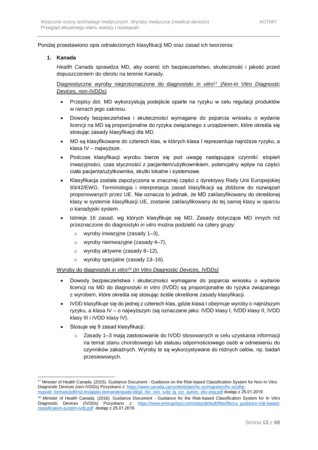Poniżej przestawiono opis odnalezionych klasyfikacji MD oraz zasad ich tworzenia:

#### **1. Kanada**

*Health Canada* sprawdza MD, aby ocenić ich bezpieczeństwo, skuteczność i jakość przed dopuszczeniem do obrotu na terenie Kanady.

Diagnostyczne wyroby nieprzeznaczone do diagnostyki *in vitro*<sup>17</sup> (*Non-In Vitro Diagnostic Devices, non-IVDDs)*

- Przepisy dot. MD wykorzystują podejście oparte na ryzyku w celu regulacji produktów w ramach jego zakresu.
- Dowody bezpieczeństwa i skuteczności wymagane do poparcia wniosku o wydanie licencji na MD są proporcjonalne do ryzyka związanego z urządzeniem, które określa się stosując zasady klasyfikacji dla MD.
- MD są klasyfikowane do czterech klas, w których klasa I reprezentuje najniższe ryzyko, a klasa IV – najwyższe.
- Podczas klasyfikacji wyrobu bierze się pod uwagę następujące czynniki: stopień inwazyjności, czas styczności z pacjentem/użytkownikiem, potencjalny wpływ na części ciała pacjenta/użytkownika, skutki lokalne i systemowe.
- Klasyfikacja została zapożyczona w znacznej części z dyrektywy Rady Unii Europejskiej 93/42/EWG. Terminologia i interpretacja zasad klasyfikacji są zbliżone do rozwiązań proponowanych przez UE. Nie oznacza to jednak, że MD zaklasyfikowany do określonej klasy w systemie klasyfikacji UE, zostanie zaklasyfikowany do tej samej klasy w oparciu o kanadyjski system.
- Istnieje 16 zasad, wg których klasyfikuje się MD. Zasady dotyczące MD innych niż przeznaczone do diagnostyki *in vitro* można podzielić na cztery grupy:
	- o wyroby inwazyjne (zasady 1–3),
	- o wyroby nieinwazyjne (zasady 4–7),
	- o wyroby aktywne (zasady 8–12),
	- o wyroby specjalne (zasady 13–16).

#### Wyroby do diagnostyki *in vitro*<sup>18</sup> (*In Vitro Diagnostic Devices, IVDDs)*

- Dowody bezpieczeństwa i skuteczności wymagane do poparcia wniosku o wydanie licencji na MD do diagnostyki *in vitro* (IVDD) są proporcjonalne do ryzyka związanego z wyrobem, które określa się stosując ściśle określone zasady klasyfikacji.
- IVDD klasyfikuje się do jednej z czterech klas, gdzie klasa I obejmuje wyroby o najniższym ryzyku, a klasa IV – o najwyższym (są oznaczane jako: IVDD klasy I, IVDD klasy II, IVDD klasy III i IVDD klasy IV).
- Stosuje się 9 zasad klasyfikacji:
	- o Zasady 1–3 mają zastosowanie do IVDD stosowanych w celu uzyskania informacji na temat stanu chorobowego lub statusu odpornościowego osób w odniesieniu do czynników zakaźnych. Wyroby te są wykorzystywane do różnych celów, np. badań przesiewowych.

<sup>1</sup> <sup>17</sup> Minister of Health Canada. (2015). Guidance Document - Guidance on the Risk-based Classification System for Non-In Vitro Diagnostic Devices (non-IVDDs) Pozyskano z[: https://www.canada.ca/content/dam/hc-sc/migration/hc-sc/dhp](https://www.canada.ca/content/dam/hc-sc/migration/hc-sc/dhp-mps/alt_formats/pdf/md-im/applic-demande/guide-ld/gd_rbc_non_ivdd_lg_scr_autres_idiv-eng.pdf)[mps/alt\\_formats/pdf/md-im/applic-demande/guide-ld/gd\\_rbc\\_non\\_ivdd\\_lg\\_scr\\_autres\\_idiv-eng.pdf](https://www.canada.ca/content/dam/hc-sc/migration/hc-sc/dhp-mps/alt_formats/pdf/md-im/applic-demande/guide-ld/gd_rbc_non_ivdd_lg_scr_autres_idiv-eng.pdf) dostęp z 25.01.2019

<sup>18</sup> Minister of Health Canada. (2016). Guidance Document - Guidance for the Risk-based Classification System for In Vitro Diagnostic Devices (IVDDs) Pozyskano z: [https://www.emergobyul.com/sites/default/files/file/ca\\_guidance-risk-based](https://www.emergobyul.com/sites/default/files/file/ca_guidance-risk-based-classification-system-ivds.pdf)[classification-system-ivds.pdf](https://www.emergobyul.com/sites/default/files/file/ca_guidance-risk-based-classification-system-ivds.pdf) dostęp z 25.01.2019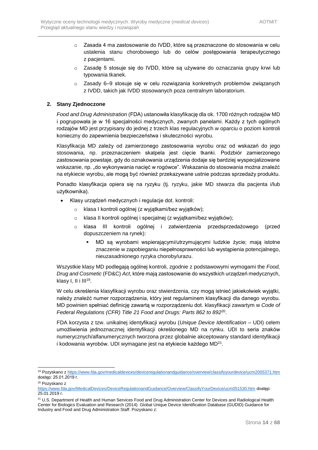- o Zasada 4 ma zastosowanie do IVDD, które są przeznaczone do stosowania w celu ustalenia stanu chorobowego lub do celów postępowania terapeutycznego z pacjentami.
- o Zasadę 5 stosuje się do IVDD, które są używane do oznaczania grupy krwi lub typowania tkanek.
- o Zasady 6–9 stosuje się w celu rozwiązania konkretnych problemów związanych z IVDD, takich jak IVDD stosowanych poza centralnym laboratorium.

#### **2. Stany Zjednoczone**

*Food and Drug Administration* (FDA) ustanowiła klasyfikację dla ok. 1700 różnych rodzajów MD i pogrupowała je w 16 specjalności medycznych, zwanych panelami. Każdy z tych ogólnych rodzajów MD jest przypisany do jednej z trzech klas regulacyjnych w oparciu o poziom kontroli konieczny do zapewnienia bezpieczeństwa i skuteczności wyrobu.

Klasyfikacja MD zależy od zamierzonego zastosowania wyrobu oraz od wskazań do jego stosowania, np. przeznaczeniem skalpela jest cięcie tkanki. Podzbiór zamierzonego zastosowania powstaje, gdy do oznakowania urządzenia dodaje się bardziej wyspecjalizowane wskazanie, np. "do wykonywania nacięć w rogówce". Wskazania do stosowania można znaleźć na etykiecie wyrobu, ale mogą być również przekazywane ustnie podczas sprzedaży produktu.

Ponadto klasyfikacja opiera się na ryzyku (tj. ryzyku, jakie MD stwarza dla pacjenta i/lub użytkownika).

- Klasy urządzeń medycznych i regulacje dot. kontroli:
	- o klasa I kontroli ogólnej (z wyjątkami/bez wyjątków);
	- o klasa II kontroli ogólnej i specjalnej (z wyjątkami/bez wyjątków);
	- o klasa III kontroli ogólnej i zatwierdzenia przedsprzedażowego (przed dopuszczeniem na rynek):
		- MD są wyrobami wspierającymi/utrzymującymi ludzkie życie; mają istotne znaczenie w zapobieganiu niepełnosprawności lub wystąpienia potencjalnego, nieuzasadnionego ryzyka choroby/urazu.

Wszystkie klasy MD podlegają ogólnej kontroli, zgodnie z podstawowymi wymogami the *Food, Drug and Cosmetic* (FD&C) *Act*, które mają zastosowanie do wszystkich urządzeń medycznych, klasy I, II i III<sup>19</sup>.

W celu określenia klasyfikacji wyrobu oraz stwierdzenia, czy mogą istnieć jakiekolwiek wyjątki, należy znaleźć numer rozporządzenia, który jest regulaminem klasyfikacji dla danego wyrobu. MD powinien spełniać definicję zawartą w rozporządzeniu dot. klasyfikacji zawartym w *Code of Federal Regulations (CFR) Title 21 Food and Drugs: Parts 862 to 892*<sup>20</sup> .

FDA korzysta z tzw. unikalnej identyfikacji wyrobu (*Unique Device Identification* – UDI) celem umożliwienia jednoznacznej identyfikacji określonego MD na rynku. UDI to seria znaków numerycznych/alfanumerycznych tworzona przez globalnie akceptowany standard identyfikacji i kodowania wyrobów. UDI wymagane jest na etykiecie każdego MD<sup>21</sup> .

<sup>19</sup> Pozyskano [z https://www.fda.gov/medicaldevices/deviceregulationandguidance/overview/classifyyourdevice/ucm2005371.htm](https://www.fda.gov/medicaldevices/deviceregulationandguidance/overview/classifyyourdevice/ucm2005371.htm) dostęp: 25.01.2019 r.

<sup>20</sup> Pozyskano z

<https://www.fda.gov/MedicalDevices/DeviceRegulationandGuidance/Overview/ClassifyYourDevice/ucm051530.htm> dostęp: 25.01.2019 r.

<sup>&</sup>lt;sup>21</sup> U.S. Department of Health and Human Services Food and Drug Administration Center for Devices and Radiological Health Center for Biologics Evaluation and Research (2014). Global Unique Device Identification Database (GUDID) Guidance for Industry and Food and Drug Administration Staff. Pozyskano z: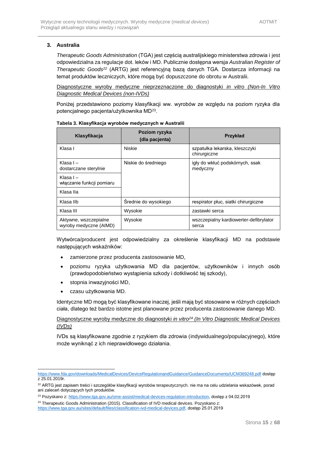### **3. Australia**

*Therapeutic Goods Administration* (TGA) jest częścią australijskiego ministerstwa zdrowia i jest odpowiedzialna za regulacje dot. leków i MD. Publicznie dostępna wersja *Australian Register of Therapeutic Goods<sup>22</sup>* (ARTG) jest referencyjną bazą danych TGA. Dostarcza informacji na temat produktów leczniczych, które mogą być dopuszczone do obrotu w Australii.

Diagnostyczne wyroby medyczne nieprzeznaczone do diagnostyki *in vitro (Non-In Vitro Diagnostic Medical Devices (non-IVDs)*

Poniżej przedstawiono poziomy klasyfikacji ww. wyrobów ze względu na poziom ryzyka dla potencjalnego pacjenta/użytkownika MD<sup>23</sup>.

| Klasyfikacja                                    | Poziom ryzyka<br>(dla pacjenta) | Przykład                                        |
|-------------------------------------------------|---------------------------------|-------------------------------------------------|
| Klasa I                                         | <b>Niskie</b>                   | szpatułka lekarska, kleszczyki<br>chirurgiczne  |
| Klasa I $-$<br>dostarczane sterylnie            | Niskie do średniego             | igły do wkłuć podskórnych, ssak<br>medyczny     |
| Klasa I –<br>włączanie funkcji pomiaru          |                                 |                                                 |
| Klasa Ila                                       |                                 |                                                 |
| Klasa Ilb                                       | Srednie do wysokiego            | respirator pluc, siatki chirurgiczne            |
| Klasa III                                       | Wysokie                         | zastawki serca                                  |
| Aktywne, wszczepialne<br>wyroby medyczne (AIMD) | Wysokie                         | wszczepialny kardiowerter-defibrylator<br>serca |

**Tabela 3. Klasyfikacja wyrobów medycznych w Australii**

Wytwórca/producent jest odpowiedzialny za określenie klasyfikacji MD na podstawie następujących wskaźników:

- zamierzone przez producenta zastosowanie MD,
- poziomu ryzyka użytkowania MD dla pacjentów, użytkowników i innych osób (prawdopodobieństwo wystąpienia szkody i dotkliwość tej szkody),
- stopnia inwazyjności MD,
- czasu użytkowania MD.

-

Identyczne MD mogą być klasyfikowane inaczej, jeśli mają być stosowane w różnych częściach ciała, dlatego też bardzo istotne jest planowane przez producenta zastosowanie danego MD.

Diagnostyczne wyroby medyczne do diagnostyki *in vitro<sup>24</sup> (In Vitro Diagnostic Medical Devices (IVDs)*

IVDs są klasyfikowane zgodnie z ryzykiem dla zdrowia (indywidualnego/populacyjnego), które może wyniknąć z ich nieprawidłowego działania.

<https://www.fda.gov/downloads/MedicalDevices/DeviceRegulationandGuidance/GuidanceDocuments/UCM369248.pdf> dostęp z 25.01.2019r.

<sup>&</sup>lt;sup>22</sup> ARTG jest zapisem treści i szczegółów klasyfikacji wyrobów terapeutycznych. nie ma na celu udzielania wskazówek, porad ani zaleceń dotyczących tych produktów.

<sup>&</sup>lt;sup>23</sup> Pozyskano z[: https://www.tga.gov.au/sme-assist/medical-devices-regulation-introduction,](https://www.tga.gov.au/sme-assist/medical-devices-regulation-introduction) dostęp z 04.02.2019

<sup>&</sup>lt;sup>24</sup> Therapeutic Goods Administration (2015). Classification of IVD medical devices. Pozyskano z: [https://www.tga.gov.au/sites/default/files/classification-ivd-medical-devices.pdf,](https://www.tga.gov.au/sites/default/files/classification-ivd-medical-devices.pdf) dostęp 25.01.2019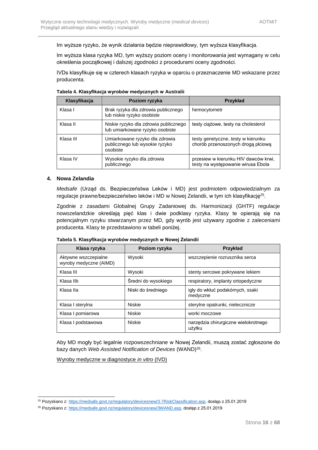Im wyższe ryzyko, że wynik działania będzie nieprawidłowy, tym wyższa klasyfikacja.

Im wyższa klasa ryzyka MD, tym wyższy poziom oceny i monitorowania jest wymagany w celu określenia początkowej i dalszej zgodności z procedurami oceny zgodności.

IVDs klasyfikuje się w czterech klasach ryzyka w oparciu o przeznaczenie MD wskazane przez producenta.

| Klasyfikacja | Poziom ryzyka                                                                | Przykład                                                                   |
|--------------|------------------------------------------------------------------------------|----------------------------------------------------------------------------|
| Klasa I      | Brak ryzyka dla zdrowia publicznego<br>lub niskie ryzyko osobiste            | hemocytometr                                                               |
| Klasa II     | Niskie ryzyko dla zdrowia publicznego<br>lub umiarkowane ryzyko osobiste     | testy ciążowe, testy na cholesterol                                        |
| Klasa III    | Umiarkowane ryzyko dla zdrowia<br>publicznego lub wysokie ryzyko<br>osobiste | testy genetyczne, testy w kierunku<br>chorób przenoszonych drogą płciową   |
| Klasa IV     | Wysokie ryzyko dla zdrowia<br>publicznego                                    | przesiew w kierunku HIV dawców krwi,<br>testy na występowanie wirusa Ebola |

**Tabela 4. Klasyfikacja wyrobów medycznych w Australii**

#### **4. Nowa Zelandia**

1

*Medsafe* (Urząd ds. Bezpieczeństwa Leków i MD) jest podmiotem odpowiedzialnym za regulacje prawne/bezpieczeństwo leków i MD w Nowej Zelandii, w tym ich klasyfikację<sup>25</sup>.

Zgodnie z zasadami Globalnej Grupy Zadaniowej ds. Harmonizacji (GHTF) regulacje nowozelandzkie określają pięć klas i dwie podklasy ryzyka. Klasy te opierają się na potencjalnym ryzyku stwarzanym przez MD, gdy wyrób jest używany zgodnie z zaleceniami producenta. Klasy te przedstawiono w tabeli poniżej.

**Tabela 5. Klasyfikacja wyrobów medycznych w Nowej Zelandii**

| Klasa ryzyka                                   | Poziom ryzyka       | Przykład                                       |
|------------------------------------------------|---------------------|------------------------------------------------|
| Aktywne wszczepialne<br>wyroby medyczne (AIMD) | Wysoki              | wszczepienie rozrusznika serca                 |
| Klasa III                                      | Wysoki              | stenty sercowe pokrywane lekiem                |
| Klasa Ilb                                      | Sredni do wysokiego | respiratory, implanty ortopedyczne             |
| Klasa Ila                                      | Niski do średniego  | igły do wkłuć podskórnych, ssaki<br>medyczne   |
| Klasa I sterylna                               | <b>Niskie</b>       | sterylne opatrunki, nielecznicze               |
| Klasa I pomiarowa                              | <b>Niskie</b>       | worki moczowe                                  |
| Klasa I podstawowa                             | Niskie              | narzędzia chirurgiczne wielokrotnego<br>użytku |

Aby MD mogły być legalnie rozpowszechniane w Nowej Zelandii, muszą zostać zgłoszone do bazy danych Web Assisted Notification of Devices (WAND)<sup>26</sup>.

Wyroby medyczne w diagnostyce *in vitro* (IVD)

<sup>&</sup>lt;sup>25</sup> Pozyskano z[: https://medsafe.govt.nz/regulatory/devicesnew/3-7RiskClassification.asp,](https://medsafe.govt.nz/regulatory/devicesnew/3-7RiskClassification.asp) dostęp z 25.01.2019

<sup>&</sup>lt;sup>26</sup> Pozyskano z[: https://medsafe.govt.nz/regulatory/devicesnew/3WAND.asp,](https://medsafe.govt.nz/regulatory/devicesnew/3WAND.asp) dostep z 25.01.2019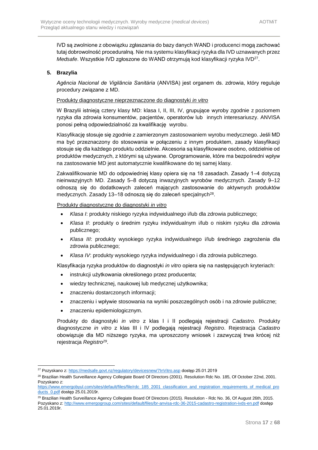IVD są zwolnione z obowiązku zgłaszania do bazy danych WAND i producenci mogą zachować tutaj dobrowolność proceduralną. Nie ma systemu klasyfikacji ryzyka dla IVD uznawanych przez Medsafe. Wszystkie IVD zgłoszone do WAND otrzymują kod klasyfikacji ryzyka IVD<sup>27</sup>.

#### **5. Brazylia**

*Agência Nacional de Vigilância Sanitária* (ANVISA) jest organem ds. zdrowia, który reguluje procedury związane z MD.

#### Produkty diagnostyczne nieprzeznaczone do diagnostyki *in vitro*

W Brazylii istnieją cztery klasy MD: klasa I, II, III, IV, grupujące wyroby zgodnie z poziomem ryzyka dla zdrowia konsumentów, pacjentów, operatorów lub innych interesariuszy. ANVISA ponosi pełną odpowiedzialność za kwalifikację wyrobu.

Klasyfikację stosuje się zgodnie z zamierzonym zastosowaniem wyrobu medycznego. Jeśli MD ma być przeznaczony do stosowania w połączeniu z innym produktem, zasady klasyfikacji stosuje się dla każdego produktu oddzielnie. Akcesoria są klasyfikowane osobno, oddzielnie od produktów medycznych, z którymi są używane. Oprogramowanie, które ma bezpośredni wpływ na zastosowanie MD jest automatycznie kwalifikowane do tej samej klasy.

Zakwalifikowanie MD do odpowiedniej klasy opiera się na 18 zasadach. Zasady 1–4 dotyczą nieinwazyjnych MD. Zasady 5–8 dotyczą inwazyjnych wyrobów medycznych. Zasady 9–12 odnoszą się do dodatkowych zaleceń mających zastosowanie do aktywnych produktów medycznych. Zasady 13–18 odnoszą się do zaleceń specjalnych<sup>28</sup>.

#### Produkty diagnostyczne do diagnostyki *in vitro*

- *Klasa I*: produkty niskiego ryzyka indywidualnego i/lub dla zdrowia publicznego;
- *Klasa II*: produkty o średnim ryzyku indywidualnym i/lub o niskim ryzyku dla zdrowia publicznego;
- *Klasa III*: produkty wysokiego ryzyka indywidualnego i/lub średniego zagrożenia dla zdrowia publicznego;
- *Klasa IV*: produkty wysokiego ryzyka indywidualnego i dla zdrowia publicznego.

Klasyfikacja ryzyka produktów do diagnostyki *in vitro* opiera się na następujących kryteriach:

- instrukcji użytkowania określonego przez producenta;
- wiedzy technicznej, naukowej lub medycznej użytkownika;
- znaczeniu dostarczonych informacji;
- znaczeniu i wpływie stosowania na wyniki poszczególnych osób i na zdrowie publiczne;
- znaczeniu epidemiologicznym.

1

Produkty do diagnostyki *in vitro* z klas I i II podlegają rejestracji *Cadastro.* Produkty diagnostyczne *in vitro* z klas III i IV podlegają rejestracji *Registro*. Rejestracja *Cadastro* obowiązuje dla MD niższego ryzyka, ma uproszczony wniosek i zazwyczaj trwa krócej niż rejestracja *Registro<sup>29</sup>* .

<sup>27</sup> Pozyskano z[: https://medsafe.govt.nz/regulatory/devicesnew/7InVitro.asp](https://medsafe.govt.nz/regulatory/devicesnew/7InVitro.asp) dostęp 25.01.2019

<sup>&</sup>lt;sup>28</sup> Brazilian Health Surveillance Agency Collegiate Board Of Directors (2001). Resolution Rdc No. 185, Of October 22nd, 2001. Pozyskano z:

[https://www.emergobyul.com/sites/default/files/file/rdc\\_185\\_2001\\_classification\\_and\\_registration\\_requirements\\_of\\_medical\\_pro](https://www.emergobyul.com/sites/default/files/file/rdc_185_2001_classification_and_registration_requirements_of_medical_products_0.pdf) [ducts\\_0.pdf](https://www.emergobyul.com/sites/default/files/file/rdc_185_2001_classification_and_registration_requirements_of_medical_products_0.pdf) dostęp 25.01.2019r.

<sup>&</sup>lt;sup>29</sup> Brazilian Health Surveillance Agency Collegiate Board Of Directors (2015). Resolution - Rdc No. 36, Of August 26th, 2015. Pozyskano z[: http://www.emergogroup.com/sites/default/files/br-anvisa-rdc-36-2015-cadastro-registration-ivds-en.pdf](http://www.emergogroup.com/sites/default/files/br-anvisa-rdc-36-2015-cadastro-registration-ivds-en.pdf) dostęp 25.01.2019r.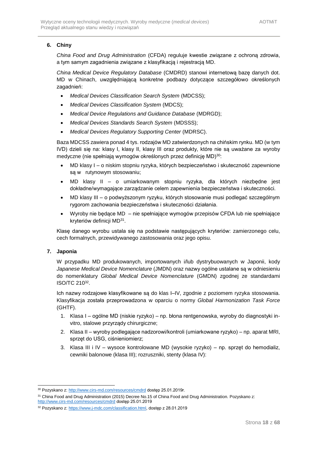### **6. Chiny**

*China Food and Drug Administration* (CFDA) reguluje kwestie związane z ochroną zdrowia, a tym samym zagadnienia związane z klasyfikacją i rejestracją MD.

*China Medical Device Regulatory Database* (CMDRD) stanowi internetową bazę danych dot. MD w Chinach, uwzględniającą konkretne podbazy dotyczące szczegółowo określonych zagadnień:

- *Medical Devices Classification Search System* (MDCSS);
- *Medical Devices Classification System* (MDCS);
- *Medical Device Regulations and Guidance Database* (MDRGD);
- *Medical Devices Standards Search System* (MDSSS);
- *Medical Devices Regulatory Supporting Center* (MDRSC).

Baza MDCSS zawiera ponad 4 tys. rodzajów MD zatwierdzonych na chińskim rynku. MD (w tym IVD) dzieli się na: klasy I, klasy II, klasy III oraz produkty, które nie są uważane za wyroby medyczne (nie spełniają wymogów określonych przez definicję MD) 30:

- MD klasy I o niskim stopniu ryzyka, których bezpieczeństwo i skuteczność zapewnione są w rutynowym stosowaniu;
- MD klasy II o umiarkowanym stopniu ryzyka, dla których niezbędne jest dokładne/wymagające zarządzanie celem zapewnienia bezpieczeństwa i skuteczności.
- MD klasy III o podwyższonym ryzyku, których stosowanie musi podlegać szczególnym rygorom zachowania bezpieczeństwa i skuteczności działania.
- Wyroby nie będące MD nie spełniające wymogów przepisów CFDA lub nie spełniające kryteriów definicji MD<sup>31</sup>.

Klasę danego wyrobu ustala się na podstawie następujących kryteriów: zamierzonego celu, cech formalnych, przewidywanego zastosowania oraz jego opisu.

#### **7. Japonia**

1

W przypadku MD produkowanych, importowanych i/lub dystrybuowanych w Japonii, kody *Japanese Medical Device Nomenclature* (JMDN) oraz nazwy ogólne ustalane są w odniesieniu do nomenklatury *Global Medical Device Nomenclature* (GMDN) zgodnej ze standardami ISO/TC 210<sup>32</sup> .

Ich nazwy rodzajowe klasyfikowane są do klas I–IV, zgodnie z poziomem ryzyka stosowania. Klasyfikacja została przeprowadzona w oparciu o normy *Global Harmonization Task Force* (GHTF).

- 1. Klasa I ogólne MD (niskie ryzyko) np. błona rentgenowska, wyroby do diagnostyki invitro, stalowe przyrządy chirurgiczne;
- 2. Klasa II wyroby podlegające nadzorowi/kontroli (umiarkowane ryzyko) np. aparat MRI, sprzęt do USG, ciśnieniomierz;
- 3. Klasa III i IV wysoce kontrolowane MD (wysokie ryzyko) np. sprzęt do hemodializ, cewniki balonowe (klasa III); rozruszniki, stenty (klasa IV):

<http://www.cirs-md.com/resources/cmdrd> dostęp 25.01.2019

<sup>&</sup>lt;sup>30</sup> Pozyskano z[: http://www.cirs-md.com/resources/cmdrd](http://www.cirs-md.com/resources/cmdrd) dostęp 25.01.2019r.

<sup>&</sup>lt;sup>31</sup> China Food and Drug Administration (2015) Decree No.15 of China Food and Drug Administration. Pozyskano z:

<sup>32</sup> Pozyskano z[: https://www.j-mdc.com/classification.html,](https://www.j-mdc.com/classification.html) dostęp z 28.01.2019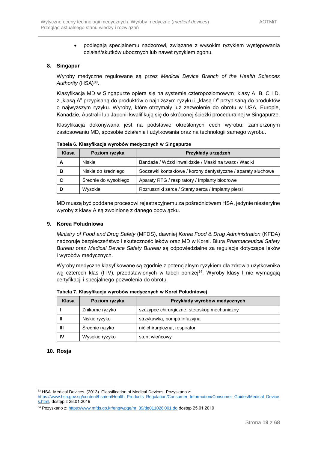• podlegają specjalnemu nadzorowi, związane z wysokim ryzykiem występowania działań/skutków ubocznych lub nawet ryzykiem zgonu.

#### **8. Singapur**

Wyroby medyczne regulowane są przez *Medical Device Branch of the Health Sciences*  Authority (HSA)<sup>33</sup>.

Klasyfikacja MD w Singapurze opiera się na systemie czteropoziomowym: klasy A, B, C i D, z "klasą A" przypisaną do produktów o najniższym ryzyku i "klasą D" przypisaną do produktów o najwyższym ryzyku. Wyroby, które otrzymały już zezwolenie do obrotu w USA, Europie, Kanadzie, Australii lub Japonii kwalifikują się do skróconej ścieżki proceduralnej w Singapurze.

Klasyfikacja dokonywana jest na podstawie określonych cech wyrobu: zamierzonym zastosowaniu MD, sposobie działania i użytkowania oraz na technologii samego wyrobu.

**Tabela 6. Klasyfikacja wyrobów medycznych w Singapurze**

| Klasa | Poziom ryzyka        | Przykłady urządzeń                                           |
|-------|----------------------|--------------------------------------------------------------|
|       | <b>Niskie</b>        | Bandaże / Wózki inwalidzkie / Maski na twarz / Waciki        |
| В     | Niskie do średniego  | Soczewki kontaktowe / korony dentystyczne / aparaty słuchowe |
| C     | Średnie do wysokiego | Aparaty RTG / respiratory / Implanty biodrowe                |
|       | Wysokie              | Rozruszniki serca / Stenty serca / Implanty piersi           |

MD muszą być poddane procesowi rejestracyjnemu za pośrednictwem HSA, jedynie niesterylne wyroby z klasy A są zwolnione z danego obowiązku.

#### **9. Korea Południowa**

*Ministry of Food and Drug Safety* (MFDS), dawniej *Korea Food & Drug Administration* (KFDA) nadzoruje bezpieczeństwo i skuteczność leków oraz MD w Korei. Biura *Pharmaceutical Safety Bureau* oraz *Medical Device Safety Bureau* są odpowiedzialne za regulacje dotyczące leków i wyrobów medycznych.

Wyroby medyczne klasyfikowane są zgodnie z potencjalnym ryzykiem dla zdrowia użytkownika wg czterech klas (I-IV), przedstawionych w tabeli poniżej<sup>34</sup>. Wyroby klasy I nie wymagają certyfikacji i specjalnego pozwolenia do obrotu.

| Klasa | Poziom ryzyka  | Przykłady wyrobów medycznych                 |  |  |
|-------|----------------|----------------------------------------------|--|--|
|       | Znikome ryzyko | szczypce chirurgiczne, stetoskop mechaniczny |  |  |
|       | Niskie ryzyko  | strzykawka, pompa infuzyjna                  |  |  |
| Ш     | Średnie ryzyko | nić chirurgiczna, respirator                 |  |  |
| 1V    | Wysokie ryzyko | stent wieńcowy                               |  |  |

**Tabela 7. Klasyfikacja wyrobów medycznych w Korei Południowej**

#### **10. Rosja**

<sup>1</sup> 33 HSA. Medical Devices. (2013). Classification of Medical Devices. Pozyskano z:

[https://www.hsa.gov.sg/content/hsa/en/Health\\_Products\\_Regulation/Consumer\\_Information/Consumer\\_Guides/Medical\\_Device](https://www.hsa.gov.sg/content/hsa/en/Health_Products_Regulation/Consumer_Information/Consumer_Guides/Medical_Devices.html) [s.html,](https://www.hsa.gov.sg/content/hsa/en/Health_Products_Regulation/Consumer_Information/Consumer_Guides/Medical_Devices.html) dostęp z 28.01.2019

<sup>34</sup> Pozyskano z: [https://www.mfds.go.kr/eng/wpge/m\\_39/de011026l001.do](https://www.mfds.go.kr/eng/wpge/m_39/de011026l001.do) dostęp 25.01.2019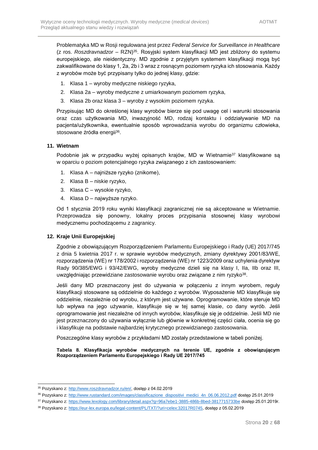Problematyka MD w Rosji regulowana jest przez *Federal Service for Surveillance in Healthcare* (z ros. *Roszdravnadzor* – RZN)<sup>35</sup>. Rosyjski system klasyfikacji MD jest zbliżony do systemu europejskiego, ale nieidentyczny. MD zgodnie z przyjętym systemem klasyfikacji mogą być zakwalifikowane do klasy 1, 2a, 2b i 3 wraz z rosnącym poziomem ryzyka ich stosowania. Każdy z wyrobów może być przypisany tylko do jednej klasy, gdzie:

- 1. Klasa 1 wyroby medyczne niskiego ryzyka,
- 2. Klasa 2a wyroby medyczne z umiarkowanym poziomem ryzyka,
- 3. Klasa 2b oraz klasa 3 wyroby z wysokim poziomem ryzyka.

Przypisując MD do określonej klasy wyrobów bierze się pod uwagę cel i warunki stosowania oraz czas użytkowania MD, inwazyjność MD, rodzaj kontaktu i oddziaływanie MD na pacjenta/użytkownika, ewentualnie sposób wprowadzania wyrobu do organizmu człowieka, stosowane źródła energii<sup>36</sup>.

#### **11. Wietnam**

Podobnie jak w przypadku wyżej opisanych krajów, MD w Wietnamie<sup>37</sup> klasyfikowane są w oparciu o poziom potencjalnego ryzyka związanego z ich zastosowaniem:

- 1. Klasa A najniższe ryzyko (znikome),
- 2. Klasa B niskie ryzyko,
- 3. Klasa C wysokie ryzyko,
- 4. Klasa D najwyższe ryzyko.

Od 1 stycznia 2019 roku wyniki klasyfikacji zagranicznej nie są akceptowane w Wietnamie. Przeprowadza się ponowny, lokalny proces przypisania stosownej klasy wyrobowi medycznemu pochodzącemu z zagranicy.

#### **12. Kraje Unii Europejskiej**

Zgodnie z obowiązującym Rozporządzeniem Parlamentu Europejskiego i Rady (UE) 2017/745 z dnia 5 kwietnia 2017 r. w sprawie wyrobów medycznych, zmiany dyrektywy 2001/83/WE, rozporządzenia (WE) nr 178/2002 i rozporządzenia (WE) nr 1223/2009 oraz uchylenia dyrektyw Rady 90/385/EWG i 93/42/EWG, wyroby medyczne dzieli się na klasy I, IIa, IIb oraz III, uwzględniając przewidziane zastosowanie wyrobu oraz związane z nim ryzyko<sup>38</sup>.

Jeśli dany MD przeznaczony jest do używania w połączeniu z innym wyrobem, reguły klasyfikacji stosowane są oddzielnie do każdego z wyrobów. Wyposażenie MD klasyfikuje się oddzielnie, niezależnie od wyrobu, z którym jest używane. Oprogramowanie, które steruje MD lub wpływa na jego używanie, klasyfikuje się w tej samej klasie, co dany wyrób. Jeśli oprogramowanie jest niezależne od innych wyrobów, klasyfikuje się je oddzielnie. Jeśli MD nie jest przeznaczony do używania wyłącznie lub głównie w konkretnej części ciała, ocenia się go i klasyfikuje na podstawie najbardziej krytycznego przewidzianego zastosowania.

Poszczególne klasy wyrobów z przykładami MD zostały przedstawione w tabeli poniżej.

**Tabela 8. Klasyfikacja wyrobów medycznych na terenie UE, zgodnie z obowiązującym Rozporządzeniem Parlamentu Europejskiego i Rady UE 2017/745**

<sup>35</sup> Pozyskano z[: http://www.roszdravnadzor.ru/en/,](http://www.roszdravnadzor.ru/en/) dostęp z 04.02.2019

<sup>&</sup>lt;sup>36</sup> Pozyskano z[: http://www.rustandard.com/images/classificazione\\_dispositivi\\_medici\\_4n\\_06.06.2012.pdf](http://www.rustandard.com/images/classificazione_dispositivi_medici_4n_06.06.2012.pdf) dostęp 25.01.2019

<sup>37</sup> Pozyskano z[: https://www.lexology.com/library/detail.aspx?g=96a7ebe1-3885-486b-8bed-3817715733be](https://www.lexology.com/library/detail.aspx?g=96a7ebe1-3885-486b-8bed-3817715733be) dostęp 25.01.2019r.

<sup>38</sup> Pozyskano z[: https://eur-lex.europa.eu/legal-content/PL/TXT/?uri=celex:32017R0745,](https://eur-lex.europa.eu/legal-content/PL/TXT/?uri=celex:32017R0745) dostęp z 05.02.2019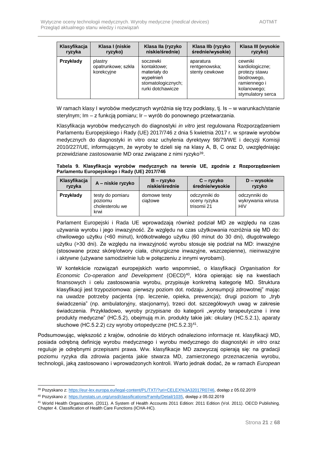| Klasyfikacja<br>ryzyka | Klasa I (niskie<br>Klasa Ila (ryzyko<br>niskie/średnie)<br>ryzyko) |                                                                                                 | Klasa Ilb (ryzyko<br>średnie/wysokie)        | Klasa III (wysokie<br>ryzyko)                                                                                  |
|------------------------|--------------------------------------------------------------------|-------------------------------------------------------------------------------------------------|----------------------------------------------|----------------------------------------------------------------------------------------------------------------|
| Przykłady              | plastry<br>opatrunkowe; szkła<br>korekcyjne                        | soczewki<br>kontaktowe:<br>materialy do<br>wypełnień<br>stomatologicznych;<br>rurki dotchawicze | aparatura<br>rentgenowska;<br>stenty cewkowe | cewniki<br>kardiologiczne;<br>protezy stawu<br>biodrowego,<br>ramiennego i<br>kolanowego;<br>stymulatory serca |

W ramach klasy I wyrobów medycznych wyróżnia się trzy podklasy, tj. Is – w warunkach/stanie sterylnym; Im – z funkcją pomiaru; Ir – wyrób do ponownego przetwarzania.

Klasyfikacja wyrobów medycznych do diagnostyki *in vitro* jest regulowana Rozporządzeniem Parlamentu Europejskiego i Rady (UE) 2017/746 z dnia 5 kwietnia 2017 r. w sprawie wyrobów medycznych do diagnostyki in vitro oraz uchylenia dyrektywy 98/79/WE i decyzji Komisji 2010/227/UE, informującym, że wyroby te dzieli się na klasy A, B, C oraz D, uwzględniając przewidziane zastosowanie MD oraz związane z nimi ryzyko<sup>39</sup>.

**Tabela 9. Klasyfikacja wyrobów medycznych na terenie UE, zgodnie z Rozporządzeniem Parlamentu Europejskiego i Rady (UE) 2017/746**

| Klasyfikacja<br>A - niskie ryzyko<br>ryzyka |                                                        | $B - ryzyko$<br>niskie/średnie | $C - ryzyko$<br>średnie/wysokie              | $D$ – wysokie<br>ryzyko                          |  |
|---------------------------------------------|--------------------------------------------------------|--------------------------------|----------------------------------------------|--------------------------------------------------|--|
| Przykłady                                   | testy do pomiaru<br>poziomu<br>cholesterolu we<br>krwi | domowe testy<br>ciażowe        | odczynniki do<br>oceny ryzyka<br>trisomii 21 | odczynniki do<br>wykrywania wirusa<br><b>HIV</b> |  |

Parlament Europejski i Rada UE wprowadzają również podział MD ze względu na czas używania wyrobu i jego inwazyjność. Ze względu na czas użytkowania rozróżnia się MD do: chwilowego użytku (<60 minut), krótkotrwałego użytku (60 minut do 30 dni), długotrwałego użytku (>30 dni). Ze względu na inwazyjność wyrobu stosuje się podział na MD: inwazyjne (stosowane przez skórę/otwory ciała, chirurgiczne inwazyjne, wszczepienne), nieinwazyjne i aktywne (używane samodzielnie lub w połączeniu z innymi wyrobami).

W kontekście rozwiązań europejskich warto wspomnieć, o klasyfikacji *Organisation for Economic Co-operation and Development* (OECD)<sup>40</sup>, która opierając się na kwestiach finansowych i celu zastosowania wyrobu, przypisuje konkretną kategorię MD. Struktura klasyfikacji jest trzypoziomowa: pierwszy poziom dot. rodzaju "konsumpcji zdrowotnej" mając na uwadze potrzeby pacienta (np. leczenie, opieka, prewencja); drugi poziom to "tryb świadczenia" (np. ambulatoryjny, stacjonarny), trzeci dot. szczegółowych uwag w zakresie świadczenia. Przykładowo, wyroby przypisane do kategorii "wyroby terapeutyczne i inne produkty medyczne" (HC.5.2), obejmują m.in. produkty takie jak: okulary (HC.5.2.1), aparaty słuchowe (HC.5.2.2) czy wyroby ortopedyczne (HC.5.2.3)<sup>41</sup>.

Podsumowując, większość z krajów, odnośnie do których odnaleziono informacje nt. klasyfikacji MD, posiada odrębną definicję wyrobu medycznego i wyrobu medycznego do diagnostyki *in vitro* oraz reguluje je odrębnymi przepisami prawa. Ww. klasyfikacje MD zazwyczaj opierają się: na gradacji poziomu ryzyka dla zdrowia pacjenta jakie stwarza MD, zamierzonego przeznaczenia wyrobu, technologii, jaką zastosowano i wprowadzonych kontroli. Warto jednak dodać, że w ramach *European* 

<sup>39</sup> Pozyskano z[: https://eur-lex.europa.eu/legal-content/PL/TXT/?uri=CELEX%3A32017R0746,](https://eur-lex.europa.eu/legal-content/PL/TXT/?uri=CELEX%3A32017R0746) dostęp z 05.02.2019

<sup>40</sup> Pozyskano z[: https://unstats.un.org/unsd/classifications/Family/Detail/1035,](https://unstats.un.org/unsd/classifications/Family/Detail/1035) dostęp z 05.02.2019

<sup>41</sup> World Health Organization. (2011). A System of Health Accounts 2011 Edition: 2011 Edition (Vol. 2011). OECD Publishing. Chapter 4. Classification of Health Care Functions (ICHA-HC).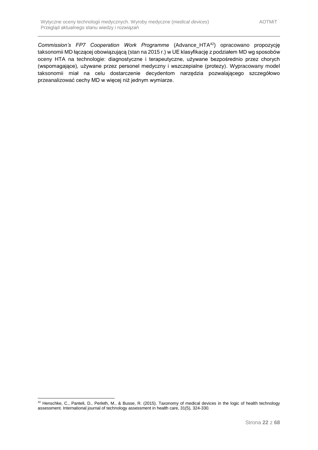<span id="page-21-0"></span>*Commission's FP7 Cooperation Work Programme* (Advance\_HTA<sup>42</sup>) opracowano propozycję taksonomii MD łączącej obowiązującą (stan na 2015 r.) w UE klasyfikację z podziałem MD wg sposobów oceny HTA na technologie: diagnostyczne i terapeutyczne, używane bezpośrednio przez chorych (wspomagające), używane przez personel medyczny i wszczepialne (protezy). Wypracowany model taksonomii miał na celu dostarczenie decydentom narzędzia pozwalającego szczegółowo przeanalizować cechy MD w więcej niż jednym wymiarze.

<sup>1</sup>  $^{42}$  Henschke, C., Panteli, D., Perleth, M., & Busse, R. (2015). Taxonomy of medical devices in the logic of health technology assessment. International journal of technology assessment in health care, 31(5), 324-330.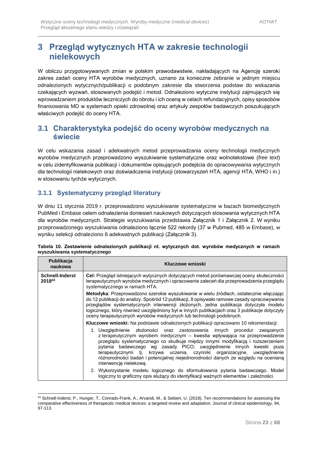# **3 Przegląd wytycznych HTA w zakresie technologii nielekowych**

W obliczu przygotowywanych zmian w polskim prawodawstwie, nakładających na Agencję szeroki zakres zadań oceny HTA wyrobów medycznych, uznano za konieczne zebranie w jednym miejscu odnalezionych wytycznych/publikacji o podobnym zakresie dla stworzenia podstaw do wskazania czekających wyzwań, stosowanych podejść i metod. Odnaleziono wytyczne instytucji zajmujących się wprowadzaniem produktów leczniczych do obrotu i ich oceną w celach refundacyjnych, opisy sposobów finansowania MD w systemach opieki zdrowotnej oraz artykuły zespołów badawczych poszukujących właściwych podejść do oceny HTA.

## <span id="page-22-0"></span>**3.1 Charakterystyka podejść do oceny wyrobów medycznych na świecie**

W celu wskazania zasad i adekwatnych metod przeprowadzania oceny technologii medycznych wyrobów medycznych przeprowadzono wyszukiwanie systematyczne oraz wolnotekstowe (*free text*) w celu zidentyfikowania publikacji i dokumentów opisujących podejścia do opracowywania wytycznych dla technologii nielekowych oraz doświadczenia instytucji (stowarzyszeń HTA, agencji HTA, WHO i in.) w stosowaniu tychże wytycznych.

### <span id="page-22-1"></span>**3.1.1 Systematyczny przegląd literatury**

-

W dniu 11 stycznia 2019 r. przeprowadzono wyszukiwanie systematyczne w bazach biomedycznych PubMed i Embase celem odnalezienia doniesień naukowych dotyczących stosowania wytycznych HTA dla wyrobów medycznych. Strategie wyszukiwania przedstawia Załącznik 1 i Załącznik 2. W wyniku przeprowadzonego wyszukiwania odnaleziono łącznie 522 rekordy (37 w Pubmed, 485 w Embase), w wyniku selekcji odnaleziono 6 adekwatnych publikacji (Załącznik 3).

|                              | Tabela 10. Zestawienie odnalezionych publikacji nt. wytycznych dot. wyrobów medycznych w ramach |  |  |  |  |
|------------------------------|-------------------------------------------------------------------------------------------------|--|--|--|--|
| wyszukiwania systematycznego |                                                                                                 |  |  |  |  |

| Publikacja<br>naukowa            | Kluczowe wnioski                                                                                                                                                                                                                                                                                                                                                                                                                                                                                              |  |  |  |  |
|----------------------------------|---------------------------------------------------------------------------------------------------------------------------------------------------------------------------------------------------------------------------------------------------------------------------------------------------------------------------------------------------------------------------------------------------------------------------------------------------------------------------------------------------------------|--|--|--|--|
| <b>Schnell-Inderst</b><br>201843 | Cel: Przegląd istniejących wytycznych dotyczących metod porównawczej oceny skuteczności<br>terapeutycznych wyrobów medycznych i opracowanie zaleceń dla przeprowadzenia przeglądu<br>systematycznego w ramach HTA.                                                                                                                                                                                                                                                                                            |  |  |  |  |
|                                  | Metodyka: Przeprowadzono szerokie wyszukiwanie w wielu źródłach, ostatecznie włączając<br>do 12 publikacji do analizy. Spośród 12 publikacji, 8 opisywało ramowe zasady opracowywania<br>przeglądów systematycznych interwencji złożonych, jedna publikacja dotyczyła modelu<br>logicznego, który również uwzględniony był w innych publikacjach oraz 3 publikacje dotyczyły<br>oceny terapeutycznych wyrobów medycznych lub technologii podobnych.                                                           |  |  |  |  |
|                                  | Kluczowe wnioski: Na podstawie odnalezionych publikacji opracowano 10 rekomendacji:                                                                                                                                                                                                                                                                                                                                                                                                                           |  |  |  |  |
|                                  | 1. Uwzględnienie złożoności oraz zastosowania innych procedur związanych<br>z terapeutycznym wyrobem medycznym – kwestia wpływająca na przeprowadzenie<br>przeglądu systematycznego co skutkuje między innymi modyfikacją i rozszerzeniem<br>pytania badawczego wg zasady PICO; uwzględnienie innych kwestii poza<br>terapeutycznymi tj. krzywa uczenia, czynniki organizacyjne, uwzględnienie<br>różnorodności badań i potencjalnej niejednorodności danych ze względu na ocenianą<br>interwencje nielekowa. |  |  |  |  |
|                                  | 2. Wykorzystanie modelu logicznego do sformułowania pytania badawczego. Model<br>logiczny to graficzny opis służący do identyfikacji ważnych elementów i zależności.                                                                                                                                                                                                                                                                                                                                          |  |  |  |  |

<sup>43</sup> Schnell-Inderst, P., Hunger, T., Conrads-Frank, A., Arvandi, M., & Siebert, U. (2018). Ten recommendations for assessing the comparative effectiveness of therapeutic medical devices: a targeted review and adaptation. Journal of clinical epidemiology, 94, 97-113.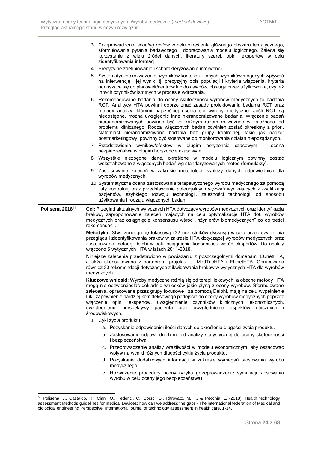|                 | 3. Przeprowadzenie scoping review w celu określenia głównego obszaru tematycznego,                                                                                                                                                                                                                                                                                                                                                                                                                                                                                                                                                                            |
|-----------------|---------------------------------------------------------------------------------------------------------------------------------------------------------------------------------------------------------------------------------------------------------------------------------------------------------------------------------------------------------------------------------------------------------------------------------------------------------------------------------------------------------------------------------------------------------------------------------------------------------------------------------------------------------------|
|                 | sformułowania pytania badawczego i dopracowania modelu logicznego. Zaleca się<br>korzystanie z wielu źródeł danych, literatury szarej, opinii ekspertów w celu<br>zidentyfikowania informacji.                                                                                                                                                                                                                                                                                                                                                                                                                                                                |
|                 | 4. Precyzyjne zdefiniowanie i scharakteryzowanie interwencji.                                                                                                                                                                                                                                                                                                                                                                                                                                                                                                                                                                                                 |
|                 | 5. Systematyczne rozważenie czynników kontekstu i innych czynników mogących wpływać<br>na interwencję i jej wynik, tj. precyzyjny opis populacji i kryteria włączenia, kryteria<br>odnoszące się do placówek/centrów lub dostawców, obsługa przez użytkownika, czy też<br>innych czynników istotnych w procesie wdrożenia.                                                                                                                                                                                                                                                                                                                                    |
|                 | 6. Rekomendowane badania do oceny skuteczności wyrobów medycznych to badania<br>RCT. Analitycy HTA powinni dobrze znać zasady projektowania badania RCT oraz<br>metody analizy, którymi najczęściej ocenia się wyroby medyczne. Jeśli RCT są<br>niedostępne, można uwzględnić inne nierandomizowane badania. Włączenie badań<br>nierandomizowanych powinno być za każdym razem rozważane w zależności od<br>problemu klinicznego. Rodzaj włączonych badań powinien zostać określony a priori.<br>Natomiast nierandomizowane badania bez grupy kontrolnej, takie jak nadzór<br>postmarketingowy, powinny być stosowane do monitorowania działań niepożądanych. |
|                 | 7. Przedstawienie wyników/efektów w długim horyzoncie czasowym –<br>ocena<br>bezpieczeństwa w długim horyzoncie czasowym.                                                                                                                                                                                                                                                                                                                                                                                                                                                                                                                                     |
|                 | 8. Wszystkie niezbędne dane, określone w modelu logicznym powinny zostać<br>wekstrahowane z włączonych badań wg standaryzowanych metod (formularzy).                                                                                                                                                                                                                                                                                                                                                                                                                                                                                                          |
|                 | 9. Zastosowanie zaleceń w zakresie metodologii syntezy danych odpowiednich dla<br>wyrobów medycznych.                                                                                                                                                                                                                                                                                                                                                                                                                                                                                                                                                         |
|                 | 10. Systematyczna ocena zastosowania terapeutycznego wyrobu medycznego za pomocą<br>listy kontrolnej oraz przedstawienie potencjalnych wyzwań wynikających z kwalifikacji<br>pacjentów, szybkiego rozwoju technologii, zależności technologii od sposobu<br>użytkowania i rodzaju włączonych badań.                                                                                                                                                                                                                                                                                                                                                           |
| Polisena 201844 | Cel: Przegląd aktualnych wytycznych HTA dotyczący wyrobów medycznych oraz identyfikacja<br>braków, zaproponowanie zaleceń mających na celu optymalizację HTA dot. wyrobów<br>medycznych oraz osiągnięcie konsensusu wśród "inżynierów biomedycznych" co do treści<br>rekomendacji.                                                                                                                                                                                                                                                                                                                                                                            |
|                 | Metodyka: Stworzono grupę fokusową (32 uczestników dyskusji) w celu przeprowadzenia<br>przeglądu i zidentyfikowania braków w zakresie HTA dotyczącej wyrobów medycznych oraz<br>zastosowano metodę Delphi w celu osiągnięcia konsensusu wśród ekspertów. Do analizy<br>włączono 6 wytycznych HTA w latach 2011-2018.                                                                                                                                                                                                                                                                                                                                          |
|                 | Niniejsze zalecenia przedstawiono w powiązaniu z poszczególnymi domenami EUnetHTA,<br>a także skonsultowano z partnerami projektu, tj. MedTecHTA i EUnetHTA. Opracowano<br>również 30 rekomendacji dotyczących zlikwidowania braków w wytycznych HTA dla wyrobów<br>medycznych.                                                                                                                                                                                                                                                                                                                                                                               |
|                 | Kluczowe wnioski: Wyroby medyczne różnią się od terapii lekowych, a obecne metody HTA<br>mogą nie odzwierciedlać dokładnie wniosków jakie płyną z oceny wyrobów. Sformułowane<br>zalecenia, opracowane przez grupy fokusowe i za pomocą Delphi, mają na celu wypełnienie<br>luk i zapewnienie bardziej kompleksowego podejścia do oceny wyrobów medycznych poprzez<br>włączenie opinii ekspertów, uwzględnienie czynników klinicznych, ekonomicznych,<br>uwzględnienie aspektów etycznych i<br>uwzględnienie perspektywy pacjenta oraz<br>środowiskowych.                                                                                                     |
|                 | 1. Cykl życia produktu:                                                                                                                                                                                                                                                                                                                                                                                                                                                                                                                                                                                                                                       |
|                 | a. Pozyskanie odpowiedniej ilości danych do określenia długości życia produktu.                                                                                                                                                                                                                                                                                                                                                                                                                                                                                                                                                                               |
|                 | b. Zastosowanie odpowiednich metod analizy statystycznej do oceny skuteczności<br>i bezpieczeństwa.                                                                                                                                                                                                                                                                                                                                                                                                                                                                                                                                                           |
|                 | c. Przeprowadzenie analizy wrażliwości w modelu ekonomicznym, aby oszacować<br>wpływ na wyniki różnych długości cyklu życia produktu.                                                                                                                                                                                                                                                                                                                                                                                                                                                                                                                         |
|                 | d. Pozyskanie dodatkowych informacji w zakresie wymagań stosowania wyrobu<br>medycznego.                                                                                                                                                                                                                                                                                                                                                                                                                                                                                                                                                                      |
|                 | e. Rozważenie procedury oceny ryzyka (przeprowadzenie symulacji stosowania<br>wyrobu w celu oceny jego bezpieczeństwa).                                                                                                                                                                                                                                                                                                                                                                                                                                                                                                                                       |

<sup>44</sup> Polisena, J., Castaldo, R., Ciani, O., Federici, C., Borsci, S., Ritrovato, M., ... & Pecchia, L. (2018). Health technology assessment Methods guidelines for medical Devices: how can we address the gaps? The international federation of Medical and biological engineering Perspective. International journal of technology assessment in health care, 1-14.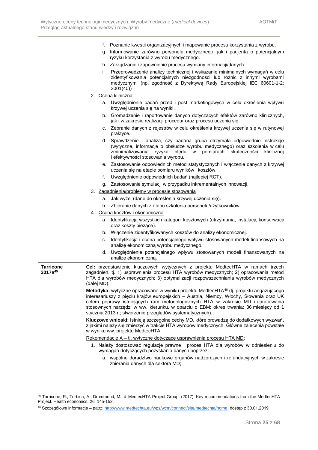|                                         | f. Poznanie kwestii organizacyjnych i mapowanie procesu korzystania z wyrobu.                                                                                                                                                                                                                                                                                                                                                         |
|-----------------------------------------|---------------------------------------------------------------------------------------------------------------------------------------------------------------------------------------------------------------------------------------------------------------------------------------------------------------------------------------------------------------------------------------------------------------------------------------|
|                                         | Informowanie zarówno personelu medycznego, jak i pacjenta o potencjalnym<br>g.<br>ryzyku korzystania z wyrobu medycznego.                                                                                                                                                                                                                                                                                                             |
|                                         | h. Zarządzanie i zapewnienie procesu wymiany informacji/danych.                                                                                                                                                                                                                                                                                                                                                                       |
|                                         | Przeprowadzenie analizy technicznej i wskazanie minimalnych wymagań w celu<br>i.<br>zidentyfikowania potencjalnych niezgodności lub różnic z innymi wyrobami<br>medycznymi (np. zgodność z Dyrektywą Rady Europejskiej IEC 60601-1-2:<br>2001(40)                                                                                                                                                                                     |
|                                         | 2. Ocena kliniczna:                                                                                                                                                                                                                                                                                                                                                                                                                   |
|                                         | a. Uwzględnienie badań przed i post marketingowych w celu określenia wpływu<br>krzywej uczenia się na wyniki.                                                                                                                                                                                                                                                                                                                         |
|                                         | b. Gromadzenie i raportowanie danych dotyczących efektów zarówno klinicznych,<br>jak i w zakresie realizacji procedur oraz procesu uczenia się.                                                                                                                                                                                                                                                                                       |
|                                         | c. Zebranie danych z rejestrów w celu określenia krzywej uczenia się w rutynowej<br>praktyce.                                                                                                                                                                                                                                                                                                                                         |
|                                         | d. Sprawdzenie i analiza, czy badana grupa otrzymała odpowiednie instrukcje<br>(wytyczne, informacje o obsłudze wyrobu medycznego) oraz szkolenia w celu<br>zminimalizowania<br>ryzyka<br>błędu w pomiarach skuteczności<br>klinicznej<br>i efektywności stosowania wyrobu.                                                                                                                                                           |
|                                         | e. Zastosowanie odpowiednich metod statystycznych i włączenie danych z krzywej<br>uczenia się na etapie pomiaru wyników i kosztów.                                                                                                                                                                                                                                                                                                    |
|                                         | Uwzględnienie odpowiednich badań (najlepiej RCT).<br>f.                                                                                                                                                                                                                                                                                                                                                                               |
|                                         | g. Zastosowanie symulacji w przypadku inkrementalnych innowacji.                                                                                                                                                                                                                                                                                                                                                                      |
|                                         | 3. Zagadnienia/problemy w procesie stosowania                                                                                                                                                                                                                                                                                                                                                                                         |
|                                         | a. Jak wyżej (dane do określenia krzywej uczenia się).                                                                                                                                                                                                                                                                                                                                                                                |
|                                         | b. Zbieranie danych z etapu szkolenia personelu/użytkowników                                                                                                                                                                                                                                                                                                                                                                          |
|                                         | 4. Ocena kosztów i ekonomiczna                                                                                                                                                                                                                                                                                                                                                                                                        |
|                                         | a. Identyfikacja wszystkich kategorii kosztowych (utrzymania, instalacji, konserwacji<br>oraz koszty bieżące).                                                                                                                                                                                                                                                                                                                        |
|                                         | b. Włączenie zidentyfikowanych kosztów do analizy ekonomicznej.                                                                                                                                                                                                                                                                                                                                                                       |
|                                         | c. Identyfikacja i ocena potencjalnego wpływu stosowanych modeli finansowych na<br>analizę ekonomiczną wyrobu medycznego.                                                                                                                                                                                                                                                                                                             |
|                                         | d. Uwzględnienie potencjalnego wpływu stosowanych modeli finansowanych na<br>analizę ekonomiczną.                                                                                                                                                                                                                                                                                                                                     |
| <b>Tarricone</b><br>2017a <sup>45</sup> | Cel: przedstawienie kluczowych wytycznych z projektu MedtecHTA w ramach trzech<br>zagadnień, tj. 1) usprawnienia procesu HTA wyrobów medycznych; 2) opracowania metod<br>HTA dla wyrobów medycznych; 3) optymalizacji rozpowszechniania wyrobów medycznych<br>(dalej MD).                                                                                                                                                             |
|                                         | Metodyka: wytyczne opracowane w wyniku projektu MedtecHTA <sup>46</sup> (tj. projektu angażującego<br>interesariuszy z pięciu krajów europejskich - Austria, Niemcy, Włochy, Słowenia oraz UK<br>celem poprawy istniejących ram metodologicznych HTA w zakresie MD i opracowania<br>stosownych narzędzi w ww. kierunku, w oparciu o EBM; okres trwania: 36 miesięcy od 1<br>stycznia 2013 r.; stworzenie przeglądów systematycznych). |
|                                         | Kluczowe wnioski: Istnieją szczególne cechy MD, które prowadzą do dodatkowych wyzwań,<br>z jakimi należy się zmierzyć w trakcie HTA wyrobów medycznych. Główne zalecenia powstałe<br>w wyniku ww. projektu MedtecHTA:                                                                                                                                                                                                                 |
|                                         | Rekomendacje A – tj. wytyczne dotyczące usprawnienia procesu HTA MD:                                                                                                                                                                                                                                                                                                                                                                  |
|                                         | 1. Należy dostosować regulacje prawne i proces HTA dla wyrobów w odniesieniu do<br>wymagań dotyczących pozyskania danych poprzez:                                                                                                                                                                                                                                                                                                     |
|                                         | a. wspólne doradztwo naukowe organów nadzorczych i refundacyjnych w zakresie<br>zbierania danych dla sektora MD;                                                                                                                                                                                                                                                                                                                      |

<sup>45</sup> Tarricone, R., Torbica, A., Drummond, M., & MedtecHTA Project Group. (2017). Key recommendations from the MedtecHTA Project. Health economics, 26, 145-152.

<sup>46</sup> Szczegółowe informacje – patrz: [http://www.medtechta.eu/wps/wcm/connect/site/medtechta/home,](http://www.medtechta.eu/wps/wcm/connect/site/medtechta/home) dostęp z 30.01.2019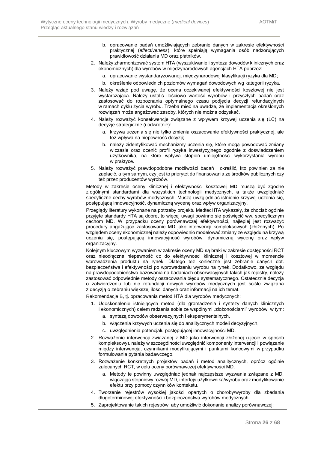| b. opracowanie badań umożliwiających zebranie danych w zakresie efektywności<br>praktycznej (effectiveness), które spełniają wymagania osób nadzorujących                                                                                                                                                                                                                                                                                                                                                                                                                                                                                                                                                |
|----------------------------------------------------------------------------------------------------------------------------------------------------------------------------------------------------------------------------------------------------------------------------------------------------------------------------------------------------------------------------------------------------------------------------------------------------------------------------------------------------------------------------------------------------------------------------------------------------------------------------------------------------------------------------------------------------------|
| prawidłowość działania MD oraz płatników.<br>2. Należy zharmonizować system HTA (wyszukiwanie i synteza dowodów klinicznych oraz                                                                                                                                                                                                                                                                                                                                                                                                                                                                                                                                                                         |
| ekonomicznych) dla wyrobów w międzynarodowych agencjach HTA poprzez:                                                                                                                                                                                                                                                                                                                                                                                                                                                                                                                                                                                                                                     |
| a. opracowanie wystandaryzowanej, międzynarodowej klasyfikacji ryzyka dla MD;                                                                                                                                                                                                                                                                                                                                                                                                                                                                                                                                                                                                                            |
| b. określenie odpowiednich poziomów wymagań dowodowych wg kategorii ryzyka.                                                                                                                                                                                                                                                                                                                                                                                                                                                                                                                                                                                                                              |
| 3. Należy wziąć pod uwagę, że ocena oczekiwanej efektywności kosztowej nie jest<br>wystarczająca. Należy ustalić ilościowo wartość wyrobów i przyszłych badań oraz<br>zastosować do rozpoznania optymalnego czasu podjęcia decyzji refundacyjnych<br>w ramach cyklu życia wyrobu. Trzeba mieć na uwadze, że implementacja określonych<br>rozwiązań może angażować zasoby, których nie można odzyskać.                                                                                                                                                                                                                                                                                                    |
| 4. Należy rozważyć konsekwencje związane z wpływem krzywej uczenia się (LC) na<br>decyzje strategiczne (i odwrotnie):                                                                                                                                                                                                                                                                                                                                                                                                                                                                                                                                                                                    |
| a. krzywa uczenia się nie tylko zmienia oszacowanie efektywności praktycznej, ale<br>też wpływa na niepewność decyzji;                                                                                                                                                                                                                                                                                                                                                                                                                                                                                                                                                                                   |
| b. należy zidentyfikować mechanizmy uczenia się, które mogą powodować zmiany<br>w czasie oraz ocenić profil ryzyka inwestycyjnego zgodnie z doświadczeniem<br>użytkownika, na które wpływa stopień umiejętności wykorzystania wyrobu<br>w praktyce.                                                                                                                                                                                                                                                                                                                                                                                                                                                      |
| 5. Należy rozważyć prawdopodobne możliwości badań i określić, kto powinien za nie<br>zapłacić, a tym samym, czy jest to priorytet do finansowania ze środków publicznych czy<br>też przez producentów wyrobów.                                                                                                                                                                                                                                                                                                                                                                                                                                                                                           |
| Metody w zakresie oceny klinicznej i efektywności kosztowej MD muszą być zgodne<br>z ogólnymi standardami dla wszystkich technologii medycznych, a także uwzględniać<br>specyficzne cechy wyrobów medycznych. Muszą uwzględniać istnienie krzywej uczenia się,<br>postępującą innowacyjność, dynamiczną wycenę oraz wpływ organizacyjny.                                                                                                                                                                                                                                                                                                                                                                 |
| Przeglądy literatury wykonane na potrzeby projektu MedtecHTA wykazały, że chociaż ogólnie<br>przyjęte standardy HTA są dobre, to więcej uwagi powinno się poświęcić ww. specyficznym<br>cechom MD. W przypadku oceny porównawczej efektywności, najlepiej jest rozważyć<br>procedury angażujące zastosowanie MD jako interwencji kompleksowych (złożonych). Po<br>względem oceny ekonomicznej należy odpowiednio modelować zmiany ze względu na krzywą<br>uczenia się, postępującą innowacyjność wyrobów, dynamiczną wycenę oraz wpływ<br>organizacyjny.                                                                                                                                                 |
| Kolejnym kluczowym wyzwaniem w zakresie oceny MD są braki w zakresie dostępności RCT<br>oraz nieodłączna niepewność co do efektywności klinicznej i kosztowej w momencie<br>wprowadzenia produktu na rynek. Dlatego też konieczne jest zebranie danych dot.<br>bezpieczeństwa i efektywności po wprowadzeniu wyrobu na rynek. Dodatkowo, ze względu<br>na prawdopodobieństwo bazowania na badaniach obserwacyjnych takich jak rejestry, należy<br>zastosować odpowiednie metody oszacowania błędu systematycznego. Ostatecznie decyzja<br>o zatwierdzeniu lub nie refundacji nowych wyrobów medycznych jest ściśle związana<br>z decyzją o zebraniu większej ilości danych oraz informacji na ich temat. |
| Rekomendacje B, tj. opracowania metod HTA dla wyrobów medycznych:                                                                                                                                                                                                                                                                                                                                                                                                                                                                                                                                                                                                                                        |
| 1. Udoskonalenie istniejących metod (dla gromadzenia i syntezy danych klinicznych<br>i ekonomicznych) celem radzenia sobie ze wspólnymi "złożonościami" wyrobów, w tym:                                                                                                                                                                                                                                                                                                                                                                                                                                                                                                                                  |
| a. syntezą dowodów obserwacyjnych i eksperymentalnych,                                                                                                                                                                                                                                                                                                                                                                                                                                                                                                                                                                                                                                                   |
| b. włączenia krzywych uczenia się do analitycznych modeli decyzyjnych,                                                                                                                                                                                                                                                                                                                                                                                                                                                                                                                                                                                                                                   |
| c. uwzględnienia potencjału postępującej innowacyjności MD.                                                                                                                                                                                                                                                                                                                                                                                                                                                                                                                                                                                                                                              |
| 2. Rozważenie interwencji związanej z MD jako interwencji złożonej (ujęcie w sposób<br>kompleksowy), należy w szczególności uwzględnić komponenty interwencji i powiązanie<br>między interwencją, czynnikami modyfikującymi i punktami końcowymi w przypadku<br>formułowania pytania badawczego.                                                                                                                                                                                                                                                                                                                                                                                                         |
| 3. Rozważenie konkretnych projektów badań i metod analitycznych, oprócz ogólnie<br>zalecanych RCT, w celu oceny porównawczej efektywności MD.                                                                                                                                                                                                                                                                                                                                                                                                                                                                                                                                                            |
| a. Metody te powinny uwzględniać jednak najczęstsze wyzwania związane z MD,<br>włączając stopniowy rozwój MD, interfejs użytkownika/wyrobu oraz modyfikowanie<br>efektu przy pomocy czynników kontekstu.                                                                                                                                                                                                                                                                                                                                                                                                                                                                                                 |
| 4. Tworzenie rejestrów wysokiej jakości opartych o choroby/wyroby dla zbadania<br>długoterminowej efektywności i bezpieczeństwa wyrobów medycznych.                                                                                                                                                                                                                                                                                                                                                                                                                                                                                                                                                      |
| 5. Zaprojektowanie takich rejestrów, aby umożliwić dokonanie analizy porównawczej:                                                                                                                                                                                                                                                                                                                                                                                                                                                                                                                                                                                                                       |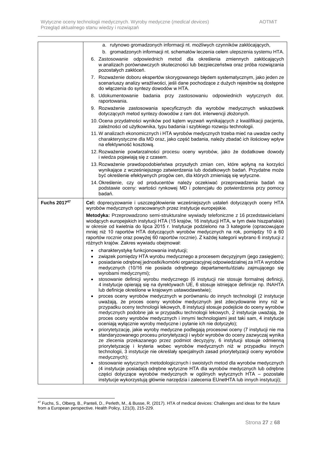|              | a. rutynowo gromadzonych informacji nt. możliwych czynników zakłócających,                                                                                                                                                                                                                                                                                                                                                                                                                                                                                                                                                                                                                                                                                                                                                                                                                                                                                                                                             |
|--------------|------------------------------------------------------------------------------------------------------------------------------------------------------------------------------------------------------------------------------------------------------------------------------------------------------------------------------------------------------------------------------------------------------------------------------------------------------------------------------------------------------------------------------------------------------------------------------------------------------------------------------------------------------------------------------------------------------------------------------------------------------------------------------------------------------------------------------------------------------------------------------------------------------------------------------------------------------------------------------------------------------------------------|
|              | b. gromadzonych informacji nt. schematów leczenia celem ulepszenia systemu HTA.                                                                                                                                                                                                                                                                                                                                                                                                                                                                                                                                                                                                                                                                                                                                                                                                                                                                                                                                        |
|              | 6. Zastosowanie odpowiednich metod dla określenia zmiennych zakłócających<br>w analizach porównawczych skuteczności lub bezpieczeństwa oraz próba rozwiązania<br>pozostałych zakłóceń.                                                                                                                                                                                                                                                                                                                                                                                                                                                                                                                                                                                                                                                                                                                                                                                                                                 |
|              | 7. Rozważenie doboru ekspertów skorygowanego błędem systematycznym, jako jeden ze<br>scenariuszy analizy wrażliwości, jeśli dane pochodzące z dużych rejestrów są dostępne<br>do włączenia do syntezy dowodów w HTA.                                                                                                                                                                                                                                                                                                                                                                                                                                                                                                                                                                                                                                                                                                                                                                                                   |
|              | 8. Udokumentowanie badania przy zastosowaniu odpowiednich wytycznych dot.<br>raportowania.                                                                                                                                                                                                                                                                                                                                                                                                                                                                                                                                                                                                                                                                                                                                                                                                                                                                                                                             |
|              | 9. Rozważenie zastosowania specyficznych dla wyrobów medycznych wskazówek<br>dotyczących metod syntezy dowodów z ram dot. interwencji złożonych.                                                                                                                                                                                                                                                                                                                                                                                                                                                                                                                                                                                                                                                                                                                                                                                                                                                                       |
|              | 10. Ocena przydatności wyników pod kątem wyzwań wynikających z kwalifikacji pacjenta,<br>zależności od użytkownika, typu badania i szybkiego rozwoju technologii.                                                                                                                                                                                                                                                                                                                                                                                                                                                                                                                                                                                                                                                                                                                                                                                                                                                      |
|              | 11. W analizach ekonomicznych i HTA wyrobów medycznych trzeba mieć na uwadze cechy<br>charakterystyczne dla MD oraz, jako część badania, należy zbadać ich ilościowy wpływ<br>na efektywność kosztową.                                                                                                                                                                                                                                                                                                                                                                                                                                                                                                                                                                                                                                                                                                                                                                                                                 |
|              | 12. Rozważenie powtarzalności procesu oceny wyrobów, jako że dodatkowe dowody<br>i wiedza pojawiają się z czasem.                                                                                                                                                                                                                                                                                                                                                                                                                                                                                                                                                                                                                                                                                                                                                                                                                                                                                                      |
|              | 13. Rozważenie prawdopodobieństwa przyszłych zmian cen, które wpłyną na korzyści<br>wynikające z wcześniejszego zatwierdzenia lub dodatkowych badań. Przydatne może<br>być określenie efektywnych progów cen, dla których zmieniają się wytyczne.                                                                                                                                                                                                                                                                                                                                                                                                                                                                                                                                                                                                                                                                                                                                                                      |
|              | 14. Określenie, czy od producentów należy oczekiwać przeprowadzenia badań na<br>podstawie oceny: wartości rynkowej MD i potencjału do potwierdzenia przy pomocy<br>badań.                                                                                                                                                                                                                                                                                                                                                                                                                                                                                                                                                                                                                                                                                                                                                                                                                                              |
| Fuchs 201747 | Cel: doprecyzowanie i uszczegółowienie wcześniejszych ustaleń dotyczących oceny HTA<br>wyrobów medycznych opracowanych przez instytucje europejskie.                                                                                                                                                                                                                                                                                                                                                                                                                                                                                                                                                                                                                                                                                                                                                                                                                                                                   |
|              | Metodyka: Przeprowadzono semi-strukturalne wywiady telefoniczne z 16 przedstawicielami<br>wiodących europejskich instytucji HTA (15 krajów, 16 instytucji HTA, w tym dwie hiszpańskie)<br>w okresie od kwietnia do lipca 2015 r. Instytucje podzielono na 3 kategorie (opracowujące<br>mniej niż 10 raportów HTA dotyczących wyrobów medycznych na rok, pomiędzy 10 a 60<br>raportów rocznie oraz powyżej 60 raportów rocznie). Z każdej kategorii wybrano 6 instytucji z<br>różnych krajów. Zakres wywiadu obejmował:                                                                                                                                                                                                                                                                                                                                                                                                                                                                                                 |
|              | charakterystykę funkcjonowania instytucji;<br>$\bullet$<br>związek pomiędzy HTA wyrobu medycznego a procesem decyzyjnym (jego zasięgiem);<br>posiadanie odrębnej jednostki/komórki organizacyjnej odpowiedzialnej za HTA wyrobów<br>$\bullet$<br>medycznych (10/16 nie posiada odrębnego departamentu/działu zajmującego się<br>wyrobami medycznymi);<br>stosowanie definicji wyrobu medycznego (6 instytucji nie stosuje formalnej definicji,<br>4 instytucje opierają się na dyrektywach UE, 6 stosuje istniejące definicje np. INAHTA                                                                                                                                                                                                                                                                                                                                                                                                                                                                               |
|              | lub definicje określone w krajowym ustawodawstwie);<br>proces oceny wyrobów medycznych w porównaniu do innych technologii (2 instytucje<br>uważają, że proces oceny wyrobów medycznych jest zdecydowanie inny niż w<br>przypadku oceny technologii lekowych, 8 instytucji stosuje podejście do oceny wyrobów<br>medycznych podobne jak w przypadku technologii lekowych, 2 instytucje uważają, że<br>proces oceny wyrobów medycznych i innymi technologiami jest taki sam, 4 instytucje<br>oceniają wyłącznie wyroby medyczne i pytanie ich nie dotyczyło);<br>priorytetyzację, jakie wyroby medyczne podlegają procesowi oceny (7 instytucji nie ma<br>standaryzowanego procesu priorytetyzacji i wybór wyrobów do oceny zazwyczaj wynika<br>ze zlecenia przekazanego przez podmiot decyzyjny, 6 instytucji stosuje odmienną<br>priorytetyzację i kryteria wobec wyrobów medycznych niż w przypadku innych<br>technologii, 3 instytucje nie określały specjalnych zasad priorytetyzacji oceny wyrobów<br>medycznych); |
|              | stosowanie wytycznych metodologicznych i swoistych metod dla wyrobów medycznych<br>(4 instytucje posiadają odrębne wytyczne HTA dla wyrobów medycznych lub odrębne<br>części dotyczące wyrobów medycznych w ogólnych wytycznych HTA – pozostałe<br>instytucje wykorzystują głównie narzędzia i zalecenia EUnetHTA lub innych instytucji);                                                                                                                                                                                                                                                                                                                                                                                                                                                                                                                                                                                                                                                                              |

<sup>1</sup>  $^{47}$  Fuchs, S., Olberg, B., Panteli, D., Perleth, M., & Busse, R. (2017). HTA of medical devices: Challenges and ideas for the future from a European perspective. Health Policy, 121(3), 215-229.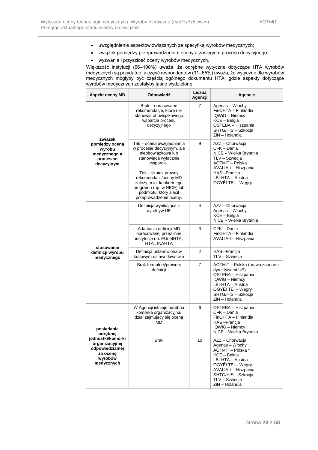- uwzględnienie aspektów związanych ze specyfiką wyrobów medycznych;
- związek pomiędzy przeprowadzeniem oceny a zasięgiem procesu decyzyjnego;
- wyzwania i przyszłość oceny wyrobów medycznych.

Większość instytucji (66–100%) uważa, że odrębne wytyczne dotyczące HTA wyrobów medycznych są przydatne, a część respondentów (31–65%) uważa, że wytyczne dla wyrobów medycznych mogłyby być częścią ogólnego dokumentu HTA, gdzie aspekty dotyczące wyrobów medycznych zostałyby jasno wydzielone.

| <b>Aspekt oceny MD</b>                                                                                                | Odpowiedź                                                                                                                                                                                                                                                                       | Liczba<br>Agencji | Agencje                                                                                                                                                                                            |
|-----------------------------------------------------------------------------------------------------------------------|---------------------------------------------------------------------------------------------------------------------------------------------------------------------------------------------------------------------------------------------------------------------------------|-------------------|----------------------------------------------------------------------------------------------------------------------------------------------------------------------------------------------------|
|                                                                                                                       | Brak - opracowane<br>rekomendacje, które nie<br>stanowią obowiązkowego<br>wsparcia procesu<br>decyzyjnego                                                                                                                                                                       | $\overline{7}$    | Agenas - Włochy<br>FinOHTA - Finlandia<br>IQWiG - Niemcy<br>KCE - Belgia<br>OSTEBA - Hiszpania<br>SHTG/HIS - Szkocja<br>ZiN - Holandia                                                             |
| związek<br>pomiędzy oceną<br>wyrobu<br>medycznego a<br>procesem<br>decyzyjnym                                         | Tak - ocena uwzględniania<br>w procesie decyzyjnym, ale<br>nieobowiązkowa lub<br>stanowiąca wyłącznie<br>wsparcie.<br>Tak – skutek prawny<br>rekomendacji/oceny MD<br>zależy m.in. konkretnego<br>programu (np. w NICE) lub<br>podmiotu, który zlecił<br>przeprowadzenie oceny. | 9                 | AZZ - Chorwacja<br>CFK - Dania<br>NICE - Wielka Brytania<br>TLV - Szwecja<br>AOTMiT - Polska<br>AVALIA-t – Hiszpania<br>HAS-Francja<br>LBI-HTA - Austria<br>OGYÉI TEI - Węgry                      |
|                                                                                                                       | Definicja wynikająca z<br>dyrektyw UE                                                                                                                                                                                                                                           | 4                 | AZZ - Chorwacja<br>Agenas - Włochy<br>KCE - Belgia<br>NICE - Wielka Brytania                                                                                                                       |
|                                                                                                                       | Adaptacja definicji MD<br>opracowanej przez inne<br>instytucje np. EUnetHTA,<br>HTAi, INAHTA                                                                                                                                                                                    | 3                 | CFK – Dania<br>FinOHTA - Finlandia<br>AVALIA-t - Hiszpania                                                                                                                                         |
| stosowanie<br>definicji wyrobu<br>medycznego                                                                          | Definicja ustanowiona w<br>krajowym ustawodawstwie                                                                                                                                                                                                                              | 2                 | HAS --Francja<br>TLV - Szwecja                                                                                                                                                                     |
|                                                                                                                       | Brak formalnej/prawnej<br>definicji                                                                                                                                                                                                                                             | $\overline{7}$    | AOTMiT - Polska (prawo zgodne z<br>dyrektywami UE)<br>OSTEBA - Hiszpania<br>IQWiG - Niemcy<br>LBI-HTA - Austria<br>OGYÉI TEI – Węgry<br>SHTG/HIS - Szkocja<br>ZiN - Holandia                       |
| posiadanie<br>odrębnej<br>jednostki/komórki<br>organizacyjnej<br>odpowiedzialnej<br>za ocenę<br>wyrobów<br>medycznych | W Agencji istnieje odrębna<br>komórka organizacyjna/<br>dział zajmujący się oceną<br><b>MD</b>                                                                                                                                                                                  | 6                 | OSTEBA - Hiszpania<br>CFK - Dania<br>FinOHTA - Finlandia<br>HAS-Francia<br>IQWiG - Niemcy<br>NICE - Wielka Brytania                                                                                |
|                                                                                                                       | Brak                                                                                                                                                                                                                                                                            | 10 <sup>1</sup>   | AZZ - Chorwacja<br>Agenas - Włochy<br>AOTMiT - Polska *<br>KCE - Belgia<br>LBI-HTA - Austria<br>OGYÉI TEI – Węgry<br>AVALIA-t - Hiszpania<br>SHTG/HIS - Szkocja<br>TLV - Szwecja<br>ZiN - Holandia |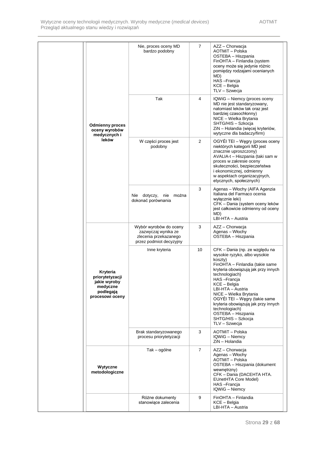|                                                                                         | Nie, proces oceny MD<br>bardzo podobny                                                            | $\overline{7}$ | AZZ - Chorwacja<br>AOTMiT - Polska<br>OSTEBA – Hiszpania<br>FinOHTA - Finlandia (system<br>oceny może się jedynie różnic<br>pomiedzy rodzajami ocenianych<br>MD)<br>HAS --Francja<br>KCE - Belgia<br>TLV - Szwecja                                                                                                                                                                                         |
|-----------------------------------------------------------------------------------------|---------------------------------------------------------------------------------------------------|----------------|------------------------------------------------------------------------------------------------------------------------------------------------------------------------------------------------------------------------------------------------------------------------------------------------------------------------------------------------------------------------------------------------------------|
| <b>Odmienny proces</b><br>oceny wyrobów<br>medycznych i                                 | Tak                                                                                               | $\overline{4}$ | IQWiG - Niemcy (proces oceny<br>MD nie jest standaryzowany,<br>natomiast leków tak oraz jest<br>bardziej czasochłonny)<br>NICE - Wielka Brytania<br>SHTG/HIS - Szkocja<br>ZiN - Holandia (więcej kryteriów,<br>wytyczne dla badaczy/firm)                                                                                                                                                                  |
| leków                                                                                   | W części proces jest<br>podobny                                                                   | $\overline{2}$ | OGYÉI TEI - Węgry (proces oceny<br>niektórych kategorii MD jest<br>znacznie uproszczony)<br>AVALIA-t - Hiszpania (taki sam w<br>proces w zakresie oceny<br>skuteczności, bezpieczeństwa<br>i ekonomicznej, odmienny<br>w aspektach organizacyjnych,<br>etycznych, społecznych)                                                                                                                             |
|                                                                                         | Nie dotyczy,<br>nie<br>można<br>dokonać porównania                                                | 3              | Agenas - Włochy (AIFA Agenzia<br>Italiana del Farmaco ocenia<br>wyłącznie leki)<br>CFK - Dania (system oceny leków<br>jest całkowicie odmienny od oceny<br>MD)<br>LBI-HTA - Austria                                                                                                                                                                                                                        |
|                                                                                         | Wybór wyrobów do oceny<br>zazwyczaj wynika ze<br>zlecenia przekazanego<br>przez podmiot decyzyjny | 3              | AZZ - Chorwacja<br>Agenas - Włochy<br>OSTEBA - Hiszpania                                                                                                                                                                                                                                                                                                                                                   |
| Kryteria<br>priorytetyzacji<br>jakie wyroby<br>medyczne<br>podlegaja<br>procesowi oceny | Inne kryteria                                                                                     | 10             | CFK - Dania (np. ze względu na<br>wysokie ryzyko, albo wysokie<br>koszty)<br>FinOHTA - Finlandia (takie same<br>kryteria obowiązują jak przy innych<br>technologiach)<br>HAS-Francja<br>KCE - Belgia<br>LBI-HTA - Austria<br>NICE - Wielka Brytania<br>OGYÉI TEI – Węgry (takie same<br>kryteria obowiązują jak przy innych<br>technologiach)<br>OSTEBA - Hiszpania<br>SHTG/HIS - Szkocja<br>TLV - Szwecja |
|                                                                                         | Brak standaryzowanego<br>procesu priorytetyzacji                                                  | 3              | AOTMiT - Polska<br>IQWiG - Niemcy<br>ZiN - Holandia                                                                                                                                                                                                                                                                                                                                                        |
| Wytyczne<br>metodologiczne                                                              | Tak - ogólne                                                                                      | $\overline{7}$ | AZZ - Chorwacja<br>Agenas – Włochy<br>AOTMiT - Polska<br>OSTEBA - Hiszpania (dokument<br>wewnętrzny)<br>CFK - Dania (DACEHTA HTA.<br>EUnetHTA Core Model)<br>HAS-Francja<br>IQWiG - Niemcy                                                                                                                                                                                                                 |
|                                                                                         | Różne dokumenty<br>stanowiące zalecenia                                                           | 9              | FinOHTA - Finlandia<br>$KCE - Belgia$<br>LBI-HTA - Austria                                                                                                                                                                                                                                                                                                                                                 |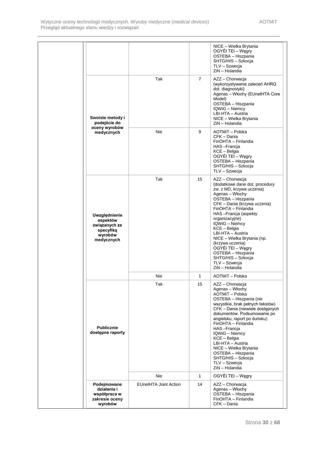|                                                                                  |                              |                | NICE - Wielka Brytania<br>OGYÉI TEI – Węgry<br>OSTEBA - Hiszpania<br>SHTG/HIS - Szkocja<br>TLV - Szwecja<br>ZiN - Holandia                                                                                                                                                                                                                                                                                                             |
|----------------------------------------------------------------------------------|------------------------------|----------------|----------------------------------------------------------------------------------------------------------------------------------------------------------------------------------------------------------------------------------------------------------------------------------------------------------------------------------------------------------------------------------------------------------------------------------------|
| Swoiste metody i<br>podejście do                                                 | Tak                          | $\overline{7}$ | AZZ - Chorwacja<br>(wykorzystywanie zaleceń AHRQ<br>dot. diagnostyki)<br>Agenas - Włochy (EUnetHTA Core<br>Model)<br>OSTEBA - Hiszpania<br>IQWiG - Niemcy<br>LBI-HTA - Austria<br>NICE - Wielka Brytania<br>ZiN - Holandia                                                                                                                                                                                                             |
| oceny wyrobów<br>medycznych                                                      | Nie                          | 9              | AOTMiT - Polska<br>CFK - Dania<br>FinOHTA - Finlandia<br>HAS-Francja<br>KCE - Belgia<br>OGYÉI TEI – Węgry<br>OSTEBA - Hiszpania<br>SHTG/HIS - Szkocja<br>TLV - Szwecja                                                                                                                                                                                                                                                                 |
| Uwzględnienie<br>aspektów<br>związanych ze<br>specyfika<br>wyrobów<br>medycznych | Tak                          | 15             | AZZ - Chorwacja<br>(dodatkowe dane dot. procedury<br>zw. z MD, krzywa uczenia)<br>Agenas - Włochy<br>OSTEBA - Hiszpania<br>CFK - Dania (krzywa uczenia)<br>FinOHTA - Finlandia<br>HAS-Francja (aspekty<br>organizacyjne)<br>IQWiG - Niemcy<br>KCE - Belgia<br>LBI-HTA - Austria<br>NICE - Wielka Brytania (np.<br>(krzywa uczenia)<br>OGYÉI TEI – Węgry<br>OSTEBA - Hiszpania<br>SHTG/HIS - Szkocja<br>TLV - Szwecja<br>ZiN - Holandia |
|                                                                                  | Nie                          | 1              | AOTMiT - Polska                                                                                                                                                                                                                                                                                                                                                                                                                        |
| <b>Publicznie</b><br>dostępne raporty                                            | Tak                          | 15             | AZZ - Chorwacja<br>Agenas - Włochy<br>AOTMiT - Polska<br>OSTEBA - Hiszpania (nie<br>wszystkie, brak pełnych tekstów)<br>CFK - Dania (niewiele dostępnych<br>dokumentów. Podsumowanie po<br>angielsku, raport po duńsku)<br>FinOHTA - Finlandia<br>HAS-Francia<br>IQWiG - Niemcy<br>KCE - Belgia<br>LBI-HTA - Austria<br>NICE - Wielka Brytania<br>OSTEBA - Hiszpania<br>SHTG/HIS - Szkocja<br>TLV - Szwecja<br>ZiN - Holandia          |
|                                                                                  | Nie                          | $\mathbf{1}$   | OGYÉI TEI – Węgry                                                                                                                                                                                                                                                                                                                                                                                                                      |
| Podejmowane<br>działania i<br>współpraca w<br>zakresie oceny<br>wyrobów          | <b>EUnetHTA Joint Action</b> | 14             | AZZ - Chorwacja<br>Agenas - Włochy<br>OSTEBA - Hiszpania<br>FinOHTA - Finlandia<br>CFK - Dania                                                                                                                                                                                                                                                                                                                                         |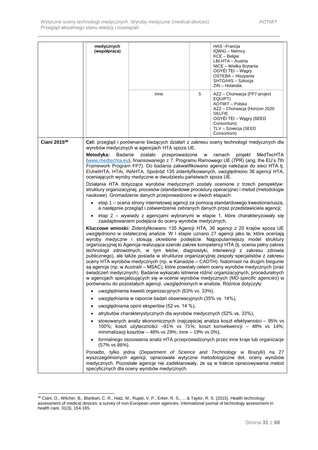| medycznych<br>(współpraca)                                                                                                                                                                                                                                                                                                                                                                                                                                                                                                                                                                                                                                                                                                                                                                                                                                                                                                                                                                                                                                                                                                                                                                                                                                                                                                                                                                                                                                                                                                                                                                                                                                                                                                                                                                                                                                                                                                                                                                                                                                                                                                                                                | Inne                                                                                                                                                                                                                                                                                                                                                  | 5 | HAS-Francja<br>IQWiG - Niemcy<br>KCE - Belgia<br>LBI-HTA - Austria<br>NICE - Wielka Brytania<br>OGYÉI TEI – Wegry<br>OSTEBA - Hiszpania<br>SHTG/HIS - Szkocja<br>ZiN - Holandia<br>AZZ - Chorwacja (FP7-project<br>EQUIPT)<br>AOTMiT - Polska<br>AZZ - Chorwacja (Horizon 2020<br><b>SELFIE</b>                                                                                                                                                                                                               |
|---------------------------------------------------------------------------------------------------------------------------------------------------------------------------------------------------------------------------------------------------------------------------------------------------------------------------------------------------------------------------------------------------------------------------------------------------------------------------------------------------------------------------------------------------------------------------------------------------------------------------------------------------------------------------------------------------------------------------------------------------------------------------------------------------------------------------------------------------------------------------------------------------------------------------------------------------------------------------------------------------------------------------------------------------------------------------------------------------------------------------------------------------------------------------------------------------------------------------------------------------------------------------------------------------------------------------------------------------------------------------------------------------------------------------------------------------------------------------------------------------------------------------------------------------------------------------------------------------------------------------------------------------------------------------------------------------------------------------------------------------------------------------------------------------------------------------------------------------------------------------------------------------------------------------------------------------------------------------------------------------------------------------------------------------------------------------------------------------------------------------------------------------------------------------|-------------------------------------------------------------------------------------------------------------------------------------------------------------------------------------------------------------------------------------------------------------------------------------------------------------------------------------------------------|---|---------------------------------------------------------------------------------------------------------------------------------------------------------------------------------------------------------------------------------------------------------------------------------------------------------------------------------------------------------------------------------------------------------------------------------------------------------------------------------------------------------------|
|                                                                                                                                                                                                                                                                                                                                                                                                                                                                                                                                                                                                                                                                                                                                                                                                                                                                                                                                                                                                                                                                                                                                                                                                                                                                                                                                                                                                                                                                                                                                                                                                                                                                                                                                                                                                                                                                                                                                                                                                                                                                                                                                                                           |                                                                                                                                                                                                                                                                                                                                                       |   | OGYÉI TEI - Węgry (SEED<br>Consortium)<br>TLV - Szwecja (SEED<br>Consortium)                                                                                                                                                                                                                                                                                                                                                                                                                                  |
| Cel: przegląd i porównanie bieżących działań z zakresu oceny technologii medycznych dla<br>wyrobów medycznych w agencjach HTA spoza UE.<br>Badanie<br>zostało<br>Metodyka:<br>przeprowadzone w<br>MedTecHTA<br>ramach<br>projekt<br>(www.medtechta.eu), finansowanego z 7. Programu Ramowego UE (7PR) (ang. the EU's 7th<br>Framework Program FP7). Do badania zakwalifikowano agencje należące do sieci HTA tj.<br>EUnetHTA, HTAi, INAHTA. Spośród 135 zidentyfikowanych, uwzględniono 36 agencji HTA,<br>oceniających wyroby medyczne w dwudziestu państwach spoza UE.<br>Działania HTA dotyczące wyrobów medycznych zostały ocenione z trzech perspektyw:<br>struktury organizacyjnej, procesów (standardowe procedury operacyjne) i metod (metodologie<br>naukowe). Gromadzenie danych przeprowadzono w dwóch etapach:<br>etap 1 – ocena strony internetowej agencji za pomocą standardowego kwestionariusza,<br>a następnie przegląd i zatwierdzenie zebranych danych przez przedstawiciela agencji;<br>etap 2 – wywiady z agencjami wybranymi w etapie 1, które charakteryzowały się<br>zaadaptowaniem podejścia do oceny wyrobów medycznych.<br>Kluczowe wnioski: Zidentyfikowano 135 Agencji HTA, 36 agencji z 20 krajów spoza UE<br>uwzględniono w ostatecznej analizie. W I etapie uznano 27 agencji jako te, które oceniają<br>wyroby medyczne i stosują określone podejście. Najpopularniejszy model struktury<br>organizacyjnej to Agencja realizująca szeroki zakres kompetencji HTA (tj. ocenia pełny zakres<br>technologii zdrowotnych, w tym leków, diagnostyki, interwencji z zakresu zdrowia<br>publicznego), ale także posiada w strukturze organizacyjnej zespoły specjalistów z zakresu<br>oceny HTA wyrobów medycznych (np. w Kanadzie – CADTH). Natomiast na drugim biegunie<br>są agencje (np. w Australii – MSAC), które powstały celem oceny wyrobów medycznych (oraz<br>świadczeń medycznych). Badanie wykazało istnienie różnic organizacyjnych, proceduralnych<br>w agencjach specjalizujących się w ocenie wyrobów medycznych (MD-specific agencies) w<br>porównaniu do pozostałych agencji, uwzględnionych w analizie. Różnice dotyczyły: |                                                                                                                                                                                                                                                                                                                                                       |   |                                                                                                                                                                                                                                                                                                                                                                                                                                                                                                               |
| (57% vs 86%).                                                                                                                                                                                                                                                                                                                                                                                                                                                                                                                                                                                                                                                                                                                                                                                                                                                                                                                                                                                                                                                                                                                                                                                                                                                                                                                                                                                                                                                                                                                                                                                                                                                                                                                                                                                                                                                                                                                                                                                                                                                                                                                                                             | uwzględnienia kwestii organizacyjnych (63% vs. 33%),<br>uwzględniania w raporcie badań obserwacyjnych (35% vs. 14%),<br>uwzględniania opinii ekspertów (52 vs. 14 %),<br>atrybutów charakterystycznych dla wyrobów medycznych (52% vs. 33%),<br>minimalizacji kosztów - 48% vs 29%; inne - 19% vs 0%),<br>specyficznych dla oceny wyrobów medycznych. |   | stosowanych analiz ekonomicznych (najczęściej analiza koszt efektywności – 95% vs<br>100%; koszt użyteczności -81% vs 71%; koszt konsekwencji - 48% vs 14%;<br>formalnego stosowania analiz HTA przeprowadzonych przez inne kraje lub organizacje<br>Ponadto, tylko jedna (Department of Science and Technology w Brazylii) na 27<br>wyszczególnionych agencji, opracowała wytyczne metodologiczne dot. oceny wyrobów<br>medycznych. Pozostałe agencje nie zadeklarowały, że są w trakcie opracowywania metod |

<sup>-</sup><sup>48</sup> Ciani, O., Wilcher, B., Blankart, C. R., Hatz, M., Rupel, V. P., Erker, R. S., ... & Taylor, R. S. (2015). Health technology assessment of medical devices: a survey of non-European union agencies. International journal of technology assessment in health care, 31(3), 154-165.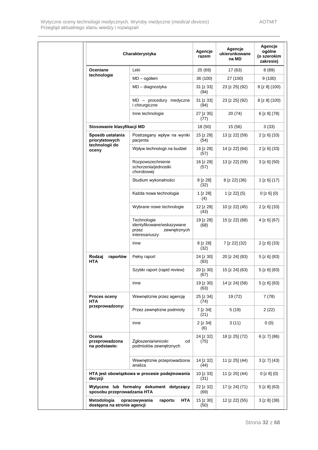|                                            | Charakterystyka                                                                     | Agencje<br>razem  | Agencje<br>ukierunkowane<br>na MD | Agencje<br>ogólne<br>(o szerokim<br>zakresie) |
|--------------------------------------------|-------------------------------------------------------------------------------------|-------------------|-----------------------------------|-----------------------------------------------|
| Oceniane                                   | Leki                                                                                | 25 (69)           | 17 (63)                           | 8(89)                                         |
| technologie                                | $MD - ogólem$                                                                       | 36 (100)          | 27 (100)                          | 9(100)                                        |
|                                            | MD - diagnostyka                                                                    | 31 [z 33]<br>(94) | 23 [z 25] (92)                    | 8 [z 8] (100)                                 |
|                                            | $MD - procedure$ procedury medyczne<br><i>i</i> chirurgiczne                        | 31 [z 33]<br>(94) | 23 [z 25] (92)                    | 8 [z 8] (100)                                 |
|                                            | Inne technologie                                                                    | 27 [z 35]<br>(77) | 20 (74)                           | $6$ [z $8$ ] (78)                             |
| Stosowanie klasyfikacji MD                 |                                                                                     | 18 (50)           | 15 (56)                           | 3(33)                                         |
| Sposób ustalania<br>priorytetowych         | Postrzegany wpływ na wyniki<br>pacjenta                                             | 15 [z 28]<br>(54) | 13 [z 22] (59)                    | $2$ [z 6] (33)                                |
| technologii do<br>oceny                    | Wpływ technologii na budżet                                                         | 16 [z 28]<br>(57) | 14 [z 22] (64)                    | $2$ [z 6] (33)                                |
|                                            | Rozpowszechnienie<br>schorzenia/jednostki<br>chorobowej                             | 16 [z 28]<br>(57) | 13 [z 22] (59)                    | 3 [z 6] (50)                                  |
|                                            | Studium wykonalności                                                                | 9 [z 28]<br>(32)  | 8 [z 22] (36)                     | $1$ [z 6] (17)                                |
|                                            | Każda nowa technologia                                                              | 1 [z 28]<br>(4)   | $1$ [z 22] (5)                    | $0$ [z 6] (0)                                 |
|                                            | Wybrane nowe technologie                                                            | 12 [z 28]<br>(43) | 10 [z 22] (45)                    | $2$ [z 6] (33)                                |
|                                            | Technologie<br>identyfikowane/wskazywane<br>przez<br>zewnętrznych<br>interesariuszy | 19 [z 28]<br>(68) | 15 [z 22] (68)                    | 4 [z 6] (67)                                  |
|                                            | Inne                                                                                | 9 [z 28]<br>(32)  | 7 [z 22] (32)                     | $2$ [z 6] (33)                                |
| Rodzaj<br>raportów<br><b>HTA</b>           | Pełny raport                                                                        | 24 [z 30]<br>(83) | 20 [z 24] (83)                    | $5$ [z 6] (83)                                |
|                                            | Szybki raport (rapid review)                                                        | 20 [z 30]<br>(67) | 15 [z 24] (63)                    | $5$ [z 6] (83)                                |
|                                            | Inne                                                                                | 19 [z 30]<br>(63) | 14 [z 24] (58)                    | 5 [z 6] (83)                                  |
| Proces oceny<br><b>HTA</b>                 | Wewnętrznie przez agencję                                                           | 25 [z 34]<br>(74) | 19 (72)                           | 7(78)                                         |
| przeprowadzony:                            | Przez zewnętrzne podmioty                                                           | 7 [z 34]<br>(21)  | 5 (19)                            | 2(22)                                         |
|                                            | Inne                                                                                | 2 [z 34]<br>(6)   | 3(11)                             | 0(0)                                          |
| Ocena<br>przeprowadzona<br>na podstawie:   | Zgłoszenia/wnioski<br>od<br>podmiotów zewnętrznych                                  | 24 [z 32]<br>(75) | 18 [z 25] (72)                    | 6 [z 7] (86)                                  |
|                                            | Wewnętrznie przeprowadzona<br>analiza                                               | 14 [z 32]<br>(44) | 11 [z 25] (44)                    | 3 [z 7] (43)                                  |
| decyzji                                    | HTA jest obowiązkowa w procesie podejmowania                                        | 10 [z 33]<br>(31) | 11 [z 25] (44)                    | 0 [z 8] (0)                                   |
| sposobu przeprowadzania HTA                | Wytyczne lub formalny dokument dotyczący                                            | 22 [z 32]<br>(69) | 17 [z 24] (71)                    | $5$ [z $8$ ] (63)                             |
| Metodologia<br>dostępna na stronie agencji | <b>HTA</b><br>opracowywania<br>raportu                                              | 15 [z 30]<br>(50) | 12 [z 22] (55)                    | 3 [z 8] (38)                                  |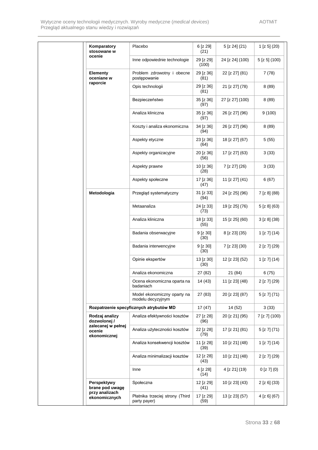| Komparatory<br>stosowane w                   | Placebo                                          | 6 [z 29]<br>(21)   | 5 [z 24] (21)   | $1$ [z 5] (20)    |
|----------------------------------------------|--------------------------------------------------|--------------------|-----------------|-------------------|
| ocenie                                       | Inne odpowiednie technologie                     | 29 [z 29]<br>(100) | 24 [z 24] (100) | $5$ [z 5] (100)   |
| <b>Elementy</b><br>oceniane w                | Problem zdrowotny i obecne<br>postępowanie       | 29 [z 36]<br>(81)  | 22 [z 27] (81)  | 7 (78)            |
| raporcie                                     | Opis technologii                                 | 29 [z 36]<br>(81)  | 21 [z 27] (78)  | 8(89)             |
|                                              | Bezpieczeństwo                                   | 35 [z 36]<br>(97)  | 27 [z 27] (100) | 8(89)             |
|                                              | Analiza kliniczna                                | 35 [z 36]<br>(97)  | 26 [z 27] (96)  | 9(100)            |
|                                              | Koszty i analiza ekonomiczna                     | 34 [z 36]<br>(94)  | 26 [z 27] (96)  | 8(89)             |
|                                              | Aspekty etyczne                                  | 23 [z 36]<br>(64)  | 18 [z 27] (67)  | 5(55)             |
|                                              | Aspekty organizacyjne                            | 20 [z 36]<br>(56)  | 17 [z 27] (63)  | 3(33)             |
|                                              | Aspekty prawne                                   | 10 [z 36]<br>(28)  | 7 [z 27] (26)   | 3(33)             |
|                                              | Aspekty społeczne                                | 17 [z 36]<br>(47)  | 11 [z 27] (41)  | 6(67)             |
| Metodologia                                  | Przegląd systematyczny                           | 31 [z 33]<br>(94)  | 24 [z 25] (96)  | 7 [z 8] (88)      |
|                                              | Metaanaliza                                      | 24 [z 33]<br>(73)  | 19 [z 25] (76)  | $5$ [z $8$ ] (63) |
|                                              | Analiza kliniczna                                | 18 [z 33]<br>(55)  | 15 [z 25] (60)  | 3 [z 8] (38)      |
|                                              | Badania obserwacyjne                             | 9 [z 30]<br>(30)   | 8 [z 23] (35)   | $1$ [z 7] (14)    |
|                                              | Badania interwencyjne                            | 9 [z 30]<br>(30)   | 7 [z 23] (30)   | $2$ [z 7] (29)    |
|                                              | Opinie ekspertów                                 | 13 [z 30]<br>(30)  | 12 [z 23] (52)  | $1$ [z 7] (14)    |
|                                              | Analiza ekonomiczna                              | 27 (82)            | 21 (84)         | 6(75)             |
|                                              | Ocena ekonomiczna oparta na<br>badaniach         | 14 (43)            | 11 [z 23] (48)  | 2 [z 7] (29)      |
|                                              | Model ekonomiczny oparty na<br>modelu decyzyjnym | 27 (83)            | 20 [z 23] (87)  | 5 [z 7] (71)      |
|                                              | Rozpatrzenie specyficznych atrybutów MD          | 17(47)             | 14 (52)         | 3(33)             |
| Rodzaj analizy<br>dozwolonej/                | Analiza efektywności kosztów                     | 27 [z 28]<br>(96)  | 20 [z 21] (95)  | 7 [z 7] (100)     |
| zalecanej w pełnej<br>ocenie<br>ekonomicznej | Analiza użyteczności kosztów                     | 22 [z 28]<br>(79)  | 17 [z 21] (81)  | 5 [z 7] (71)      |
|                                              | Analiza konsekwencji kosztów                     | 11 [z 28]<br>(39)  | 10 [z 21] (48)  | $1$ [z 7] (14)    |
|                                              | Analiza minimalizacji kosztów                    | 12 [z 28]<br>(43)  | 10 [z 21] (48)  | 2 [z 7] (29)      |
|                                              | Inne                                             | 4 [z 28]<br>(14)   | 4 [z 21] (19)   | $0$ [z 7] $(0)$   |
| Perspektywy<br>brane pod uwagę               | Społeczna                                        | 12 [z 29]<br>(41)  | 10 [z 23] (43)  | $2$ [z 6] (33)    |
| przy analizach<br>ekonomicznych              | Płatnika trzeciej strony (Third<br>party payer)  | 17 [z 29]<br>(59)  | 13 [z 23] (57)  | 4 [z 6] (67)      |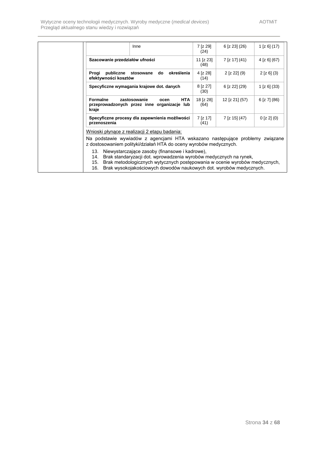<span id="page-33-0"></span>

|                                | Inne                                                                                                                                                                                                                                                                    | 7 [z 29]<br>(24)  | $6$ [z 23] (26) | $1$ [z 6] (17)   |
|--------------------------------|-------------------------------------------------------------------------------------------------------------------------------------------------------------------------------------------------------------------------------------------------------------------------|-------------------|-----------------|------------------|
| Szacowanie przedziałów ufności |                                                                                                                                                                                                                                                                         | 11 [z 23]<br>(48) | 7 [z 17] (41)   | $4$ [z 6] (67)   |
| Progi<br>efektywności kosztów  | publiczne stosowane<br>do<br>określenia                                                                                                                                                                                                                                 | 4 [z 28]<br>(14)  | $2$ [z 22] (9)  | $2$ [z 6] (3)    |
|                                | Specyficzne wymagania krajowe dot. danych                                                                                                                                                                                                                               | 8 [z 27]<br>(30)  | 6 [z 22] (29)   | $1$ [z 6] (33)   |
| <b>Formalne</b><br>kraje       | zastosowanie<br><b>HTA</b><br>ocen<br>przeprowadzonych przez inne organizacje lub                                                                                                                                                                                       | 18 [z 28]<br>(64) | 12 [z 21] (57)  | $6$ [z 7] $(86)$ |
| przenoszenia                   | Specyficzne procesy dla zapewnienia możliwości                                                                                                                                                                                                                          | 7 [z 17]<br>(41)  | 7 [z 15] (47)   | 0 [z 2] (0)      |
|                                | Wnioski płynące z realizacji 2 etapu badania:                                                                                                                                                                                                                           |                   |                 |                  |
|                                | Na podstawie wywiadów z agencjami HTA wskazano następujące problemy związane<br>z dostosowaniem polityki/działań HTA do oceny wyrobów medycznych.                                                                                                                       |                   |                 |                  |
| 13.<br>14.<br>15.<br>16.       | Niewystarczające zasoby (finansowe i kadrowe),<br>Brak standaryzacji dot. wprowadzenia wyrobów medycznych na rynek,<br>Brak metodologicznych wytycznych postępowania w ocenie wyrobów medycznych,<br>Brak wysokojakościowych dowodów naukowych dot. wyrobów medycznych. |                   |                 |                  |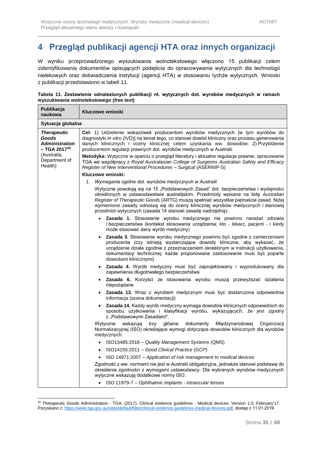W wyniku przeprowadzonego wyszukiwania wolnotekstowego włączono 15 publikacji celem zidentyfikowania dokumentów opisujących podejścia do opracowywania wytycznych dla technologii nielekowych oraz doświadczenia instytucji (agencji HTA) w stosowaniu tychże wytycznych. Wnioski z publikacji przedstawiono w tabeli 11.

|  | Tabela 11. Zestawienie odnalezionych publikacji nt. wytycznych dot. wyrobów medycznych w ramach |  |  |  |  |
|--|-------------------------------------------------------------------------------------------------|--|--|--|--|
|  | wyszukiwania wolnotekstowego (free text)                                                        |  |  |  |  |

| Publikacja<br>naukowa                                                                             | Kluczowe wnioski                                                                                                                                                                                                                                                                                                                                                                                                  |  |  |  |  |  |  |
|---------------------------------------------------------------------------------------------------|-------------------------------------------------------------------------------------------------------------------------------------------------------------------------------------------------------------------------------------------------------------------------------------------------------------------------------------------------------------------------------------------------------------------|--|--|--|--|--|--|
|                                                                                                   | Sytuacja globalna                                                                                                                                                                                                                                                                                                                                                                                                 |  |  |  |  |  |  |
| <b>Therapeutic</b><br>Goods<br><b>Administration</b><br>$-$ TGA 2017 <sup>49</sup><br>(Australia; | Cel: 1) Udzielenie wskazówek producentom wyrobów medycznych [w tym wyrobów do<br>diagnostyki in vitro (IVD)] na temat tego, co stanowi dowód kliniczny oraz procesu generowania<br>danych klinicznych i oceny klinicznej celem uzyskania ww. dowodów; 2) Przybliżenie<br>producentom regulacji prawnych dot. wyrobów medycznych w Australii                                                                       |  |  |  |  |  |  |
| Department of<br>Health)                                                                          | Metodyka: Wytyczne w oparciu o przegląd literatury i aktualne regulacje prawne; opracowanie<br>TGA we współpracy z Royal Australasian College of Surgeons Australian Safety and Efficacy<br>Register of New Interventional Procedures - Surgical (ASERNIP-S)                                                                                                                                                      |  |  |  |  |  |  |
|                                                                                                   | Kluczowe wnioski:                                                                                                                                                                                                                                                                                                                                                                                                 |  |  |  |  |  |  |
|                                                                                                   | 1. Wymagania ogólne dot. wyrobów medycznych w Australii                                                                                                                                                                                                                                                                                                                                                           |  |  |  |  |  |  |
|                                                                                                   | Wytyczne powołują się na 15 "Podstawowych Zasad" dot. bezpieczeństwa i wydajności<br>określonych w ustawodawstwie australijskim. Przedmioty wpisane na listę Australian<br>Register of Therapeutic Goods (ARTG) muszą spełniać wszystkie piętnaście zasad. Niżej<br>wymienione zasady odnoszą się do oceny klinicznej wyrobów medycznych i stanowią<br>przedmiot wytycznych (zasada 14 stanowi zasadę nadrzędną): |  |  |  |  |  |  |
|                                                                                                   | Zasada 1. Stosowanie wyrobu medycznego nie powinno narażać zdrowia<br>i bezpieczeństwa (kontekst stosowania urządzenia; kto - lekarz, pacjent - i kiedy<br>może stosować dany wyrób medyczny)                                                                                                                                                                                                                     |  |  |  |  |  |  |
|                                                                                                   | Zasada 3. Stosowanie wyrobu medycznego powinno być zgodne z zamierzeniami<br>$\bullet$<br>producenta (czy istnieją wystarczające dowody kliniczne, aby wykazać, że<br>urządzenie działa zgodnie z przeznaczeniem określonym w instrukcji użytkowania,<br>dokumentacji technicznej; każde proponowane zastosowanie musi być poparte<br>dowodami klinicznymi)                                                       |  |  |  |  |  |  |
|                                                                                                   | Zasada 4. Wyrób medyczny musi być zaprojektowany i wyprodukowany dla<br>$\bullet$<br>zapewnienia długotrwałego bezpieczeństwa                                                                                                                                                                                                                                                                                     |  |  |  |  |  |  |
|                                                                                                   | · Zasada 6. Korzyści ze stosowania wyrobu muszą przewyższać działania<br>niepożądane                                                                                                                                                                                                                                                                                                                              |  |  |  |  |  |  |
|                                                                                                   | • Zasada 13. Wraz z wyrobem medycznym musi być dostarczona odpowiednia<br>informacja (ocena dokumentacji)                                                                                                                                                                                                                                                                                                         |  |  |  |  |  |  |
|                                                                                                   | Zasada 14. Każdy wyrób medyczny wymaga dowodów klinicznych odpowiednich do<br>$\bullet$<br>sposobu użytkowania i klasyfikacji wyrobu, wykazujących, że jest zgodny<br>z "Podstawowymi Zasadami".                                                                                                                                                                                                                  |  |  |  |  |  |  |
|                                                                                                   | Wytyczne<br>wskazują trzy<br>główne<br>dokumenty<br>Międzynarodowej<br>Organizacji<br>Normalizacyjnej (ISO) określające wymogi dotyczące dowodów klinicznych dla wyrobów<br>medycznych:                                                                                                                                                                                                                           |  |  |  |  |  |  |
|                                                                                                   | • ISO13485:2016 - Quality Management Systems (QMS)                                                                                                                                                                                                                                                                                                                                                                |  |  |  |  |  |  |
|                                                                                                   | ISO14155:2011 - Good Clinical Practice (GCP)                                                                                                                                                                                                                                                                                                                                                                      |  |  |  |  |  |  |
|                                                                                                   | ISO 14971:2007 - Application of risk management to medical devices                                                                                                                                                                                                                                                                                                                                                |  |  |  |  |  |  |
|                                                                                                   | Zgodność z ww. normami nie jest w Australii obligatoryjna, jednakże stanowi podstawę do<br>określenia zgodności z wymogami ustawodawcy. Dla wybranych wyrobów medycznych<br>wytyczne wskazują dodatkowe normy ISO:                                                                                                                                                                                                |  |  |  |  |  |  |
|                                                                                                   | ISO 11979-7 - Ophthalmic implants - intraocular lenses                                                                                                                                                                                                                                                                                                                                                            |  |  |  |  |  |  |

<sup>1</sup> <sup>49</sup> Therapeutic Goods Administration - TGA. (2017). Clinical evidence guidelines - Medical devices. Version 1.0, February'17. Pozyskano z[: https://www.tga.gov.au/sites/default/files/clinical-evidence-guidelines-medical-devices.pdf,](https://www.tga.gov.au/sites/default/files/clinical-evidence-guidelines-medical-devices.pdf) dostęp z 11.01.2019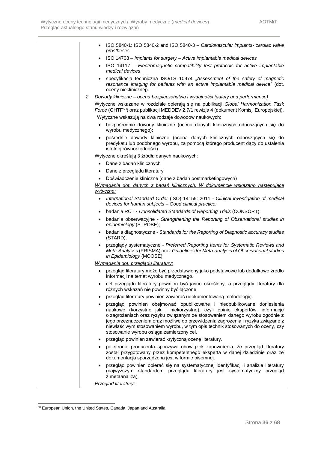| ISO 5840-1; ISO 5840-2 and ISO 5840-3 - Cardiovascular implants- cardiac valve<br>$\bullet$<br>prostheses                                                                                                                                                                                                                                                                                                                                                |
|----------------------------------------------------------------------------------------------------------------------------------------------------------------------------------------------------------------------------------------------------------------------------------------------------------------------------------------------------------------------------------------------------------------------------------------------------------|
| ISO 14708 - Implants for surgery - Active implantable medical devices<br>$\bullet$                                                                                                                                                                                                                                                                                                                                                                       |
| ISO 14117 - Electromagnetic compatibility test protocols for active implantable<br>medical devices                                                                                                                                                                                                                                                                                                                                                       |
| specyfikacja techniczna ISO/TS 10974 "Assessment of the safety of magnetic<br>resonance imaging for patients with an active implantable medical device" (dot.<br>oceny nieklinicznej).                                                                                                                                                                                                                                                                   |
| 2. Dowody kliniczne – ocena bezpieczeństwa i wydajności (safety and performance)                                                                                                                                                                                                                                                                                                                                                                         |
| Wytyczne wskazane w rozdziale opierają się na publikacji Global Harmonization Task<br>Force (GHTF <sup>50</sup> ) oraz publikacji MEDDEV 2.7/1 rewizja 4 (dokument Komisji Europejskiej).                                                                                                                                                                                                                                                                |
| Wytyczne wskazują na dwa rodzaje dowodów naukowych:                                                                                                                                                                                                                                                                                                                                                                                                      |
| bezpośrednie dowody kliniczne (ocena danych klinicznych odnoszących się do<br>$\bullet$<br>wyrobu medycznego);                                                                                                                                                                                                                                                                                                                                           |
| pośrednie dowody kliniczne (ocena danych klinicznych odnoszących się do<br>$\bullet$<br>predykatu lub podobnego wyrobu, za pomocą którego producent dąży do ustalenia<br>istotnej równorzędności).                                                                                                                                                                                                                                                       |
| Wytyczne określają 3 źródła danych naukowych:                                                                                                                                                                                                                                                                                                                                                                                                            |
| Dane z badań klinicznych<br>$\bullet$                                                                                                                                                                                                                                                                                                                                                                                                                    |
| Dane z przeglądu literatury<br>$\bullet$                                                                                                                                                                                                                                                                                                                                                                                                                 |
| Doświadczenie kliniczne (dane z badań postmarketingowych)<br>٠                                                                                                                                                                                                                                                                                                                                                                                           |
| Wymagania dot. danych z badań klinicznych. W dokumencie wskazano następujące<br>wytyczne:                                                                                                                                                                                                                                                                                                                                                                |
| International Standard Order (ISO) 14155: 2011 - Clinical investigation of medical<br>$\bullet$<br>devices for human subjects - Good clinical practice;                                                                                                                                                                                                                                                                                                  |
| badania RCT - Consolidated Standards of Reporting Trials (CONSORT);<br>$\bullet$                                                                                                                                                                                                                                                                                                                                                                         |
| badania obserwacyjne - Strengthening the Reporting of Observational studies in<br>$\bullet$<br>epidemiology (STROBE);                                                                                                                                                                                                                                                                                                                                    |
| badania diagnostyczne - Standards for the Reporting of Diagnostic accuracy studies<br>(STARD);                                                                                                                                                                                                                                                                                                                                                           |
| przeglądy systematyczne - Preferred Reporting Items for Systematic Reviews and<br>Meta-Analyses (PRISMA) oraz Guidelines for Meta-analysis of Observational studies<br>in Epidemiology (MOOSE).                                                                                                                                                                                                                                                          |
| Wymagania dot. przeglądu literatury:                                                                                                                                                                                                                                                                                                                                                                                                                     |
| przegląd literatury może być przedstawiony jako podstawowe lub dodatkowe źródło<br>informacji na temat wyrobu medycznego.                                                                                                                                                                                                                                                                                                                                |
| cel przeglądu literatury powinien być jasno określony, a przeglądy literatury dla<br>różnych wskazań nie powinny być łączone.                                                                                                                                                                                                                                                                                                                            |
| przegląd literatury powinien zawierać udokumentowaną metodologię.<br>٠                                                                                                                                                                                                                                                                                                                                                                                   |
| przegląd powinien obejmować opublikowane i nieopublikowane doniesienia<br>٠<br>naukowe (korzystne jak i niekorzystne), czyli opinie ekspertów, informacje<br>o zagrożeniach oraz ryzyku związanym ze stosowaniem danego wyrobu zgodnie z<br>jego przeznaczeniem oraz możliwe do przewidzenia zagrożenia i ryzyka związane z<br>niewłaściwym stosowaniem wyrobu, w tym opis technik stosowanych do oceny, czy<br>stosowanie wyrobu osiąga zamierzony cel. |
| przegląd powinien zawierać krytyczną ocenę literatury.<br>$\bullet$                                                                                                                                                                                                                                                                                                                                                                                      |
| po stronie producenta spoczywa obowiązek zapewnienia, że przegląd literatury<br>został przygotowany przez kompetentnego eksperta w danej dziedzinie oraz że<br>dokumentacja sporządzona jest w formie pisemnej.                                                                                                                                                                                                                                          |
| przegląd powinien opierać się na systematycznej identyfikacji i analizie literatury<br>$\bullet$<br>(najwyższym standardem przeglądu literatury jest systematyczny przegląd<br>z metaanaliza).                                                                                                                                                                                                                                                           |
| <b>Przegląd literatury:</b>                                                                                                                                                                                                                                                                                                                                                                                                                              |

<sup>1</sup> <sup>50</sup> European Union, the United States, Canada, Japan and Australia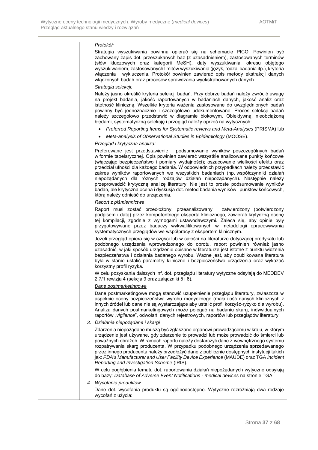#### *Protokół:*

Strategia wyszukiwania powinna opierać się na schemacie PICO. Powinien być zachowany zapis dot. przeszukanych baz (z uzasadnieniem), zastosowanych terminów (słów kluczowych oraz kategorii MeSH), daty wyszukiwania, okresu objętego wyszukiwaniem, zastosowanych limitów wyszukiwania (język, rodzaj badania itp.), kryteria włączenia i wykluczenia. Protokół powinien zawierać opis metody ekstrakcji danych włączonych badań oraz procesów sprawdzania wyekstrahowanych danych.

#### *Strategia selekcji:*

Należy jasno określić kryteria selekcji badań. Przy dobrze badań należy zwrócić uwagę na projekt badania, jakość raportowanych w badaniach danych, jakość analiz oraz istotność kliniczną. Wszelkie kryteria ważenia zastosowane do uwzględnionych badań powinny być jednoznacznie i szczegółowo udokumentowane. Proces selekcji badań należy szczegółowo przedstawić w diagramie blokowym. Obiektywną, nieobciążoną błędami, systematyczną selekcję i przegląd należy oprzeć na wytycznych:

- *Preferred Reporting Items for Systematic reviews and Meta-Analyses* (PRISMA) lub
- *Meta-analysis of Observational Studies in Epidemiology* (MOOSE).

#### *Przegląd i krytyczna analiza:*

Preferowane jest przedstawienie i podsumowanie wyników poszczególnych badań w formie tabelarycznej. Opis powinien zawierać wszystkie analizowane punkty końcowe (włączając bezpieczeństwo i pomiary wydajności); oszacowanie wielkości efektu oraz przedział ufności dla każdego badania. W odpowiednich przypadkach należy przedstawić zakres wyników raportowanych we wszystkich badaniach (np. współczynniki działań niepożądanych dla różnych rodzajów działań niepożądanych). Następnie należy przeprowadzić krytyczną analizę literatury. Nie jest to proste podsumowanie wyników badań, ale krytyczna ocena i dyskusja dot. metod badania wyników i punktów końcowych, którą należy odnieść do urządzenia.

#### *Raport z piśmiennictwa*

Raport musi zostać przedłożony, przeanalizowany i zatwierdzony (potwierdzony podpisem i datą) przez kompetentnego eksperta klinicznego, zawierać krytyczną ocenę tej kompilacji, zgodnie z wymogami ustawodawczymi. Zaleca się, aby opinie były przygotowywane przez badaczy wykwalifikowanych w metodologii opracowywania systematycznych przeglądów we współpracy z ekspertem klinicznym.

Jeżeli przegląd opiera się w części lub w całości na literaturze dotyczącej predykatu lub podobnego urządzenia wprowadzonego do obrotu, raport powinien również jasno uzasadnić, w jaki sposób urządzenie opisane w literaturze jest istotne z punktu widzenia bezpieczeństwa i działania badanego wyrobu. Ważne jest, aby opublikowana literatura była w stanie ustalić parametry kliniczne i bezpieczeństwo urządzenia oraz wykazać korzystny profil ryzyka.

W celu pozyskania dalszych inf. dot. przeglądu literatury wytyczne odsyłają do MEDDEV 2.7/1 rewizja 4 (sekcja 9 oraz załączniki 5 i 6).

#### *Dane postmarketingowe*

Dane postmarketingowe mogą stanowić uzupełnienie przeglądu literatury, zwłaszcza w aspekcie oceny bezpieczeństwa wyrobu medycznego (mała ilość danych klinicznych z innych źródeł lub dane nie są wystarczające aby ustalić profil korzyść-ryzyko dla wyrobu). Analiza danych postmarketingowych może polegać na badaniu skarg, indywidualnych raportów "*vigilance*", odwołań, danych rejestrowych, raportów lub przeglądów literatury.

*3. Działania niepożądane i skargi*

Zdarzenia niepożądane muszą być zgłaszane organowi prowadzącemu w kraju, w którym urządzenie jest używane, gdy zdarzenie to prowadzi lub może prowadzić do śmierci lub poważnych obrażeń. W ramach raportu należy dostarczyć dane z wewnętrznego systemu rozpatrywania skarg producenta. W przypadku podobnego urządzenia sprzedawanego przez innego producenta należy przedłożyć dane z publicznie dostępnych instytucji takich jak: *FDA's Manufacturer and User Facility Device Experience* (MAUDE) oraz TGA *Incident Reporting and Investigation Scheme* (IRIS).

W celu pogłębienia tematu dot. raportowania działań niepożądanych wytyczne odsyłają do bazy: *Database of Adverse Event Notifications - medical devices* na stronie TGA.

#### *4. Wycofanie produktów*

Dane dot. wycofania produktu są ogólnodostępne. Wytyczne rozróżniają dwa rodzaje wycofań z użycia: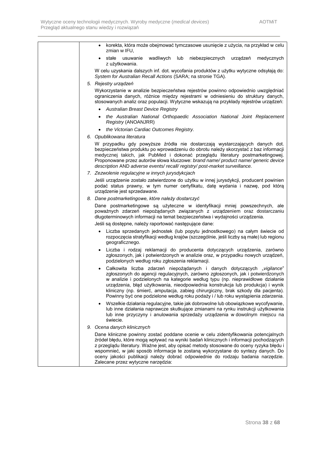| korekta, która może obejmować tymczasowe usunięcie z użycia, na przykład w celu<br>zmian w IFU,                                                                                                                                                                                                                                                                                                                                                                                                                         |
|-------------------------------------------------------------------------------------------------------------------------------------------------------------------------------------------------------------------------------------------------------------------------------------------------------------------------------------------------------------------------------------------------------------------------------------------------------------------------------------------------------------------------|
| stałe<br>wadliwych lub niebezpiecznych<br>usuwanie<br>urządzeń medycznych<br>z użytkowania.                                                                                                                                                                                                                                                                                                                                                                                                                             |
| W celu uzyskania dalszych inf. dot. wycofania produktów z użytku wytyczne odsyłają do:<br>System for Australian Recall Actions (SARA; na stronie TGA).                                                                                                                                                                                                                                                                                                                                                                  |
| 5. Rejestry urządzeń                                                                                                                                                                                                                                                                                                                                                                                                                                                                                                    |
| Wykorzystanie w analizie bezpieczeństwa rejestrów powinno odpowiednio uwzględniać                                                                                                                                                                                                                                                                                                                                                                                                                                       |
| ograniczenia danych, różnice między rejestrami w odniesieniu do struktury danych,<br>stosowanych analiz oraz populacji. Wytyczne wskazują na przykłady rejestrów urządzeń:                                                                                                                                                                                                                                                                                                                                              |
| <b>Australian Breast Device Registry</b><br>$\bullet$                                                                                                                                                                                                                                                                                                                                                                                                                                                                   |
| the Australian National Orthopaedic Association National Joint Replacement<br>Registry (ANOANJRR)                                                                                                                                                                                                                                                                                                                                                                                                                       |
| the Victorian Cardiac Outcomes Registry.                                                                                                                                                                                                                                                                                                                                                                                                                                                                                |
| 6. Opublikowana literatura                                                                                                                                                                                                                                                                                                                                                                                                                                                                                              |
| W przypadku gdy powyższe źródła nie dostarczają wystarczających danych dot.<br>bezpieczeństwa produktu po wprowadzeniu do obrotu należy skorzystać z baz informacji<br>medycznej takich, jak PubMed i dokonać przeglądu literatury postmarketingowej.<br>Proponowane przez autorów słowa kluczowe: brand name/ product name/ generic device<br>description AND adverse events/recall/registry/post-market surveillance.                                                                                                 |
| 7. Zezwolenie regulacyjne w innych jurysdykcjach                                                                                                                                                                                                                                                                                                                                                                                                                                                                        |
| Jeśli urządzenie zostało zatwierdzone do użytku w innej jurysdykcji, producent powinien<br>podać status prawny, w tym numer certyfikatu, datę wydania i nazwę, pod którą<br>urządzenie jest sprzedawane.                                                                                                                                                                                                                                                                                                                |
| 8. Dane postmarketingowe, które należy dostarczyć                                                                                                                                                                                                                                                                                                                                                                                                                                                                       |
| Dane postmarketingowe są użyteczne w identyfikacji mniej powszechnych, ale<br>poważnych zdarzeń niepożądanych związanych z urządzeniem oraz dostarczaniu<br>długoterminowych informacji na temat bezpieczeństwa i wydajności urządzenia.                                                                                                                                                                                                                                                                                |
| Jeśli są dostępne, należy raportować następujące dane:                                                                                                                                                                                                                                                                                                                                                                                                                                                                  |
| Liczba sprzedanych jednostek (lub popytu jednostkowego) na całym świecie od<br>$\bullet$<br>rozpoczęcia stratyfikacji według krajów (szczególnie, jeśli liczby są małe) lub regionu<br>geograficznego.                                                                                                                                                                                                                                                                                                                  |
| Liczba i rodzaj reklamacji do producenta dotyczących urządzenia, zarówno<br>$\bullet$<br>zgłoszonych, jak i potwierdzonych w analizie oraz, w przypadku nowych urządzeń,<br>podzielonych według roku zgłoszenia reklamacji.                                                                                                                                                                                                                                                                                             |
| Całkowita liczba zdarzeń niepożądanych i danych dotyczących "vigilance"<br>$\bullet$<br>zgłoszonych do agencji regulacyjnych, zarówno zgłoszonych, jak i potwierdzonych<br>w analizie i podzielonych na kategorie według typu (np. nieprawidłowe działanie<br>urządzenia, błąd użytkowania, nieodpowiednia konstrukcja lub produkcja) i wynik<br>kliniczny (np. śmierć, amputacja, zabieg chirurgiczny, brak szkody dla pacjenta).<br>Powinny być one podzielone według roku podaży i / lub roku wystąpienia zdarzenia. |
| Wszelkie działania regulacyjne, takie jak dobrowolne lub obowiązkowe wycofywanie,<br>$\bullet$<br>lub inne działania naprawcze skutkujące zmianami na rynku instrukcji użytkowania<br>lub inne przyczyny i anulowania sprzedaży urządzenia w dowolnym miejscu na<br>świecie.                                                                                                                                                                                                                                            |
| 9. Ocena danych klinicznych                                                                                                                                                                                                                                                                                                                                                                                                                                                                                             |
| Dane kliniczne powinny zostać poddane ocenie w celu zidentyfikowania potencjalnych<br>źródeł błędu, które mogą wpływać na wyniki badań klinicznych i informacji pochodzących<br>z przeglądu literatury. Ważne jest, aby opisać metody stosowane do oceny ryzyka błędu i<br>wspomnieć, w jaki sposób informacje te zostaną wykorzystane do syntezy danych. Do<br>oceny jakości publikacji należy dobrać odpowiednie do rodzaju badania narzędzie.<br>Zalecane przez wytyczne narzędzia:                                  |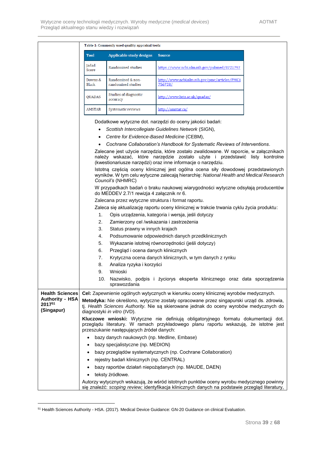|                                                |                                                                                                                                                                                                                         | Table 1: Commonly used quality appraisal tools                                           |                                                                                                                                                                                                                                      |  |  |
|------------------------------------------------|-------------------------------------------------------------------------------------------------------------------------------------------------------------------------------------------------------------------------|------------------------------------------------------------------------------------------|--------------------------------------------------------------------------------------------------------------------------------------------------------------------------------------------------------------------------------------|--|--|
|                                                | <b>Tool</b>                                                                                                                                                                                                             | <b>Applicable study designs</b>                                                          | <b>Source</b>                                                                                                                                                                                                                        |  |  |
|                                                | Jadad<br>Score                                                                                                                                                                                                          | Randomised studies                                                                       | https://www.ncbi.nlm.nih.gov/pubmed/8721797                                                                                                                                                                                          |  |  |
|                                                | Downs &<br><b>Black</b>                                                                                                                                                                                                 | Randomised & non-<br>randomised studies                                                  | http://www.ncbi.nlm.nih.gov/pmc/articles/PMC1<br>756728/                                                                                                                                                                             |  |  |
|                                                | <b>QUADAS</b>                                                                                                                                                                                                           | Studies of diagnostic<br>accuracy                                                        | http://www.bris.ac.uk/quadas/                                                                                                                                                                                                        |  |  |
|                                                | AMSTAR                                                                                                                                                                                                                  | Systematic reviews                                                                       | http://amstar.ca/                                                                                                                                                                                                                    |  |  |
|                                                | ٠                                                                                                                                                                                                                       | Centre for Evidence-Based Medicine (CEBM),                                               | Dodatkowe wytyczne dot. narzędzi do oceny jakości badań:<br>Scottish Intercollegiate Guidelines Network (SIGN),<br>Cochrane Collaboration's Handbook for Systematic Reviews of Interventions.                                        |  |  |
|                                                |                                                                                                                                                                                                                         |                                                                                          | Zalecane jest użycie narzędzia, które zostało zwalidowane. W raporcie, w załącznikach<br>należy wskazać, które narzędzie zostało użyte i przedstawić listy kontrolne<br>(kwestionariusze narzędzi) oraz inne informacje o narzędziu. |  |  |
|                                                |                                                                                                                                                                                                                         | Council's (NHMRC)                                                                        | Istotną częścią oceny klinicznej jest ogólna ocena siły dowodowej przedstawionych<br>wyników. W tym celu wytyczne zalecają hierarchię: National Health and Medical Research                                                          |  |  |
|                                                |                                                                                                                                                                                                                         | do MEDDEV 2.7/1 rewizja 4 załącznik nr 6.                                                | W przypadkach badań o braku naukowej wiarygodności wytyczne odsyłają producentów                                                                                                                                                     |  |  |
|                                                |                                                                                                                                                                                                                         | Zalecana przez wytyczne struktura i format raportu.                                      |                                                                                                                                                                                                                                      |  |  |
|                                                |                                                                                                                                                                                                                         | Zaleca się aktualizację raportu oceny klinicznej w trakcie trwania cyklu życia produktu: |                                                                                                                                                                                                                                      |  |  |
|                                                | 1.                                                                                                                                                                                                                      | Opis urządzenia, kategoria i wersja, jeśli dotyczy                                       |                                                                                                                                                                                                                                      |  |  |
|                                                | 2.                                                                                                                                                                                                                      | Zamierzony cel /wskazania i zastrzeżenia                                                 |                                                                                                                                                                                                                                      |  |  |
|                                                | 3.                                                                                                                                                                                                                      | Status prawny w innych krajach                                                           |                                                                                                                                                                                                                                      |  |  |
|                                                | 4.                                                                                                                                                                                                                      | Podsumowanie odpowiednich danych przedklinicznych                                        |                                                                                                                                                                                                                                      |  |  |
|                                                | 5.                                                                                                                                                                                                                      | Wykazanie istotnej równorzędności (jeśli dotyczy)                                        |                                                                                                                                                                                                                                      |  |  |
|                                                | 6.                                                                                                                                                                                                                      | Przegląd i ocena danych klinicznych                                                      |                                                                                                                                                                                                                                      |  |  |
|                                                | 7.                                                                                                                                                                                                                      |                                                                                          | Krytyczna ocena danych klinicznych, w tym danych z rynku                                                                                                                                                                             |  |  |
|                                                | 8.                                                                                                                                                                                                                      | Analiza ryzyka i korzyści                                                                |                                                                                                                                                                                                                                      |  |  |
|                                                | 9.                                                                                                                                                                                                                      | Wnioski                                                                                  |                                                                                                                                                                                                                                      |  |  |
|                                                |                                                                                                                                                                                                                         | sprawozdania                                                                             | 10. Nazwisko, podpis i życiorys eksperta klinicznego oraz data sporządzenia                                                                                                                                                          |  |  |
| <b>Health Sciences</b>                         |                                                                                                                                                                                                                         |                                                                                          | Cel: Zapewnienie ogólnych wytycznych w kierunku oceny klinicznej wyrobów medycznych.                                                                                                                                                 |  |  |
| <b>Authority - HSA</b><br>201751<br>(Singapur) |                                                                                                                                                                                                                         | diagnostyki in vitro (IVD).                                                              | Metodyka: Nie określono, wytyczne zostały opracowane przez singapurski urząd ds. zdrowia,<br>tj. Health Sciences Authority. Nie są skierowane jednak do oceny wyrobów medycznych do                                                  |  |  |
|                                                | Kluczowe wnioski: Wytyczne nie definiują obligatoryjnego formatu dokumentacji dot.<br>przeglądu literatury. W ramach przykładowego planu raportu wskazują, że istotne jest<br>przeszukanie następujących źródeł danych: |                                                                                          |                                                                                                                                                                                                                                      |  |  |
|                                                |                                                                                                                                                                                                                         | bazy danych naukowych (np. Medline, Embase)                                              |                                                                                                                                                                                                                                      |  |  |
|                                                | $\bullet$                                                                                                                                                                                                               | bazy specjalistyczne (np. MEDION)                                                        |                                                                                                                                                                                                                                      |  |  |
|                                                |                                                                                                                                                                                                                         |                                                                                          | bazy przeglądów systematycznych (np. Cochrane Collaboration)                                                                                                                                                                         |  |  |
|                                                |                                                                                                                                                                                                                         | rejestry badań klinicznych (np. CENTRAL)                                                 |                                                                                                                                                                                                                                      |  |  |
|                                                | $\bullet$                                                                                                                                                                                                               |                                                                                          | bazy raportów działań niepożądanych (np. MAUDE, DAEN)                                                                                                                                                                                |  |  |
|                                                | $\bullet$                                                                                                                                                                                                               | teksty źródłowe.                                                                         |                                                                                                                                                                                                                                      |  |  |
|                                                |                                                                                                                                                                                                                         |                                                                                          | Autorzy wytycznych wskazują, że wśród istotnych punktów oceny wyrobu medycznego powinny<br>się znaleźć: scoping review; identyfikacja klinicznych danych na podstawie przegląd literatury,                                           |  |  |

<sup>51</sup> Health Sciences Authority - HSA. (2017). Medical Device Guidance: GN-20 Guidance on clinical Evaluation.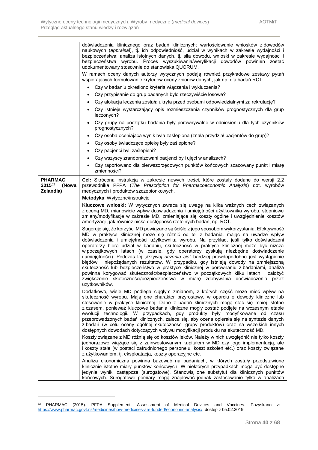|                                                | doświadczenia klinicznego oraz badań klinicznych; wartościowanie wniosków z dowodów<br>naukowych (appraisal), tj. ich odpowiedniość, udział w wynikach w zakresie wydajności i<br>bezpieczeństwa; analiza istotnych danych, tj. siła dowodu, wnioski w zakresie wydajności i<br>bezpieczeństwa wyrobu. Proces wyszukiwania/weryfikacji dowodów powinien zostać<br>udokumentowany stosownie do stanowiska QUORUM.                                                                                                                                                                                                                                                                                                                                                                                                                                                                                                            |  |  |  |  |  |
|------------------------------------------------|-----------------------------------------------------------------------------------------------------------------------------------------------------------------------------------------------------------------------------------------------------------------------------------------------------------------------------------------------------------------------------------------------------------------------------------------------------------------------------------------------------------------------------------------------------------------------------------------------------------------------------------------------------------------------------------------------------------------------------------------------------------------------------------------------------------------------------------------------------------------------------------------------------------------------------|--|--|--|--|--|
|                                                | W ramach oceny danych autorzy wytycznych podają również przykładowe zestawy pytań<br>wspierających formułowanie kryteriów oceny zbiorów danych, jak np. dla badań RCT:                                                                                                                                                                                                                                                                                                                                                                                                                                                                                                                                                                                                                                                                                                                                                      |  |  |  |  |  |
|                                                | Czy w badaniu określono kryteria włączenia i wykluczenia?                                                                                                                                                                                                                                                                                                                                                                                                                                                                                                                                                                                                                                                                                                                                                                                                                                                                   |  |  |  |  |  |
|                                                | Czy przypisanie do grup badanych było rzeczywiście losowe?                                                                                                                                                                                                                                                                                                                                                                                                                                                                                                                                                                                                                                                                                                                                                                                                                                                                  |  |  |  |  |  |
|                                                | Czy alokacja leczenia została ukryta przed osobami odpowiedzialnymi za rekrutację?                                                                                                                                                                                                                                                                                                                                                                                                                                                                                                                                                                                                                                                                                                                                                                                                                                          |  |  |  |  |  |
|                                                | Czy istnieje wystarczający opis rozmieszczenia czynników prognostycznych dla grup<br>leczonych?                                                                                                                                                                                                                                                                                                                                                                                                                                                                                                                                                                                                                                                                                                                                                                                                                             |  |  |  |  |  |
|                                                | Czy grupy na początku badania były porównywalne w odniesieniu dla tych czynników<br>prognostycznych?                                                                                                                                                                                                                                                                                                                                                                                                                                                                                                                                                                                                                                                                                                                                                                                                                        |  |  |  |  |  |
|                                                | Czy osoba oceniająca wynik była zaślepiona (znała przydział pacjentów do grup)?                                                                                                                                                                                                                                                                                                                                                                                                                                                                                                                                                                                                                                                                                                                                                                                                                                             |  |  |  |  |  |
|                                                | Czy osoby świadczące opiekę były zaślepione?                                                                                                                                                                                                                                                                                                                                                                                                                                                                                                                                                                                                                                                                                                                                                                                                                                                                                |  |  |  |  |  |
|                                                | Czy pacjenci byli zaślepieni?<br>$\bullet$                                                                                                                                                                                                                                                                                                                                                                                                                                                                                                                                                                                                                                                                                                                                                                                                                                                                                  |  |  |  |  |  |
|                                                | Czy wszyscy zrandomizowani pacjenci byli ujęci w analizach?                                                                                                                                                                                                                                                                                                                                                                                                                                                                                                                                                                                                                                                                                                                                                                                                                                                                 |  |  |  |  |  |
|                                                | Czy raportowano dla pierwszorzędowych punktów końcowych szacowany punkt i miarę<br>zmienności?                                                                                                                                                                                                                                                                                                                                                                                                                                                                                                                                                                                                                                                                                                                                                                                                                              |  |  |  |  |  |
| <b>PHARMAC</b><br>201552<br>(Nowa<br>Zelandia) | Cel: Skrócona instrukcja w zakresie nowych treści, które zostały dodane do wersji 2.2<br>przewodnika PFPA (The Prescription for Pharmacoeconomic Analysis) dot. wyrobów<br>medycznych i produktów szczepionkowych.                                                                                                                                                                                                                                                                                                                                                                                                                                                                                                                                                                                                                                                                                                          |  |  |  |  |  |
|                                                | Metodyka: Wytyczne/instrukcje                                                                                                                                                                                                                                                                                                                                                                                                                                                                                                                                                                                                                                                                                                                                                                                                                                                                                               |  |  |  |  |  |
|                                                | Kluczowe wnioski: W wytycznych zwraca się uwagę na kilka ważnych cech związanych<br>z oceną MD, mianowicie wpływ doświadczenia i umiejętności użytkownika wyrobu, stopniowe<br>zmiany/modyfikacje w zakresie MD, zmieniające się koszty ogólne i uwzględnienie kosztów<br>amortyzacji, jak również niska dostępność rzetelnych badań, np. RCT.                                                                                                                                                                                                                                                                                                                                                                                                                                                                                                                                                                              |  |  |  |  |  |
|                                                | Sugeruje się, że korzyści MD powiązane są ściśle z jego sposobem wykorzystania. Efektywność<br>MD w praktyce klinicznej może się różnić od tej z badania, mając na uwadze wpływ<br>doświadczenia i umiejętności użytkownika wyrobu. Na przykład, jeśli tylko doświadczeni<br>operatorzy biorą udział w badaniu, skuteczność w praktyce klinicznej może być niższa<br>w początkowych latach (w czasie, gdy operatorzy zyskują niezbędne doświadczenie<br>i umiejętności). Podczas tej "krzywej uczenia się" bardziej prawdopodobne jest wystąpienie<br>błędów i niepożądanych rezultatów. W przypadku, gdy istnieją dowody na zmniejszoną<br>skuteczność lub bezpieczeństwo w praktyce klinicznej w porównaniu z badaniami, analiza<br>powinna korygować skuteczność/bezpieczeństwo w początkowych kilku latach i założyć<br>zwiększenie skuteczności/bezpieczeństwa w miarę zdobywania doświadczenia przez<br>użytkowników. |  |  |  |  |  |
|                                                | Dodatkowo, wiele MD podlega ciągłym zmianom, z których część może mieć wpływ na<br>skuteczność wyrobu. Mają one charakter przyrostowy, w oparciu o dowody kliniczne lub<br>stosowanie w praktyce klinicznej. Dane z badań klinicznych mogą stać się mniej istotne<br>z czasem, ponieważ kluczowe badania kliniczne mogły zostać podjęte na wczesnym etapie<br>ewolucji technologii. W przypadkach, gdy produkty były modyfikowane od czasu<br>przeprowadzonych badań klinicznych, zaleca się, aby ocena opierała się na syntezie danych<br>z badań (w celu oceny ogólnej skuteczności grupy produktów) oraz na wszelkich innych<br>dostępnych dowodach dotyczących wpływu modyfikacji produktu na skuteczność MD.                                                                                                                                                                                                           |  |  |  |  |  |
|                                                | Koszty związane z MD różnią się od kosztów leków. Należy w nich uwzględnić nie tylko koszty<br>jednorazowe wiążące się z zainwestowanym kapitałem w MD czy jego implementacją, ale<br>i koszty stałe (w postaci zatrudnionego personelu, koszt szkoleń etc.) oraz koszty związane<br>z użytkowaniem, tj. eksploatacja, koszty operacyjne etc.                                                                                                                                                                                                                                                                                                                                                                                                                                                                                                                                                                               |  |  |  |  |  |
|                                                | Analiza ekonomiczna powinna bazować na badaniach, w których zostały przedstawione<br>klinicznie istotne miary punktów końcowych. W niektórych przypadkach mogą być dostępne<br>jedynie wyniki zastępcze (surogatowe). Stanowią one substytut dla klinicznych punktów<br>końcowych. Surogatowe pomiary mogą znajdować jednak zastosowanie tylko w analizach                                                                                                                                                                                                                                                                                                                                                                                                                                                                                                                                                                  |  |  |  |  |  |

<sup>&</sup>lt;sup>52</sup> PHARMAC (2015). PFPA Supplement; Assessment of Medical Devices and Vaccines. Pozyskano z: [https://www.pharmac.govt.nz/medicines/how-medicines-are-funded/economic-analysis/,](https://www.pharmac.govt.nz/medicines/how-medicines-are-funded/economic-analysis/) dostęp z 05.02.2019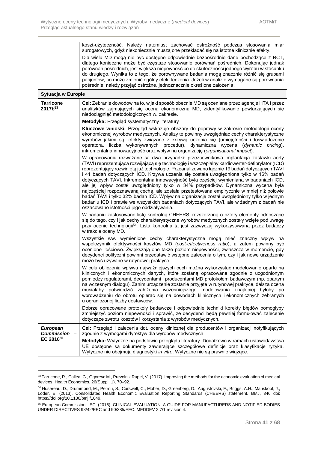|                                                          | koszt-użyteczność. Należy natomiast zachować ostrożność podczas stosowania miar<br>surogatowych, gdyż niekoniecznie muszą one przekładać się na istotne klinicznie efekty.                                                                                                                                                                                                                                                                                                                                                                                                                                                                                                                                                                                                                                                                                                                        |
|----------------------------------------------------------|---------------------------------------------------------------------------------------------------------------------------------------------------------------------------------------------------------------------------------------------------------------------------------------------------------------------------------------------------------------------------------------------------------------------------------------------------------------------------------------------------------------------------------------------------------------------------------------------------------------------------------------------------------------------------------------------------------------------------------------------------------------------------------------------------------------------------------------------------------------------------------------------------|
|                                                          | Dla wielu MD mogą nie być dostępne odpowiednie bezpośrednie dane pochodzące z RCT,<br>dlatego konieczne może być częstsze stosowanie porównań pośrednich. Dokonując jednak<br>porównań pośrednich, jest większa niepewność co do skuteczności jednego wyrobu w stosunku<br>do drugiego. Wynika to z tego, że porównywane badania mogą znacznie różnić się grupami<br>pacjentów, co może zmienić ogólny efekt leczenia. Jeżeli w analizie wymagane są porównania<br>pośrednie, należy przyjąć ostrożne, jednoznacznie określone założenia.                                                                                                                                                                                                                                                                                                                                                         |
| Sytuacja w Europie                                       |                                                                                                                                                                                                                                                                                                                                                                                                                                                                                                                                                                                                                                                                                                                                                                                                                                                                                                   |
| <b>Tarricone</b><br>2017b <sup>53</sup>                  | Cel: Zebranie dowodów na to, w jaki sposób obecnie MD są oceniane przez agencje HTA i przez<br>analityków zajmujących się oceną ekonomiczną MD, zidentyfikowanie powtarzających się<br>niedociągnięć metodologicznych w. zakresie.                                                                                                                                                                                                                                                                                                                                                                                                                                                                                                                                                                                                                                                                |
|                                                          | Metodyka: Przegląd systematyczny literatury                                                                                                                                                                                                                                                                                                                                                                                                                                                                                                                                                                                                                                                                                                                                                                                                                                                       |
|                                                          | Kluczowe wnioski: Przegląd wskazuje obszary do poprawy w zakresie metodologii oceny<br>ekonomicznej wyrobów medycznych. Analizy te powinny uwzględniać cechy charakterystyczne<br>wyrobów jakimi są: efekty związane z krzywą uczenia się (umiejętności i doświadczenie<br>operatora, liczba wykonywanych procedur), dynamiczna wycena (dynamic pricing),<br>inkrementalna innowacyjność oraz wpływ na organizację (organisational impact).                                                                                                                                                                                                                                                                                                                                                                                                                                                       |
|                                                          | W opracowaniu rozważane są dwa przypadki: przezcewnikowa implantacja zastawki aorty<br>(TAVI) reprezentująca rozwijającą się technologię i wszczepialny kardiowerter-defibrylator (ICD)<br>reprezentujący rozwiniętą już technologię. Przeanalizowano łącznie 19 badań dotyczących TAVI<br>i 41 badań dotyczących ICD. Krzywa uczenia się została uwzględniona tylko w 16% badań<br>dotyczących TAVI. Inkrementalna innowacyjność była częściej wymieniana w badaniach ICD,<br>ale jej wpływ został uwzględniony tylko w 34% przypadków. Dynamiczna wycena była<br>najczęściej rozpoznawaną cechą, ale została przetestowana empirycznie w mniej niż połowie<br>badań TAVI i tylko 32% badań ICD. Wpływ na organizację został uwzględniony tylko w jednym<br>badaniu ICD i prawie we wszystkich badaniach dotyczących TAVI, ale w żadnym z badań nie<br>oszacowano istotności jego oddziaływania. |
|                                                          | W badaniu zastosowano listę kontrolną CHEERS, rozszerzoną o cztery elementy odnoszące<br>się do tego, czy i jak cechy charakterystyczne wyrobów medycznych zostały wzięte pod uwagę<br>przy ocenie technologii <sup>54</sup> . Lista kontrolna ta jest zazwyczaj wykorzystywana przez badaczy<br>w trakcie oceny MD.                                                                                                                                                                                                                                                                                                                                                                                                                                                                                                                                                                              |
|                                                          | Wszystkie ww. wymienione cechy charakterystyczne mogą mieć znaczny wpływ na<br>współczynnik efektywności kosztów MD (cost-effectiveness ratio), a zatem powinny być<br>ocenione ilościowo. Zwiększają one także poziom niepewności, zwłaszcza w momencie, gdy<br>decydenci polityczni powinni przedstawić wstępne zalecenia o tym, czy i jak nowe urządzenie<br>może być używane w rutynowej praktyce.                                                                                                                                                                                                                                                                                                                                                                                                                                                                                            |
|                                                          | W celu obliczenia wpływu najważniejszych cech można wykorzystać modelowanie oparte na<br>klinicznych i ekonomicznych danych, które zostaną opracowane zgodnie z uzgodnionym<br>pomiędzy regulatorami, decydentami i producentami MD protokołem badawczym (np. opartym<br>na wczesnym dialogu). Zanim urządzenie zostanie przyjęte w rutynowej praktyce, dalsza ocena<br>musiałaby potwierdzić założenia wcześniejszego modelowania i najlepiej byłoby po<br>wprowadzeniu do obrotu opierać się na dowodach klinicznych i ekonomicznych zebranych<br>u ograniczonej liczby dostawców.                                                                                                                                                                                                                                                                                                              |
|                                                          | Dobrze opracowane protokoły badawcze i odpowiednie techniki korekty błędów pomogłyby<br>zmniejszyć poziom niepewności i sprawić, że decydenci będą pewniej formułować zalecenie<br>dotyczące zwrotu kosztów i korzystania z wyrobów medycznych.                                                                                                                                                                                                                                                                                                                                                                                                                                                                                                                                                                                                                                                   |
| <b>European</b><br>Commission -<br>EC 2016 <sup>55</sup> | Cel: Przegląd i zalecenia dot. oceny klinicznej dla producentów i organizacji notyfikujących<br>zgodnie z wymogami dyrektyw dla wyrobów medycznych<br>Metodyka: Wytyczne na podstawie przeglądu literatury. Dodatkowo w ramach ustawodawstwa<br>UE dostepne są dokumenty zawierające szczegółowe definicje oraz klasyfikacje ryzyka.<br>Wytyczne nie obejmują diagnostyki in vitro. Wytyczne nie są prawnie wiążące.                                                                                                                                                                                                                                                                                                                                                                                                                                                                              |

<sup>53</sup> Tarricone, R., Callea, G., Ogorevc M., Prevolnik Rupel, V. (2017). Improving the methods for the economic evaluation of medical devices. Health Economics, 26(Suppl. 1), 70–92.

<sup>54</sup> Husereau, D., Drummond, M., Petrou, S., Carswell, C., Moher, D., Greenberg, D., Augustovski, F., Briggs, A.H., Mauskopf, J., Loder, E. (2013). Consolidated Health Economic Evaluation Reporting Standards (CHEERS) statement. BMJ, 346 doi: https://doi.org/10.1136/bmj.f1049.

<sup>55</sup> European Commission - EC. (2016). CLINICAL EVALUATION: A GUIDE FOR MANUFACTURERS AND NOTIFIED BODIES UNDER DIRECTIVES 93/42/EEC and 90/385/EEC. MEDDEV 2.7/1 revision 4.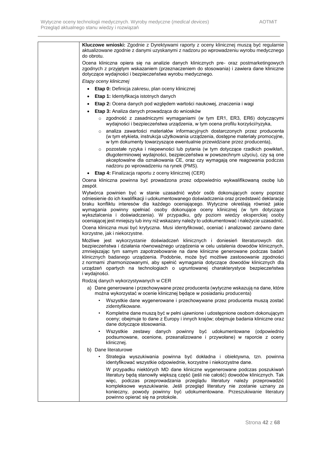| do obrotu.    | Kluczowe wnioski: Zgodnie z Dyrektywami raporty z oceny klinicznej muszą być regularnie<br>aktualizowane zgodnie z danymi uzyskanymi z nadzoru po wprowadzeniu wyrobu medycznego                                                                                                                                                                                                                                                                                                                                                              |
|---------------|-----------------------------------------------------------------------------------------------------------------------------------------------------------------------------------------------------------------------------------------------------------------------------------------------------------------------------------------------------------------------------------------------------------------------------------------------------------------------------------------------------------------------------------------------|
|               | Ocena kliniczna opiera się na analizie danych klinicznych pre- oraz postmarketingowych<br>zgodnych z przyjętym wskazaniem (przeznaczeniem do stosowania) i zawiera dane kliniczne<br>dotyczące wydajności i bezpieczeństwa wyrobu medycznego.                                                                                                                                                                                                                                                                                                 |
|               | Etapy oceny klinicznej                                                                                                                                                                                                                                                                                                                                                                                                                                                                                                                        |
|               | Etap 0: Definicja zakresu, plan oceny klinicznej                                                                                                                                                                                                                                                                                                                                                                                                                                                                                              |
|               | Etap 1: Identyfikacja istotnych danych                                                                                                                                                                                                                                                                                                                                                                                                                                                                                                        |
|               | Etap 2: Ocena danych pod względem wartości naukowej, znaczenia i wagi                                                                                                                                                                                                                                                                                                                                                                                                                                                                         |
|               | Etap 3: Analiza danych prowadząca do wniosków                                                                                                                                                                                                                                                                                                                                                                                                                                                                                                 |
|               | o zgodność z zasadniczymi wymaganiami (w tym ER1, ER3, ER6) dotyczącymi<br>wydajności i bezpieczeństwa urządzenia, w tym ocena profilu korzyści/ryzyka,                                                                                                                                                                                                                                                                                                                                                                                       |
|               | o analiza zawartości materiałów informacyjnych dostarczonych przez producenta<br>(w tym etykieta, instrukcja użytkowania urządzenia, dostępne materiały promocyjne,<br>w tym dokumenty towarzyszące ewentualnie przewidziane przez producenta),                                                                                                                                                                                                                                                                                               |
|               | o pozostałe ryzyka i niepewności lub pytania (w tym dotyczące rzadkich powikłań,<br>długoterminowej wydajności, bezpieczeństwa w powszechnym użyciu), czy są one<br>akceptowalne dla oznakowania CE, oraz czy wymagają one reagowania podczas<br>nadzoru po wprowadzeniu na rynek (PMS).                                                                                                                                                                                                                                                      |
|               | Etap 4: Finalizacja raportu z oceny klinicznej (CER)                                                                                                                                                                                                                                                                                                                                                                                                                                                                                          |
| zespół.       | Ocena kliniczna powinna być prowadzona przez odpowiednio wykwalifikowaną osobę lub                                                                                                                                                                                                                                                                                                                                                                                                                                                            |
|               | Wytwórca powinien być w stanie uzasadnić wybór osób dokonujących oceny poprzez<br>odniesienie do ich kwalifikacji i udokumentowanego doświadczenia oraz przedstawić deklarację<br>braku konfliktu interesów dla każdego oceniającego. Wytyczne określają również jakie<br>wymagania powinny spełniać osoby dokonujące oceny klinicznej (w tym dotyczące<br>wyksztalcenia i doświadczenia). W przypadku, gdy poziom wiedzy eksperckiej osoby<br>oceniającej jest mniejszy lub inny niż wskazany należy to udokumentować i należycie uzasadnić. |
|               | Ocena kliniczna musi być krytyczna. Musi identyfikować, oceniać i analizować zarówno dane<br>korzystne, jak i niekorzystne.                                                                                                                                                                                                                                                                                                                                                                                                                   |
| i wydajności. | Możliwe jest wykorzystanie doświadczeń klinicznych i doniesień literaturowych dot.<br>bezpieczeństwa i działania równoważnego urządzenia w celu ustalenia dowodów klinicznych,<br>zmniejszając tym samym zapotrzebowanie na dane kliniczne generowane podczas badań<br>klinicznych badanego urządzenia. Podobnie, może być możliwe zastosowanie zgodności<br>z normami zharmonizowanymi, aby spełnić wymagania dotyczące dowodów klinicznych dla<br>urządzeń opartych na technologiach o ugruntowanej charakterystyce bezpieczeństwa          |
|               | Rodzaj danych wykorzystywanych w CER                                                                                                                                                                                                                                                                                                                                                                                                                                                                                                          |
|               | a) Dane generowane i przechowywane przez producenta (wytyczne wskazują na dane, które<br>można wykorzystać w ocenie klinicznej będące w posiadaniu producenta)                                                                                                                                                                                                                                                                                                                                                                                |
|               | · Wszystkie dane wygenerowane i przechowywane przez producenta muszą zostać<br>zidentyfikowane.                                                                                                                                                                                                                                                                                                                                                                                                                                               |
|               | Kompletne dane muszą być w pełni ujawnione i udostępnione osobom dokonującym<br>oceny; obejmuje to dane z Europy i innych krajów; obejmuje badania kliniczne oraz<br>dane dotyczące stosowania.                                                                                                                                                                                                                                                                                                                                               |
|               | Wszystkie zestawy danych powinny być udokumentowane (odpowiednio<br>podsumowane, ocenione, przeanalizowane i przywołane) w raporcie z oceny<br>klinicznej.                                                                                                                                                                                                                                                                                                                                                                                    |
|               | b) Dane literaturowe                                                                                                                                                                                                                                                                                                                                                                                                                                                                                                                          |
| $\bullet$     | Strategia wyszukiwania powinna być dokładna i obiektywna, tzn. powinna<br>identyfikować wszystkie odpowiednie, korzystne i niekorzystne dane.                                                                                                                                                                                                                                                                                                                                                                                                 |
|               | W przypadku niektórych MD dane kliniczne wygenerowane podczas poszukiwań<br>literatury będą stanowiły większą część (jeśli nie całość) dowodów klinicznych. Tak<br>więc, podczas przeprowadzania przeglądu literatury należy przeprowadzić<br>kompleksowe wyszukiwanie. Jeśli przegląd literatury nie zostanie uznany za<br>konieczny, powody powinny być udokumentowane. Przeszukiwanie literatury<br>powinno opierać się na protokole.                                                                                                      |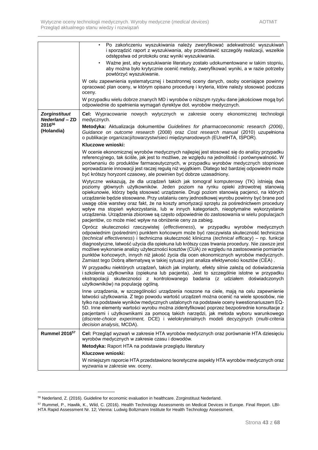|                                        | Po zakończeniu wyszukiwania należy zweryfikować adekwatność wyszukiwań<br>i sporządzić raport z wyszukiwania, aby przedstawić szczegóły realizacji, wszelkie<br>odstępstwa od protokołu oraz wyniki wyszukiwania.                                                                                                                                                                                                                                                                                                                                                                                                                                                                                                 |  |  |
|----------------------------------------|-------------------------------------------------------------------------------------------------------------------------------------------------------------------------------------------------------------------------------------------------------------------------------------------------------------------------------------------------------------------------------------------------------------------------------------------------------------------------------------------------------------------------------------------------------------------------------------------------------------------------------------------------------------------------------------------------------------------|--|--|
|                                        | Ważne jest, aby wyszukiwanie literatury zostało udokumentowane w takim stopniu,<br>aby można było krytycznie ocenić metody, zweryfikować wyniki, a w razie potrzeby<br>powtórzyć wyszukiwanie.                                                                                                                                                                                                                                                                                                                                                                                                                                                                                                                    |  |  |
|                                        | W celu zapewnienia systematycznej i bezstronnej oceny danych, osoby oceniające powinny<br>opracować plan oceny, w którym opisano procedurę i kryteria, które należy stosować podczas<br>oceny.                                                                                                                                                                                                                                                                                                                                                                                                                                                                                                                    |  |  |
|                                        | W przypadku wielu dobrze znanych MD i wyrobów o niższym ryzyku dane jakościowe mogą być<br>odpowiednie do spełnienia wymagań dyrektyw dot. wyrobów medycznych.                                                                                                                                                                                                                                                                                                                                                                                                                                                                                                                                                    |  |  |
| Zorginstituut<br><b>Nederland - ZD</b> | Cel: Wypracowanie nowych wytycznych w zakresie oceny ekonomicznej technologii<br>medycznych.                                                                                                                                                                                                                                                                                                                                                                                                                                                                                                                                                                                                                      |  |  |
| 201656<br>(Holandia)                   | Metodyka: Aktualizacja dokumentów Guidelines for pharmacoeconomic research (2006),<br>Guidance on outcome research (2008) oraz Cost research manual (2010) uzupełniona<br>o publikacje organizacji/towarzystw/sieci międzynarodowych (EUnetHTA, ISPOR).                                                                                                                                                                                                                                                                                                                                                                                                                                                           |  |  |
|                                        | Kluczowe wnioski:<br>W ocenie ekonomicznej wyrobów medycznych najlepiej jest stosować się do analizy przypadku<br>referencyjnego, tak ściśle, jak jest to możliwe, ze względu na jednolitość i porównywalność. W<br>porównaniu do produktów farmaceutycznych, w przypadku wyrobów medycznych stopniowe<br>wprowadzanie innowacji jest raczej regułą niż wyjątkiem. Dlatego też bardziej odpowiedni może<br>być krótszy horyzont czasowy, ale powinien być dobrze uzasadniony.                                                                                                                                                                                                                                     |  |  |
|                                        | Wytyczne wskazują, że dla urządzeń takich jak tomograf komputerowy (TK) istnieją dwa<br>poziomy głównych użytkowników. Jeden poziom na rynku opieki zdrowotnej stanowią<br>opiekunowie, którzy będą stosować urządzenie. Drugi poziom stanowią pacjenci, na których<br>urządzenie będzie stosowane. Przy ustalaniu ceny jednostkowej wyrobu powinny być brane pod<br>uwagę obie warstwy oraz fakt, że na koszty amortyzacji sprzętu za pośrednictwem procedury<br>wpływ ma stopień wykorzystania, lub w innych kategoriach, nieoptymalne wykorzystanie<br>urządzenia. Urządzenia zbiorowe są często odpowiednie do zastosowania w wielu populacjach<br>pacjentów, co może mieć wpływ na obniżenie ceny za zabieg. |  |  |
|                                        | Oprócz skuteczności rzeczywistej (effectiveness), w przypadku wyrobów medycznych<br>odpowiednim (pośrednim) punktem końcowym może być rzeczywista skuteczność techniczna<br>(technical effectiveness) i techniczna skuteczność kliniczna (technical efficacy) – np. funkcje<br>diagnostyczne, łatwość użycia dla opiekuna lub krótszy czas trwania procedury. Nie zawsze jest<br>możliwe wykonanie analizy użyteczności kosztów (CUA) ze względu na zastosowanie pomiarów<br>punktów końcowych, innych niż jakość życia dla ocen ekonomicznych wyrobów medycznych.<br>Zamiast tego Dobrą alternatywą w takiej sytuacji jest analiza efektywności kosztów (CEA).                                                   |  |  |
|                                        | W przypadku niektórych urządzeń, takich jak implanty, efekty silnie zależą od doświadczenia<br>i szkolenia użytkownika (opiekuna lub pacjenta). Jest to szczególnie istotne w przypadku<br>ekstrapolacji skuteczności z kontrolowanego badania (z udziałem doświadczonych<br>użytkowników) na populację ogólną.                                                                                                                                                                                                                                                                                                                                                                                                   |  |  |
|                                        | Inne urządzenia, w szczególności urządzenia noszone na ciele, mają na celu zapewnienie<br>łatwości użytkowania. Z tego powodu wartość urządzeń można ocenić na wiele sposobów, nie<br>tylko na podstawie wyników medycznych ustalonych na podstawie oceny kwestionariuszem EQ-<br>5D. Inne elementy wartości wyrobu można zidentyfikować poprzez bezpośrednie konsultacje z<br>pacjentami i użytkownikami za pomocą takich narzędzi, jak metoda wyboru warunkowego<br>(discrete-choice experiment, DCE) i wielokryterialnych modeli decyzyjnych (multi-criteria<br>decision analysis, MCDA).                                                                                                                      |  |  |
| <b>Rummel 2016<sup>57</sup></b>        | Cel: Przegląd wyzwań w zakresie HTA wyrobów medycznych oraz porównanie HTA dziesięciu<br>wyrobów medycznych w zakresie czasu i dowodów.                                                                                                                                                                                                                                                                                                                                                                                                                                                                                                                                                                           |  |  |
|                                        | Metodyka: Raport HTA na podstawie przeglądu literatury                                                                                                                                                                                                                                                                                                                                                                                                                                                                                                                                                                                                                                                            |  |  |
|                                        | Kluczowe wnioski:                                                                                                                                                                                                                                                                                                                                                                                                                                                                                                                                                                                                                                                                                                 |  |  |
|                                        | W niniejszym raporcie HTA przedstawiono teoretyczne aspekty HTA wyrobów medycznych oraz<br>wyzwania w zakresie ww. oceny.                                                                                                                                                                                                                                                                                                                                                                                                                                                                                                                                                                                         |  |  |

<sup>56</sup> Nederland, Z. (2016). Guideline for economic evaluation in healthcare. Zorginstituut Nederland.

<sup>&</sup>lt;sup>57</sup> Rummel, P., Hawlik, K., Wild, C. (2016). Health Technology Assessments on Medical Devices in Europe. Final Report. LBI-HTA Rapid Assessment Nr. 12; Vienna: Ludwig Boltzmann Institute for Health Technology Assessment.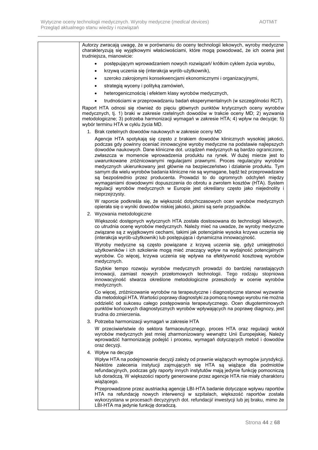Autorzy zwracają uwagę, że w porównaniu do oceny technologii lekowych, wyroby medyczne charakteryzują się wyjątkowymi właściwościami, które mogą powodować, że ich ocena jest trudniejsza, mianowicie: • postępującym wprowadzaniem nowych rozwiązań/ krótkim cyklem życia wyrobu, • krzywą uczenia się (interakcja wyrób-użytkownik), • szeroko zakrojonymi konsekwencjami ekonomicznymi i organizacyjnymi, • strategią wyceny i polityką zamówień, • heterogenicznością i efektem klasy wyrobów medycznych, • trudnościami w przeprowadzaniu badań eksperymentalnych (w szczególności RCT). Raport HTA odnosi się również do pięciu głównych punktów krytycznych oceny wyrobów medycznych, tj. 1) braki w zakresie rzetelnych dowodów w trakcie oceny MD; 2) wyzwania metodologiczne; 3) potrzeba harmonizacji wymagań w zakresie HTA; 4) wpływ na decyzje; 5) wybór terminu HTA w cyklu życia MD. 1. Brak rzetelnych dowodów naukowych w zakresie oceny MD Agencje HTA spotykają się często z brakiem dowodów klinicznych wysokiej jakości, podczas gdy powinny oceniać innowacyjne wyroby medyczne na podstawie najlepszych dowodów naukowych. Dane kliniczne dot. urządzeń medycznych są bardzo ograniczone, zwłaszcza w momencie wprowadzenia produktu na rynek. W dużej mierze jest to uwarunkowane zróżnicowanymi regulacjami prawnymi. Proces regulacyjny wyrobów medycznych ukierunkowany jest głównie na bezpieczeństwo i działanie produktu. Tym samym dla wielu wyrobów badania kliniczne nie są wymagane, bądź też przeprowadzane są bezpośrednio przez producenta. Prowadzi to do ogromnych odchyleń między wymaganiami dowodowymi dopuszczenia do obrotu a zwrotem kosztów (HTA). System regulacji wyrobów medycznych w Europie jest określany często jako niejednolity i nieprzejrzysty. W raporcie podkreśla się, że większość dotychczasowych ocen wyrobów medycznych opierała się o wyniki dowodów niskiej jakości, jakimi są serie przypadków. 2. Wyzwania metodologiczne Większość dostępnych wytycznych HTA została dostosowana do technologii lekowych, co utrudnia ocenę wyrobów medycznych. Należy mieć na uwadze, że wyroby medyczne związane są z wyjątkowymi cechami, takimi jak potencjalnie wysoka krzywa uczenia się (interakcja wyrób-użytkownik) lub postępująca i dynamiczna innowacyjność. Wyroby medyczne są często powiązane z krzywą uczenia się, gdyż umiejętności użytkowników i ich szkolenie mogą mieć znaczący wpływ na wydajność potencjalnych wyrobów. Co więcej, krzywa uczenia się wpływa na efektywność kosztową wyrobów medycznych. Szybkie tempo rozwoju wyrobów medycznych prowadzi do bardziej narastających innowacji, zamiast nowych przełomowych technologii. Tego rodzaju stopniowa innowacyjność stwarza określone metodologiczne przeszkody w ocenie wyrobów medycznych. Co więcej, zróżnicowanie wyrobów na terapeutyczne i diagnostyczne stanowi wyzwanie dla metodologii HTA. Wartości poprawy diagnostyki za pomocą nowego wyrobu nie można oddzielić od sukcesu całego postępowania terapeutycznego. Ocen długoterminowych punktów końcowych diagnostycznych wyrobów wpływających na poprawę diagnozy, jest trudna do zmierzenia. 3. Potrzeba harmonizacii wymagań w zakresie HTA W przeciwieństwie do sektora farmaceutycznego, proces HTA oraz regulacji wokół wyrobów medycznych jest mniej zharmonizowany wewnątrz Unii Europejskiej. Należy wprowadzić harmonizację podejść i procesu, wymagań dotyczących metod i dowodów oraz decyzji. 4. Wpływ na decyzje Wpływ HTA na podejmowanie decyzji zależy od prawnie wiążących wymogów jurysdykcji. Niektóre zalecenia instytucji zajmujących się HTA są wiążące dla podmiotów refundacyjnych, podczas gdy raporty innych instytutów mają jedynie funkcję pomocniczą lub doradczą. W większości raporty generowane przez agencje HTA nie miały charakteru wiążącego. Przeprowadzone przez austriacką agencję LBI-HTA badanie dotyczące wpływu raportów HTA na refundację nowych interwencji w szpitalach, większość raportów została wykorzystana w procesach decyzyjnych dot. refundacji/ inwestycji lub jej braku, mimo że LBI-HTA ma jedynie funkcję doradczą.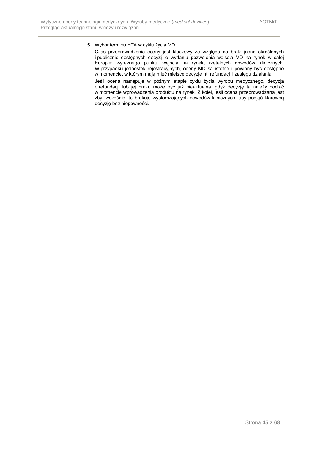| 5. Wybór terminu HTA w cyklu życia MD                                                                                                                                                                                                                                                                                                                                                                                        |
|------------------------------------------------------------------------------------------------------------------------------------------------------------------------------------------------------------------------------------------------------------------------------------------------------------------------------------------------------------------------------------------------------------------------------|
| Czas przeprowadzenia oceny jest kluczowy ze względu na brak: jasno określonych<br>i publicznie dostępnych decyzji o wydaniu pozwolenia wejścia MD na rynek w całej<br>Europie; wyraźnego punktu wejścia na rynek, rzetelnych dowodów klinicznych.<br>W przypadku jednostek rejestracyjnych, oceny MD są istotne i powinny być dostępne<br>w momencie, w którym mają mieć miejsce decyzje nt. refundacji i zasięgu działania. |
| Jeśli ocena następuje w późnym etapie cyklu życia wyrobu medycznego, decyzja<br>o refundacji lub jej braku może być już nieaktualna, gdyż decyzję tą należy podjąć<br>w momencie wprowadzenia produktu na rynek. Z kolei, jeśli ocena przeprowadzana jest<br>zbyt wcześnie, to brakuje wystarczających dowodów klinicznych, aby podjąć klarowną<br>decyzję bez niepewności.                                                  |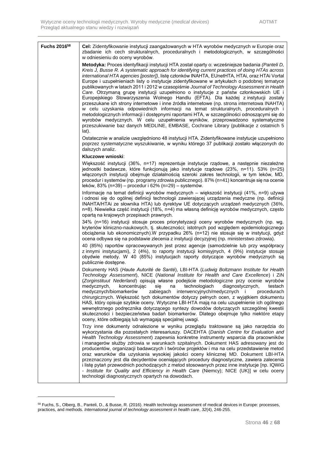| Fuchs 2016 <sup>58</sup> | Cel: Zidentyfikowanie instytucji zaangażowanych w HTA wyrobów medycznych w Europie oraz<br>zbadanie ich cech strukturalnych, proceduralnych i metodologicznych, w szczególności<br>w odniesieniu do oceny wyrobów.                                                                                                                                                                                                                                                                                                                                                                                                                                                                                                                                                                                                                                                                                                                                                                                                                                                                                                                                      |
|--------------------------|---------------------------------------------------------------------------------------------------------------------------------------------------------------------------------------------------------------------------------------------------------------------------------------------------------------------------------------------------------------------------------------------------------------------------------------------------------------------------------------------------------------------------------------------------------------------------------------------------------------------------------------------------------------------------------------------------------------------------------------------------------------------------------------------------------------------------------------------------------------------------------------------------------------------------------------------------------------------------------------------------------------------------------------------------------------------------------------------------------------------------------------------------------|
|                          | Metodyka: Proces identyfikacji instytucji HTA został oparty o: wcześniejsze badania (Panteli D,<br>Kreis J, Busse R. A systematic approach for identifying current practices of doing HTAs across<br>international HTA agencies [poster]), listę członków INAHTA, EUnetHTA, HTAi, oraz HTAi Vortal<br>Europe i uzupełnieniach listy o instytucje zidentyfikowane w artykułach o podobnej tematyce<br>publikowanych w latach 2011 i 2012 w czasopiśmie Journal of Technology Assessment in Health<br>Care. Otrzymaną grupę instytucji uzupełniono o instytucje z państw członkowskich UE i<br>Europejskiego Stowarzyszenia Wolnego Handlu (EFTA). Dla każdej z instytucji zostały<br>przeszukane ich strony internetowe i inne źródła internetowe (np. strona internetowa INAHTA)<br>w celu uzyskania odpowiednich informacji na temat strukturalnych, proceduralnych i<br>metodologicznych informacji i dostępnymi raportami HTA, w szczególności odnoszącymi się do<br>wyrobów medycznych. W celu uzupełnienia wyników, przeprowadzono systematyczne<br>przeszukiwanie baz danych MEDLINE, EMBASE, Cochrane Library (publikacje z ostatnich 5<br>lat). |
|                          | Ostatecznie w analizie uwzględniono 48 instytucji HTA. Zidentyfikowane instytucje uzupełniono<br>poprzez systematyczne wyszukiwanie, w wyniku którego 37 publikacji zostało włączonych do<br>dalszych analiz.                                                                                                                                                                                                                                                                                                                                                                                                                                                                                                                                                                                                                                                                                                                                                                                                                                                                                                                                           |
|                          | Kluczowe wnioski:                                                                                                                                                                                                                                                                                                                                                                                                                                                                                                                                                                                                                                                                                                                                                                                                                                                                                                                                                                                                                                                                                                                                       |
|                          | Większość instytucji (36%, n=17) reprezentuje instytucje rządowe, a następnie niezależne<br>jednostki badawcze, które funkcjonują jako instytucje rządowe (23%, n=11). 53% (n=25)<br>włączonych instytucji obejmuje działalnością szeroki zakres technologii, w tym leków, MD,<br>procedur i systemów (np. programy zdrowia publicznego). 87% (n=41) koncentruje się na ocenie<br>leków, 83% (n=39) – procedur i 62% (n=29) – systemów.                                                                                                                                                                                                                                                                                                                                                                                                                                                                                                                                                                                                                                                                                                                 |
|                          | Informacje na temat definicji wyrobów medycznych – większość instytucji (41%, n=9) używa<br>i odnosi się do ogólnej definicji technologii zawierającej urządzenia medyczne (np. definicji<br>INAHTA/HTAi ze słownika HTA) lub dyrektyw UE dotyczących urządzeń medycznych (36%,<br>n=8). Niewielka część instytucji (18%, n=4) ma własną definicję wyrobów medycznych, często<br>opartą na krajowych przepisach prawnych.                                                                                                                                                                                                                                                                                                                                                                                                                                                                                                                                                                                                                                                                                                                               |
|                          | 34% (n=16) instytucji stosuje proces priorytetyzacji oceny wyrobów medycznych (np. wg.<br>kryteriów kliniczno-naukowych, tj. skuteczności; istotnych pod względem epidemiologicznego<br>obciążenia lub ekonomicznych).W przypadku 26% (n=12) nie stosuje się w instytucji, gdyż<br>ocena odbywa się na podstawie zlecenia z instytucji decyzyjnej (np. ministerstwo zdrowia).                                                                                                                                                                                                                                                                                                                                                                                                                                                                                                                                                                                                                                                                                                                                                                           |
|                          | 40 (85%) raportów opracowywanych jest przez agencje (samodzielnie lub przy współpracy<br>z innymi instytucjami), 2 (4%), to raporty instytucji komisyjnych, 4 (9%) instytucje stosuje<br>obydwie metody. W 40 (85%) instytucjach raporty dotyczące wyrobów medycznych są<br>publicznie dostępne.                                                                                                                                                                                                                                                                                                                                                                                                                                                                                                                                                                                                                                                                                                                                                                                                                                                        |
|                          | Dokumenty HAS (Haute Autorité de Santé), LBI-HTA (Ludwig Boltzmann Institute for Health<br>Technology Assessment), NICE (National Institute for Health and Care Excellence) i ZiN<br>(Zorginstituut Nederland) opisują własne podejście metodologiczne przy ocenie wyrobów<br>medycznych,<br>koncentrując<br>sie<br>technologiach<br>diagnostycznych,<br>na<br>testach<br>medycznych/biomarkerów<br>zabiegach interwencyjnych/medycznych i<br>procedurach<br>chirurgicznych. Większość tych dokumentów dotyczy pełnych ocen, z wyjątkiem dokumentu<br>HAS, który opisuje szybkie oceny. Wytyczne LBI-HTA mają na celu uzupełnienie ich ogólnego<br>wewnętrznego podręcznika dotyczącego syntezy dowodów dotyczących szczególnej kwestii<br>skuteczności i bezpieczeństwa badań biomarkerów. Dlatego obejmuje tylko niektóre etapy<br>oceny, które odbiegają lub wymagają specjalnej uwagi.                                                                                                                                                                                                                                                              |
|                          | Trzy inne dokumenty odnalezione w wyniku przeglądu traktowane są jako narzędzia do<br>wykorzystania dla pozostałych interesariuszy. DACEHTA (Danish Centre for Evaluation and<br>Health Technology Assessment) zapewnia konkretne instrumenty wsparcia dla pracowników<br>i managerów służby zdrowia w warunkach szpitalnych. Dokument HAS adresowany jest do<br>producentów, organizacji badawczych i twórców projektów i ma na celu przedstawienie metod<br>oraz warunków dla uzyskania wysokiej jakości oceny klinicznej MD. Dokument LBI-HTA<br>przeznaczony jest dla decydentów oceniających procedury diagnostyczne, zawiera zalecenia<br>i listę pytań przewodnich pochodzących z metod stosowanych przez inne instytucje [np. IQWiG<br>- Institute for Quality and Efficiency in Health Care (Niemcy); NICE (UK)] w celu oceny<br>technologii diagnostycznych opartych na dowodach.                                                                                                                                                                                                                                                             |

<sup>&</sup>lt;sup>58</sup> Fuchs, S., Olberg, B., Panteli, D., & Busse, R. (2016). Health technology assessment of medical devices in Europe: processes, practices, and methods. *International journal of technology assessment in health care*, *32*(4), 246-255.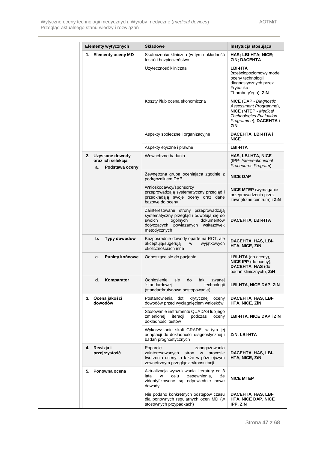| <b>Elementy wytycznych</b>                                      | <b>Składowe</b>                                                                                                                                                           | Instytucja stosująca                                                                                                                                     |
|-----------------------------------------------------------------|---------------------------------------------------------------------------------------------------------------------------------------------------------------------------|----------------------------------------------------------------------------------------------------------------------------------------------------------|
| 1. Elementy oceny MD                                            | Skuteczność kliniczna (w tym dokładność<br>testu) i bezpieczeństwo                                                                                                        | HAS; LBI-HTA; NICE;<br>ZIN; DACEHTA                                                                                                                      |
|                                                                 | Użyteczność kliniczna                                                                                                                                                     | <b>LBI-HTA</b><br>(sześciopoziomowy model<br>oceny technologii<br>diagnostycznych przez<br>Frybacka i<br>Thornbury'ego), ZiN                             |
|                                                                 | Koszty i/lub ocena ekonomiczna                                                                                                                                            | <b>NICE</b> (DAP - Diagnostic<br>Assessment Programme),<br><b>NICE</b> (MTEP - Medical<br><b>Technologies Evaluation</b><br>Programme), DACEHTA i<br>ZiN |
|                                                                 | Aspekty społeczne i organizacyjne                                                                                                                                         | <b>DACEHTA, LBI-HTA i</b><br><b>NICE</b>                                                                                                                 |
|                                                                 | Aspekty etyczne i prawne                                                                                                                                                  | <b>LBI-HTA</b>                                                                                                                                           |
| 2. Uzyskane dowody<br>oraz ich selekcja<br>Podstawa oceny<br>a. | Wewnetrzne badania                                                                                                                                                        | <b>HAS, LBI-HTA, NICE</b><br>(IPP- Interventionional<br>Procedures Program)                                                                              |
|                                                                 | Zewnętrzna grupa oceniająca zgodnie z<br>podręcznikiem DAP                                                                                                                | <b>NICE DAP</b>                                                                                                                                          |
|                                                                 | Wnioskodawcy/sponsorzy<br>przeprowadzają systematyczny przegląd i<br>przedkładają swoje oceny oraz dane<br>bazowe do oceny                                                | <b>NICE MTEP</b> (wymaganie<br>przeprowadzenia przez<br>zewnętrzne centrum) i ZiN                                                                        |
|                                                                 | Zainteresowane strony przeprowadzają<br>systematyczny przegląd i odwołują się do<br>swoich<br>ogólnych<br>dokumentów<br>dotyczących powiązanych wskazówek<br>metodycznych | DACEHTA, LBI-HTA                                                                                                                                         |
| b.<br>Typy dowodów                                              | Bezpośrednie dowody oparte na RCT, ale<br>akceptują/sugerują<br>wyjątkowych<br>W<br>okolicznościach inne                                                                  | DACEHTA, HAS, LBI-<br>HTA, NICE, ZIN                                                                                                                     |
| <b>Punkty końcowe</b><br>c.                                     | Odnoszące się do pacjenta                                                                                                                                                 | $LBI-HTA$ (do oceny),<br>NICE IPP (do oceny),<br>DACEHTA, HAS (do<br>badań klinicznych), ZiN                                                             |
| Komparator<br>d.                                                | Odniesienie<br>do<br>tak<br>zwanej<br>się<br>"standardowej"<br>technologii<br>(standard/rutynowe postepowanie)                                                            | <b>LBI-HTA, NICE DAP, ZIN</b>                                                                                                                            |
| 3. Ocena jakości<br>dowodów                                     | Postanowienia<br>dot.<br>krytycznej<br>oceny<br>dowodów przed wyciągnięciem wniosków                                                                                      | DACEHTA, HAS, LBI-<br><b>HTA, NICE, ZIN</b>                                                                                                              |
|                                                                 | Stosowanie instrumentu QUADAS lub jego<br>zmienionej<br>iteracji<br>podczas<br>oceny<br>dokładności testów                                                                | LBI-HTA, NICE DAP i ZIN                                                                                                                                  |
|                                                                 | Wykorzystanie skali GRADE, w tym jej<br>adaptacji do dokładności diagnostycznej i<br>badań prognostycznych                                                                | ZIN, LBI-HTA                                                                                                                                             |
| 4. Rewizja i<br>przejrzystość                                   | Poparcie<br>zaangażowania<br>zainteresowanych<br>stron w<br>procesie<br>tworzenia oceny, a także w późniejszym<br>zewnętrznym przeglądzie/konsultacji.                    | DACEHTA, HAS, LBI-<br>HTA, NICE, ZiN                                                                                                                     |
| 5. Ponowna ocena                                                | Aktualizacja wyszukiwania literatury co 3<br>celu<br>zapewnienia,<br>lata<br>w<br>że<br>zidentyfikowane są odpowiednie nowe<br>dowody                                     | <b>NICE MTEP</b>                                                                                                                                         |
|                                                                 | Nie podano konkretnych odstępów czasu<br>dla ponownych regularnych ocen MD (w<br>stosownych przypadkach)                                                                  | DACEHTA, HAS, LBI-<br><b>HTA, NICE DAP, NICE</b><br>IPP, ZiN                                                                                             |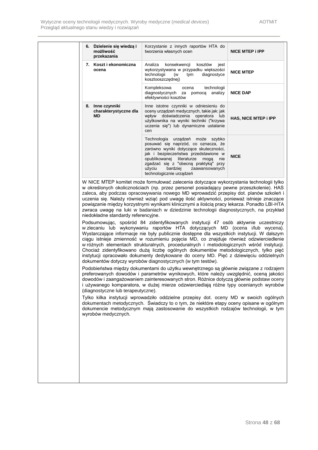| 6. Dzielenie się wiedzą i<br>możliwość<br>przekazania | Korzystanie z innych raportów HTA do<br>tworzenia własnych ocen                                                                                                                                                                                                                                                                                                                                                                                                                                                                                                                                                                                                                                       | <b>NICE MTEP i IPP</b> |
|-------------------------------------------------------|-------------------------------------------------------------------------------------------------------------------------------------------------------------------------------------------------------------------------------------------------------------------------------------------------------------------------------------------------------------------------------------------------------------------------------------------------------------------------------------------------------------------------------------------------------------------------------------------------------------------------------------------------------------------------------------------------------|------------------------|
| 7. Koszt i ekonomiczna<br>ocena                       | Analiza<br>konsekwencji<br>kosztów<br>jest<br>wykorzystywana w przypadku większości<br>technologii<br>diagnostyce<br>(w<br>tym<br>kosztooszczędnej)                                                                                                                                                                                                                                                                                                                                                                                                                                                                                                                                                   | <b>NICE MTEP</b>       |
|                                                       | Kompleksowa<br>technologii<br>ocena<br>diagnostycznych za<br>pomocą analizy<br>efektywności kosztów                                                                                                                                                                                                                                                                                                                                                                                                                                                                                                                                                                                                   | <b>NICE DAP</b>        |
| 8. Inne czynniki<br>charakterystyczne dla<br>MD       | Inne istotne czynniki w odniesieniu do<br>oceny urządzeń medycznych, takie jak: jak<br>wpływ doświadczenia operatora lub<br>użytkownika na wyniki techniki ("krzywa<br>uczenia się") lub dynamiczne ustalanie<br>cen                                                                                                                                                                                                                                                                                                                                                                                                                                                                                  | HAS, NICE MTEP i IPP   |
|                                                       | Technologia urządzeń może szybko<br>posuwać się naprzód, co oznacza, że<br>zarówno wyniki dotyczące skuteczności,<br>jak i bezpieczeństwa przedstawione w<br>opublikowanej literaturze moga<br>nie<br>zgadzać się z "obecną praktyką" przy<br>bardziej<br>użyciu<br>zaawansowanych<br>technologicznie urządzeń                                                                                                                                                                                                                                                                                                                                                                                        | <b>NICE</b>            |
| niedokładne standardy referencyjne.                   | W NICE MTEP komitet może formułować zalecenia dotyczące wykorzystania technologii tylko<br>w określonych okolicznościach (np. przez personel posiadający pewne przeszkolenie). HAS<br>zaleca, aby podczas opracowywania nowego MD wprowadzić przepisy dot. planów szkoleń i<br>uczenia się. Należy również wziąć pod uwagę ilość aktywności, ponieważ istnieje znaczące<br>powiązanie między korzystnymi wynikami klinicznymi a ilością pracy lekarza. Ponadto LBI-HTA<br>zwraca uwagę na luki w badaniach w dziedzinie technologii diagnostycznych, na przykład                                                                                                                                      |                        |
|                                                       | Podsumowując, spośród 84 zidentyfikowanych instytucji 47 osób aktywnie uczestniczy<br>w zlecaniu lub wykonywaniu raportów HTA dotyczących MD (ocena i/lub wycena).<br>Wystarczające informacje nie były publicznie dostępne dla wszystkich instytucji. W dalszym<br>ciągu istnieje zmienność w rozumieniu pojęcia MD, co znajduje również odzwierciedlenie<br>w różnych elementach strukturalnych, proceduralnych i metodologicznych wśród instytucji.<br>Chociaż zidentyfikowano dużą liczbę ogólnych dokumentów metodologicznych, tylko pięć<br>instytucji opracowało dokumenty dedykowane do oceny MD. Pięć z dziewięciu oddzielnych<br>dokumentów dotyczy wyrobów diagnostycznych (w tym testów). |                        |
| (diagnostyczne lub terapeutyczne).                    | Podobieństwa między dokumentami do użytku wewnętrznego są głównie związane z rodzajem<br>preferowanych dowodów i parametrów wynikowych, które należy uwzględnić, oceną jakości<br>dowodów i zaangażowaniem zainteresowanych stron. Różnice dotyczą głównie podstaw oceny<br>i używanego komparatora, w dużej mierze odzwierciedlają różne typy ocenianych wyrobów                                                                                                                                                                                                                                                                                                                                     |                        |
| wyrobów medycznych.                                   | Tylko kilka instytucji wprowadziło oddzielne przepisy dot. oceny MD w swoich ogólnych<br>dokumentach metodycznych. Świadczy to o tym, że niektóre etapy oceny opisane w ogólnym<br>dokumencie metodycznym mają zastosowanie do wszystkich rodzajów technologii, w tym                                                                                                                                                                                                                                                                                                                                                                                                                                 |                        |
|                                                       |                                                                                                                                                                                                                                                                                                                                                                                                                                                                                                                                                                                                                                                                                                       |                        |
|                                                       |                                                                                                                                                                                                                                                                                                                                                                                                                                                                                                                                                                                                                                                                                                       |                        |
|                                                       |                                                                                                                                                                                                                                                                                                                                                                                                                                                                                                                                                                                                                                                                                                       |                        |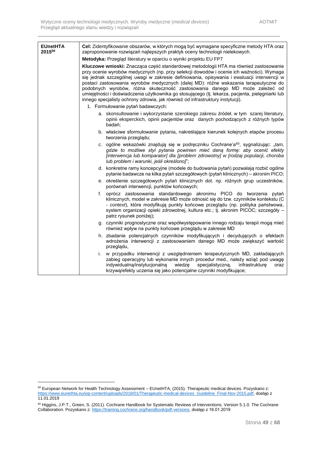| <b>EUnetHTA</b><br>201559 | Cel: Zidentyfikowanie obszarów, w których mogą być wymagane specyficzne metody HTA oraz<br>zaproponowanie rozwiązań najlepszych praktyk oceny technologii nielekowych.                                                                                                                                                                                                                                                                                                                                                                                                                                                                       |
|---------------------------|----------------------------------------------------------------------------------------------------------------------------------------------------------------------------------------------------------------------------------------------------------------------------------------------------------------------------------------------------------------------------------------------------------------------------------------------------------------------------------------------------------------------------------------------------------------------------------------------------------------------------------------------|
|                           | Metodyka: Przegląd literatury w oparciu o wyniki projektu EU FP7                                                                                                                                                                                                                                                                                                                                                                                                                                                                                                                                                                             |
|                           | Kluczowe wnioski: Znacząca część standardowej metodologii HTA ma również zastosowanie<br>przy ocenie wyrobów medycznych (np. przy selekcji dowodów i ocenie ich ważności). Wymaga<br>się jednak szczególnej uwagi w zakresie definiowania, opisywania i ewaluacji interwencji w<br>postaci zastosowania wyrobów medycznych (dalej MD): różne wskazania terapeutyczne do<br>podobnych wyrobów, różna skuteczność zastosowania danego MD może zależeć od<br>umiejętności i doświadczenia użytkownika go stosującego (tj. lekarza, pacjenta, pielęgniarki lub<br>innego specjalisty ochrony zdrowia, jak również od infrastruktury instytucji). |
|                           | 1. Formułowanie pytań badawczych:                                                                                                                                                                                                                                                                                                                                                                                                                                                                                                                                                                                                            |
|                           | a. skonsultowanie i wykorzystanie szerokiego zakresu źródeł, w tym szarej literatury,<br>opinii eksperckich, opinii pacjentów oraz danych pochodzących z różnych typów<br>badań;                                                                                                                                                                                                                                                                                                                                                                                                                                                             |
|                           | b. właściwe sformułowanie pytania, nakreślające kierunek kolejnych etapów procesu<br>tworzenia przeglądu;                                                                                                                                                                                                                                                                                                                                                                                                                                                                                                                                    |
|                           | c. ogólne wskazówki znajdują się w podręczniku Cochrane'a <sup>60</sup> , sygnalizując: " <i>tam</i> ,<br>gdzie to możliwe styl pytania powinien mieć daną formę: aby ocenić efekty<br>[interwencja lub komparator] dla [problem zdrowotny] w [rodzaj populacji, choroba<br>lub problem i warunki, jeśli określono]";                                                                                                                                                                                                                                                                                                                        |
|                           | d. konkretne ramy koncepcyjne (modele do budowania pytań) pozwalają rozbić ogólne<br>pytanie badawcze na kilka pytań szczegółowych (pytań klinicznych) – akronim PICO;                                                                                                                                                                                                                                                                                                                                                                                                                                                                       |
|                           | e. określenie szczegółowych pytań klinicznych dot. np. różnych grup uczestników,<br>porównań interwencji, punktów końcowych;                                                                                                                                                                                                                                                                                                                                                                                                                                                                                                                 |
|                           | oprócz zastosowania standardowego akronimu PICO do tworzenia pytań<br>f.<br>klinicznych, model w zakresie MD może odnosić się do tzw. czynników kontekstu (C<br>- context), które modyfikują punkty końcowe przeglądu (np. polityka państwowa,<br>system organizacji opieki zdrowotnej, kultura etc.; tj. akronim PICOC; szczegóły -<br>patrz rysunek poniżej);                                                                                                                                                                                                                                                                              |
|                           | g. czynniki prognostyczne oraz współwystępowanie innego rodzaju terapii mogą mieć<br>również wpływ na punkty końcowe przeglądu w zakresie MD                                                                                                                                                                                                                                                                                                                                                                                                                                                                                                 |
|                           | h. zbadanie potencjalnych czynników modyfikujących i decydujących o efektach<br>wdrożenia interwencji z zastosowaniem danego MD może zwiększyć wartość<br>przeglądu,                                                                                                                                                                                                                                                                                                                                                                                                                                                                         |
|                           | w przypadku interwencji z uwzględnieniem terapeutycznych MD, zakładających<br>i.<br>zabieg operacyjny lub wykonanie innych procedur med., należy wziąć pod uwagę<br>indywidualna/instytucjonalna wiedzę specjalistyczną,<br>infrastrukture<br>oraz<br>krzywą/efekty uczenia się jako potencjalne czynniki modyfikujące;                                                                                                                                                                                                                                                                                                                      |

<sup>&</sup>lt;sup>59</sup> European Network for Health Technology Assessment – EUnetHTA, (2015). Therapeutic medical devices. Pozyskano z: [https://www.eunethta.eu/wp-content/uploads/2018/01/Therapeutic-medical-devices\\_Guideline\\_Final-Nov-2015.pdf,](https://www.eunethta.eu/wp-content/uploads/2018/01/Therapeutic-medical-devices_Guideline_Final-Nov-2015.pdf) dostęp z 11.01.2019

<sup>&</sup>lt;sup>60</sup> Higgins, J.P.T., Green, S. (2011). Cochrane Handbook for Systematic Reviews of Interventions. Version 5.1.0. The Cochrane Collaboration. Pozyskano z: [https://training.cochrane.org/handbook/pdf-versions,](https://training.cochrane.org/handbook/pdf-versions) dostęp z 16.01.2019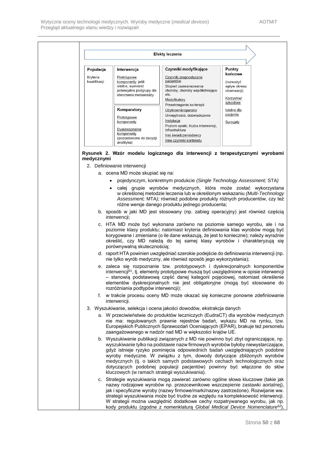|                          |                                                                                                             | Efekty leczenia                                                                                                                                                                                                                                                                                                                                                                                                                                                                       |                                                                   |
|--------------------------|-------------------------------------------------------------------------------------------------------------|---------------------------------------------------------------------------------------------------------------------------------------------------------------------------------------------------------------------------------------------------------------------------------------------------------------------------------------------------------------------------------------------------------------------------------------------------------------------------------------|-------------------------------------------------------------------|
| Populacja                | Interwencja                                                                                                 | Czynniki modyfikujące                                                                                                                                                                                                                                                                                                                                                                                                                                                                 | Punkty                                                            |
| Kryteria<br>kwalifikacji | Prototypowe<br>komponenty: jeśli<br>istotne, wymienić<br>potencjalne podgrupy dla<br>stworzenia metaanalizy | Czynniki prognostyczne<br>pacjentów<br>Stopień zaawansowania<br>choroby, choroby współistniejące<br>etc.<br><u>Modyfikatory</u>                                                                                                                                                                                                                                                                                                                                                       | końcowe<br>(rozważyć<br>wpływ okresu<br>obserwacji)<br>Korzystne/ |
|                          | Komparatory                                                                                                 | Przestrzeganie ko-terapii<br>Użytkownik/operator                                                                                                                                                                                                                                                                                                                                                                                                                                      | szkodliwe<br>Istotne dla                                          |
|                          | Prototypowe<br>komponenty<br>Dyskrecjonalne<br>komponenty                                                   | Umiejętności, doświadczenie<br>Instytucja<br>Poziom opieki, liczba interwencji,<br>infrastruktura                                                                                                                                                                                                                                                                                                                                                                                     | pacjenta<br>Surogaty                                              |
|                          | (pozostawione do decyzji<br>analityka)                                                                      | Inni świadczeniodawcy<br>Inne czynniki kontekstu                                                                                                                                                                                                                                                                                                                                                                                                                                      |                                                                   |
| medycznymi               | 2. Definiowanie interwencji<br>a. ocena MD może skupiać się na:                                             | Rysunek 2. Wzór modelu logicznego dla interwencji z terapeutycznymi wyrobami<br>pojedynczym, konkretnym produkcie (Single Technology Assessment; STA)                                                                                                                                                                                                                                                                                                                                 |                                                                   |
|                          |                                                                                                             | całej grupie wyrobów medycznych, która może zostać wykorzystana<br>w określonej metodzie leczenia lub w określonym wskazaniu (Multi-Technology<br>Assessment; MTA); również podobne produkty różnych producentów, czy też<br>różne wersje danego produktu jednego producenta;                                                                                                                                                                                                         |                                                                   |
|                          | interwencji;                                                                                                | b. sposób w jaki MD jest stosowany (np. zabieg operacyjny) jest również częścią                                                                                                                                                                                                                                                                                                                                                                                                       |                                                                   |
|                          | porównywalną skutecznością;                                                                                 | c. HTA MD może być wykonana zarówno na poziomie samego wyrobu, ale i na<br>poziomie klasy produktu; natomiast kryteria definiowania klas wyrobów mogą być<br>korygowane i zmieniane (o ile dane wskazują, że jest to konieczne); należy wyraźnie<br>określić, czy MD należą do tej samej klasy wyrobów i charakteryzują się                                                                                                                                                           |                                                                   |
|                          |                                                                                                             | d. raport HTA powinien uwzględniać szerokie podejście do definiowania interwencji (np.<br>nie tylko wyrób medyczny, ale również sposób jego wykorzystania);                                                                                                                                                                                                                                                                                                                           |                                                                   |
|                          | rozróżniania podtypów interwencji);                                                                         | e. zaleca się rozpoznanie tzw. prototypowych i dyskrecjonalnych komponentów<br>interwencji <sup>61</sup> , tj. elementy prototypowe muszą być uwzględnione w opisie interwencji<br>- stanowią podstawową część danej kategorii pojęciowej, natomiast określenie<br>elementów dyskrecjonalnych nie jest obligatoryjne (mogą być stosowane do                                                                                                                                           |                                                                   |
|                          | interwencji.                                                                                                | f. w trakcie procesu oceny MD może okazać się konieczne ponowne zdefiniowanie                                                                                                                                                                                                                                                                                                                                                                                                         |                                                                   |
|                          |                                                                                                             | 3. Wyszukiwanie, selekcja i ocena jakości dowodów, ekstrakcja danych                                                                                                                                                                                                                                                                                                                                                                                                                  |                                                                   |
|                          |                                                                                                             | a. W przeciwieństwie do produktów leczniczych (EudraCT) dla wyrobów medycznych<br>nie ma: regulowanych prawnie rejestrów badań, wykazu MD na rynku, tzw.<br>Europejskich Publicznych Sprawozdań Oceniających (EPAR), brakuje też personelu<br>zaangażowanego w nadzór nad MD w większości krajów UE.                                                                                                                                                                                  |                                                                   |
|                          | kluczowych (w ramach strategii wyszukiwania).                                                               | b. Wyszukiwanie publikacji związanych z MD nie powinno być zbyt ograniczające, np.<br>wyszukiwanie tylko na podstawie nazw firmowych wyrobów byłoby niewystarczające,<br>gdyż istnieje ryzyko pominięcia odpowiednich badań uwzględniających podobne<br>wyroby medyczne. W związku z tym, dowody dotyczące zbliżonych wyrobów<br>medycznych (tj. o takich samych podstawowych cechach technologicznych oraz<br>dotyczących podobnej populacji pacjentów) powinny być włączone do słów |                                                                   |
|                          | kody produktu (zgodne z nomenklatura Global Medical Device Nomenclature <sup>62</sup> ),                    | c. Strategie wyszukiwania mogą zawierać zarówno ogólne słowa kluczowe (takie jak<br>nazwy rodzajowe wyrobów np. przezcewnikowe wszczepienie zastawki aortalnej),<br>jak i specyficzne wyroby (nazwy firmowe/marki/nazwy zastrzeżone). Rozwijanie ww.<br>strategii wyszukiwania może być trudne ze względu na kompleksowość interwencji.<br>W strategii można uwzględnić dodatkowe cechy rozpatrywanego wyrobu, jak np.                                                                |                                                                   |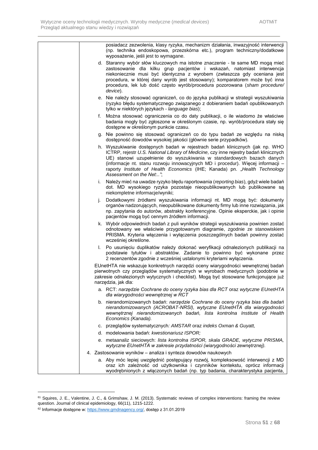|    | posiadacz zezwolenia, klasy ryzyka, mechanizm działania, inwazyjność interwencji<br>(np. technika endoskopowa, przezskórna etc.), program techniczny/dodatkowe<br>wyposażenie, jeśli jest to wymagane.                                                                                                                                                                                                                                       |
|----|----------------------------------------------------------------------------------------------------------------------------------------------------------------------------------------------------------------------------------------------------------------------------------------------------------------------------------------------------------------------------------------------------------------------------------------------|
|    | d. Staranny wybór słów kluczowych ma istotne znaczenie - te same MD mogą mieć<br>zastosowanie dla kilku grup pacjentów i wskazań, natomiast interwencja<br>niekoniecznie musi być identyczna z wyrobem (zwłaszcza gdy oceniana jest<br>procedura, w której dany wyrób jest stosowany); komparatorem może być inna<br>procedura, lek lub dość często wyrób/procedura pozorowana (sham procedure/<br>device).                                  |
|    | e. Nie należy stosować ograniczeń, co do języka publikacji w strategii wyszukiwania<br>(ryzyko błędu systematycznego związanego z dobieraniem badań opublikowanych<br>tylko w niektórych językach - language bias);                                                                                                                                                                                                                          |
|    | f. Można stosować ograniczenia co do daty publikacji, o ile wiadomo że właściwe<br>badania mogły być zgłoszone w określonym czasie, np. wyrób/procedura stały się<br>dostępne w określonym punkcie czasu.                                                                                                                                                                                                                                    |
|    | g. Nie powinno się stosować ograniczeń co do typu badań ze względu na niską<br>dostępność dowodów wysokiej jakości (głównie serie przypadków).                                                                                                                                                                                                                                                                                               |
|    | h. Wyszukiwanie dostępnych badań w rejestrach badań klinicznych (jak np. WHO<br>ICTRP, rejestr U.S. National Library of Medicine, czy inne rejestry badań klinicznych<br>UE) stanowi uzupełnienie do wyszukiwania w standardowych bazach danych<br>(informacje nt. stanu rozwoju innowacyjnych MD i procedur). Więcej informacji –<br>raporty Institute of Health Economics (IHE; Kanada) pn. "Health Technology<br>Assessment on the Net:": |
| i. | Należy mieć na uwadze ryzyko błędu raportowania (reporting bias), gdyż wiele badań<br>dot. MD wysokiego ryzyka pozostaje nieopublikowanych lub publikowane są<br>niekompletne informacje/wyniki;                                                                                                                                                                                                                                             |
| J. | Dodatkowymi źródłami wyszukiwania informacji nt. MD mogą być: dokumenty<br>organów nadzorujących, nieopublikowane dokumenty firmy lub inne rozwiązania, jak<br>np. zapytania do autorów, abstrakty konferencyjne. Opinie eksperckie, jak i opinie<br>pacjentów mogą być cennym źródłem informacji.                                                                                                                                           |
|    | k. Wybór odpowiednich badań z puli wyników strategii wyszukiwania powinien zostać<br>odnotowany we właściwie przygotowanym diagramie, zgodnie ze stanowiskiem<br>PRISMA. Kryteria włączenia i wyłączenia poszczególnych badań powinny zostać<br>wcześniej określone.                                                                                                                                                                         |
|    | I. Po usunięciu duplikatów należy dokonać weryfikacji odnalezionych publikacji na<br>podstawie tytułów i abstraktów. Zadanie to powinno być wykonane przez<br>2 recenzentów zgodnie z wcześniej ustalonymi kryteriami wyłączenia.                                                                                                                                                                                                            |
|    | EUnetHTA nie wskazuje konkretnych narzędzi oceny wiarygodności wewnętrznej badań<br>pierwotnych czy przeglądów systematycznych w wyrobach medycznych (podobnie w<br>zakresie odnalezionych wytycznych i checklist). Mogą być stosowane funkcjonujące już<br>narzędzia, jak dla:                                                                                                                                                              |
|    | a. RCT: narzędzie Cochrane do oceny ryzyka bias dla RCT oraz wytyczne EUnetHTA<br>dla wiarygodności wewnętrznej w RCT                                                                                                                                                                                                                                                                                                                        |
|    | b. nierandomizowanych badań: narzędzie Cochrane do oceny ryzyka bias dla badań<br>nierandomizowanych (ACROBAT-NRSI), wytyczne EUnetHTA dla wiarygodności<br>wewnetrznej nierandomizowanych badań, lista kontrolna Institute of Health<br>Economics (Kanada).                                                                                                                                                                                 |
|    | c. przeglądów systematycznych: AMSTAR oraz indeks Oxman & Guyatt,                                                                                                                                                                                                                                                                                                                                                                            |
|    | d. modelowania badań: kwestionariusz ISPOR;                                                                                                                                                                                                                                                                                                                                                                                                  |
|    | e. metaanaliz sieciowych: lista kontrolna ISPOR, skala GRADE, wytyczne PRISMA,<br>wytyczne EUnetHTA w zakresie przydatności (wiarygodności zewnętrznej).                                                                                                                                                                                                                                                                                     |
|    | 4. Zastosowanie wyników – analiza i synteza dowodów naukowych                                                                                                                                                                                                                                                                                                                                                                                |
|    | a. Aby móc lepiej uwzględnić postępujący rozwój, kompleksowość interwencji z MD<br>oraz ich zależność od użytkownika i czynników kontekstu, oprócz informacji<br>wyodrębnionych z włączonych badań (np. typ badania, charakterystyka pacjenta,                                                                                                                                                                                               |

<sup>&</sup>lt;sup>61</sup> Squires, J. E., Valentine, J. C., & Grimshaw, J. M. (2013). Systematic reviews of complex interventions: framing the review question. Journal of clinical epidemiology, 66(11), 1215-1222.

<sup>&</sup>lt;sup>62</sup> Informacje dostępne w[: https://www.gmdnagency.org/,](https://www.gmdnagency.org/) dostęp z 31.01.2019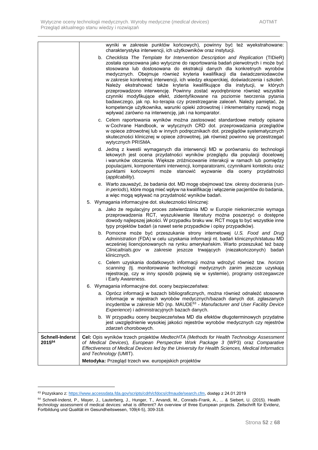|                                  | wyniki w zakresie punktów końcowych), powinny być też wyekstrahowane:<br>charakterystyka interwencji, ich użytkowników oraz instytucji.                                                                                                                                                                                                                                                                                                                                                                                                                                                                                                                                                                                                                                                                                                                                            |  |
|----------------------------------|------------------------------------------------------------------------------------------------------------------------------------------------------------------------------------------------------------------------------------------------------------------------------------------------------------------------------------------------------------------------------------------------------------------------------------------------------------------------------------------------------------------------------------------------------------------------------------------------------------------------------------------------------------------------------------------------------------------------------------------------------------------------------------------------------------------------------------------------------------------------------------|--|
|                                  | b. Checklista The Template for Intervention Description and Replication (TIDieR)<br>została opracowana jako wytyczne do raportowania badań pierwotnych i może być<br>stosowana lub dostosowana do ekstrakcji danych dla konkretnych wyrobów<br>medycznych. Obejmuje również kryteria kwalifikacji dla świadczeniodawców<br>w zakresie konkretnej interwencji, ich wiedzy eksperckiej, doświadczenia i szkoleń.<br>Należy ekstrahować także kryteria kwalifikujące dla instytucji, w których<br>przeprowadzono interwencję. Powinny zostać wyodrębnione również wszystkie<br>czynniki modyfikujące efekt, zidentyfikowane na poziomie tworzenia pytania<br>badawczego, jak np. ko-terapia czy przestrzeganie zaleceń. Należy pamiętać, że<br>kompetencje użytkownika, warunki opieki zdrowotnej i inkrementalny rozwój mogą<br>wpływać zarówno na interwencję, jak i na komparator. |  |
|                                  | c. Celem raportowania wyników można zastosować standardowe metody opisane<br>w Cochrane Handbook, w wytycznych CRD dot. przeprowadzania przeglądów<br>w opiece zdrowotnej lub w innych podręcznikach dot. przeglądów systematycznych<br>skuteczności klinicznej w opiece zdrowotnej, jak również powinno się przestrzegać<br>wytycznych PRISMA.                                                                                                                                                                                                                                                                                                                                                                                                                                                                                                                                    |  |
|                                  | d. Jedną z kwestii wymaganych dla interwencji MD w porównaniu do technologii<br>lekowych jest ocena przydatności wyników przeglądu dla populacji docelowej<br>i warunków otoczenia. Większe zróżnicowanie interakcji w ramach lub pomiędzy<br>populacjami, komponentami interwencji, komparatorami, czynnikami kontekstu oraz<br>punktami końcowymi może stanowić wyzwanie dla oceny przydatności<br>(applicability).                                                                                                                                                                                                                                                                                                                                                                                                                                                              |  |
|                                  | e. Warto zauważyć, że badania dot. MD mogę obejmować tzw. okresy docierania (run-<br>in periods), które mogą mieć wpływ na kwalifikację i włączenie pacjentów do badania,<br>a więc mogą wpływać na przydatność wyników badań.                                                                                                                                                                                                                                                                                                                                                                                                                                                                                                                                                                                                                                                     |  |
|                                  | 5. Wymagania informacyjne dot. skuteczności klinicznej:                                                                                                                                                                                                                                                                                                                                                                                                                                                                                                                                                                                                                                                                                                                                                                                                                            |  |
|                                  | a. Jako że regulacyjny proces zatwierdzania MD w Europie niekoniecznie wymaga<br>przeprowadzenia RCT, wyszukiwanie literatury można poszerzyć o dostępne<br>dowody najlepszej jakości. W przypadku braku ww. RCT mogą to być wszystkie inne<br>typy projektów badań (a nawet serie przypadków i opisy przypadków).                                                                                                                                                                                                                                                                                                                                                                                                                                                                                                                                                                 |  |
|                                  | b. Pomocne może być przeszukanie strony internetowej U.S. Food and Drug<br>Administration (FDA) w celu uzyskania informacji nt. badań klinicznych/statusu MD<br>wcześniej licencjonowanych na rynku amerykańskim. Warto przeszukać też bazę<br>Clinicaltrials.gov w zakresie jeszcze trwających (niezakończonych) badań<br>klinicznych.                                                                                                                                                                                                                                                                                                                                                                                                                                                                                                                                            |  |
|                                  | c. Celem uzyskania dodatkowych informacji można wdrożyć również tzw. horizon<br>scanning (tj. monitorowanie technologii medycznych zanim jeszcze uzyskają<br>rejestrację, czy w inny sposób pojawią się w systemie), programy ostrzegawcze<br><i>i</i> Early Awareness.                                                                                                                                                                                                                                                                                                                                                                                                                                                                                                                                                                                                            |  |
|                                  | 6. Wymagania informacyjne dot. oceny bezpieczeństwa:                                                                                                                                                                                                                                                                                                                                                                                                                                                                                                                                                                                                                                                                                                                                                                                                                               |  |
|                                  | a. Oprócz informacji w bazach bibliograficznych, można również odnaleźć stosowne<br>informacje w rejestrach wyrobów medycznych/bazach danych dot. zgłaszanych<br>incydentów w zakresie MD (np. MAUDE <sup>63</sup> - Manufacturer and User Facility Device<br>Experience) i administracyjnych bazach danych.                                                                                                                                                                                                                                                                                                                                                                                                                                                                                                                                                                       |  |
|                                  | b. W przypadku oceny bezpieczeństwa MD dla efektów długoterminowych przydatne<br>jest uwzględnienie wysokiej jakości rejestrów wyrobów medycznych czy rejestrów<br>zdarzeń chorobowych.                                                                                                                                                                                                                                                                                                                                                                                                                                                                                                                                                                                                                                                                                            |  |
| <b>Schnell-Inderst</b><br>201564 | Cel: Opis wyników trzech projektów MedtecHTA (Methods for Health Technology Assessment<br>of Medical Devices), European Perspective Work Package 3 (WP3) oraz Comparative<br>Effectiveness of Medical Devices led by the University for Health Sciences, Medical Informatics<br>and Technology (UMIT).                                                                                                                                                                                                                                                                                                                                                                                                                                                                                                                                                                             |  |
|                                  | Metodyka: Przegląd trzech ww. europejskich projektów                                                                                                                                                                                                                                                                                                                                                                                                                                                                                                                                                                                                                                                                                                                                                                                                                               |  |

<sup>63</sup> Pozyskano z[: https://www.accessdata.fda.gov/scripts/cdrh/cfdocs/cfmaude/search.cfm,](https://www.accessdata.fda.gov/scripts/cdrh/cfdocs/cfmaude/search.cfm) dostęp z 24.01.2019

<sup>64</sup> Schnell-Inderst, P., Mayer, J., Lauterberg, J., Hunger, T., Arvandi, M., Conrads-Frank, A., ... & Siebert, U. (2015). Health technology assessment of medical devices: what is different? An overview of three European projects. Zeitschrift für Evidenz, Fortbildung und Qualität im Gesundheitswesen, 109(4-5), 309-318.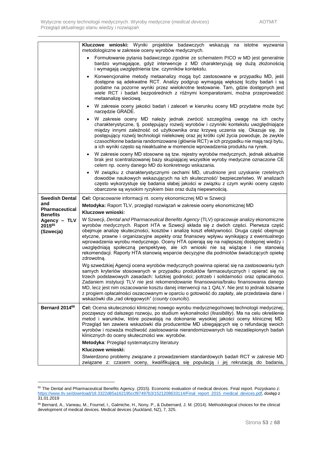|                                                        | Kluczowe wnioski: Wyniki projektów badawczych wskazują na istotne wyzwania<br>metodologiczne w zakresie oceny wyrobów medycznych.                                                                                                                                                                                                                                                                                                                                                                                                                                                                                                                                                     |
|--------------------------------------------------------|---------------------------------------------------------------------------------------------------------------------------------------------------------------------------------------------------------------------------------------------------------------------------------------------------------------------------------------------------------------------------------------------------------------------------------------------------------------------------------------------------------------------------------------------------------------------------------------------------------------------------------------------------------------------------------------|
|                                                        | Formułowanie pytania badawczego zgodnie ze schematem PICO w MD jest generalnie<br>bardzo wymagające, gdyż interwencje z MD charakteryzują się dużą złożonością<br>i wymagają uwzględnienia tzw. czynników kontekstu.                                                                                                                                                                                                                                                                                                                                                                                                                                                                  |
|                                                        | Konwencjonalne metody metaanalizy mogą być zastosowane w przypadku MD, jeśli<br>dostępne są adekwatne RCT. Analizy podgrup wymagają większej liczby badań i są<br>podatne na pozorne wyniki przez wielokrotne testowanie. Tam, gdzie dostępnych jest<br>wiele RCT i badań bezpośrednich z różnymi komparatorami, można przeprowadzić<br>metaanalize sieciowa.                                                                                                                                                                                                                                                                                                                         |
|                                                        | W zakresie oceny jakości badań i zaleceń w kierunku oceny MD przydatne może być<br>$\bullet$<br>narzędzie GRADE.                                                                                                                                                                                                                                                                                                                                                                                                                                                                                                                                                                      |
|                                                        | W zakresie oceny MD należy jednak zwrócić szczególną uwagę na ich cechy<br>charakterystyczne, tj. postępujący rozwój wyrobów i czynniki kontekstu uwzględniające<br>między innymi zależność od użytkownika oraz krzywą uczenia się. Okazuje się, że<br>postępujący rozwój technologii nielekowej oraz jej krótki cykl życia powoduje, że zwykle<br>czasochłonne badania randomizowane (głównie RCT) w ich przypadku nie mają racji bytu,<br>a ich wyniki często są nieaktualne w momencie wprowadzenia produktu na rynek.                                                                                                                                                             |
|                                                        | W zakresie oceny MD stosowne są tzw. rejestry wyrobów medycznych, jednak aktualnie<br>brak jest scentralizowanej bazy skupiającej wszystkie wyroby medyczne oznaczone CE<br>celem np. oceny danego MD do konkretnego wskazania.                                                                                                                                                                                                                                                                                                                                                                                                                                                       |
|                                                        | W związku z charakterystycznymi cechami MD, utrudnione jest uzyskanie rzetelnych<br>dowodów naukowych wskazujących na ich skuteczność/ bezpieczeństwo. W analizach<br>często wykorzystuje się badania słabej jakości w związku z czym wyniki oceny często<br>obarczone są wysokim ryzykiem bias oraz dużą niepewnością.                                                                                                                                                                                                                                                                                                                                                               |
| <b>Swedish Dental</b>                                  | Cel: Opracowanie informacji nt. oceny ekonomicznej MD w Szwecji                                                                                                                                                                                                                                                                                                                                                                                                                                                                                                                                                                                                                       |
| and<br><b>Pharmaceutical</b>                           | Metodyka: Raport TLV, przegląd rozwiązań w zakresie oceny ekonomicznej MD                                                                                                                                                                                                                                                                                                                                                                                                                                                                                                                                                                                                             |
| <b>Benefits</b><br>Agency - TLV<br>201565<br>(Szwecja) | Kluczowe wnioski:<br>W Szwecji, Dental and Pharmaceutical Benefits Agency (TLV) opracowuje analizy ekonomiczne<br>wyrobów medycznych. Raport HTA w Szwecji składa się z dwóch części. Pierwsza część<br>obejmuje analizę skuteczności, kosztów i analizę koszt efektywności. Druga część obejmuje<br>etyczne, prawne i organizacyjne aspekty oraz finansowy wpływu wynikający z ewentualnego<br>wprowadzenia wyrobu medycznego. Oceny HTA opierają się na najlepszej dostępnej wiedzy i<br>uwzględniają społeczną perspektywę, ale ich wnioski nie są wiążące i nie stanowią<br>rekomendacji. Raporty HTA stanowią wsparcie decyzyjne dla podmiotów świadczących opiekę<br>zdrowotną. |
|                                                        | Wg szwedzkiej Agencji ocena wyrobów medycznych powinna opierać się na zastosowaniu tych<br>samych kryteriów stosowanych w przypadku produktów farmaceutycznych i opierać się na<br>trzech podstawowych zasadach: ludzkiej godności; potrzeb i solidarności oraz opłacalności.<br>Zadaniem instytucji TLV nie jest rekomendowanie finansowania/braku finansowania danego<br>MD, lecz jest nim oszacowanie kosztu danej interwencji na 1 QALY. Nie jest to jednak tożsame<br>z progiem opłacalności oszacowanym w oparciu o gotowość do zapłaty, ale przedstawia dane i<br>wskazówki dla "rad okręgowych" (county councils).                                                            |
| Bernard 2014 <sup>66</sup>                             | Cel: Ocena skuteczności klinicznej nowego wyrobu medycznego/nowej technologii medycznej,<br>począwszy od dalszego rozwoju, po studium wykonalności (feasibility). Ma na celu określenie<br>metod i warunków, które pozwalają na dokonanie wysokiej jakości oceny klinicznej MD.<br>Przegląd ten zawiera wskazówki dla producentów MD ubiegających się o refundację swoich<br>wyrobów i rozważa możliwość zastosowania nierandomizowanych lub niezaślepionych badań<br>klinicznych do oceny skuteczności ww. wyrobów.                                                                                                                                                                  |
|                                                        |                                                                                                                                                                                                                                                                                                                                                                                                                                                                                                                                                                                                                                                                                       |
|                                                        | Metodyka: Przegląd systematyczny literatury                                                                                                                                                                                                                                                                                                                                                                                                                                                                                                                                                                                                                                           |
|                                                        | Kluczowe wnioski:<br>Stwierdzono problemy związane z prowadzeniem standardowych badań RCT w zakresie MD                                                                                                                                                                                                                                                                                                                                                                                                                                                                                                                                                                               |

<sup>&</sup>lt;sup>65</sup> The Dental and Pharmaceutical Benefits Agency. (2015). Economic evaluation of medical devices. Final report. Pozyskano z: [https://www.tlv.se/download/18.3322d85a162195ccf87497b3/1521208633114/Final\\_report\\_2015\\_medical\\_devices.pdf,](https://www.tlv.se/download/18.3322d85a162195ccf87497b3/1521208633114/Final_report_2015_medical_devices.pdf) dostęp z 31.01.2019

<sup>66</sup> Bernard, A., Vaneau, M., Fournel, I., Galmiche, H., Nony, P., & Dubernard, J. M. (2014). Methodological choices for the clinical development of medical devices. Medical devices (Auckland, NZ), 7, 325.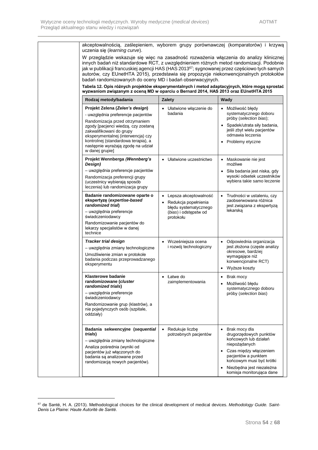| akceptowalnością, zaślepieniem, wyborem grupy porównawczej (komparatorów) i krzywą<br>uczenia się (learning curve).                                                                                                                                                                                                                                                                                                                                                                                                                                      |                                                                                                                           |                                                                                                                                         |
|----------------------------------------------------------------------------------------------------------------------------------------------------------------------------------------------------------------------------------------------------------------------------------------------------------------------------------------------------------------------------------------------------------------------------------------------------------------------------------------------------------------------------------------------------------|---------------------------------------------------------------------------------------------------------------------------|-----------------------------------------------------------------------------------------------------------------------------------------|
| W przeglądzie wskazuje się więc na zasadność rozważenia włączenia do analizy klinicznej<br>innych badań niż standardowe RCT, z uwzględnieniem różnych metod randomizacji. Podobnie<br>jak w publikacji francuskiej agencji HAS (HAS 2013 <sup>67</sup> ; sygnowanej przez częściowo tych samych<br>autorów, czy EUnetHTA 2015), przedstawia się propozycje niekonwencjonalnych protokołów<br>badań randomizowanych do oceny MD i badań obserwacyjnych.<br>Tabela 12. Opis różnych projektów eksperymentalnych i metod adaptacyjnych, które mogą sprostać |                                                                                                                           |                                                                                                                                         |
| wyzwaniom związanym z oceną MD w oparciu o Bernard 2014, HAS 2013 oraz EUnetHTA 2015                                                                                                                                                                                                                                                                                                                                                                                                                                                                     |                                                                                                                           |                                                                                                                                         |
| Rodzaj metody/badania                                                                                                                                                                                                                                                                                                                                                                                                                                                                                                                                    | <b>Zalety</b>                                                                                                             | Wady                                                                                                                                    |
| Projekt Zelena (Zelen's design)<br>- uwzględnia preferencje pacjentów                                                                                                                                                                                                                                                                                                                                                                                                                                                                                    | Ułatwione włączenie do<br>badania                                                                                         | Możliwość błędy<br>systematycznego doboru<br>próby (selection bias);                                                                    |
| Randomizacja przed otrzymaniem<br>zgody [pacjenci wiedzą, czy zostaną<br>zakwalifikowani do grupy<br>eksperymentalnej (interwencja) czy<br>kontrolnej (standardowa terapia), a<br>następnie wyrażają zgodę na udział<br>w danej grupie]                                                                                                                                                                                                                                                                                                                  |                                                                                                                           | • Spadek/utrata siły badania,<br>jeśli zbyt wielu pacjentów<br>odmawia leczenia<br>Problemy etyczne<br>٠                                |
| Projekt Wennberga (Wennberg's<br>Design)                                                                                                                                                                                                                                                                                                                                                                                                                                                                                                                 | Ułatwione uczestnictwo                                                                                                    | Maskowanie nie jest<br>możliwe                                                                                                          |
| - uwzględnia preferencje pacjentów<br>Randomizacja preferencji grupy<br>(uczestnicy wybierają sposób<br>leczenia) lub randomizacja grupy                                                                                                                                                                                                                                                                                                                                                                                                                 |                                                                                                                           | • Siła badania jest niska, gdy<br>wysoki odsetek uczestników<br>wybiera takie samo leczenie                                             |
| Badanie randomizowane oparte o<br>ekspertyzę (expertise-based<br>randomized trial)<br>- uwzględnia preferencje<br>świadczeniodawcy<br>Randomizowanie pacjentów do<br>lekarzy specjalistów w danej<br>technice                                                                                                                                                                                                                                                                                                                                            | Lepsza akceptowalność<br>Redukcja popełnienia<br>$\bullet$<br>błędu systematycznego<br>(bias) i odstępstw od<br>protokołu | Trudności w ustaleniu, czy<br>zaobserwowana różnica<br>jest związana z ekspertyzą<br>lekarską                                           |
| <b>Tracker trial design</b><br>- uwzględnia zmiany technologiczne<br>Umożliwienie zmian w protokole<br>badania podczas przeprowadzanego<br>eksperymentu                                                                                                                                                                                                                                                                                                                                                                                                  | Wcześniejsza ocena<br>i rozwój technologiczny                                                                             | Odpowiednia organizacja<br>jest złożona (częste analizy<br>okresowe, bardziej<br>wymagające niż<br>konwencjonalne RCT)<br>Wyższe koszty |
| Klasterowe badanie<br>randomizowane ( <i>cluster</i><br>randomized trials)<br>- uwzględnia preferencje<br>świadczeniodawcy                                                                                                                                                                                                                                                                                                                                                                                                                               | • Łatwe do<br>zaimplementowania                                                                                           | • Brak mocy<br>Możliwość błędu<br>systematycznego doboru<br>próby (selection bias)                                                      |
| Randomizowanie grup (klastrów), a<br>nie pojedynczych osób (szpitale,<br>oddziały)                                                                                                                                                                                                                                                                                                                                                                                                                                                                       |                                                                                                                           |                                                                                                                                         |
| Badania sekwencyjne (sequential<br>trials)<br>- uwzględnia zmiany technologiczne<br>Analiza pośrednia (wyniki od                                                                                                                                                                                                                                                                                                                                                                                                                                         | Redukuje liczbę<br>$\bullet$<br>potrzebnych pacjentów                                                                     | Brak mocy dla<br>drugorzędowych punktów<br>końcowych lub działań<br>niepożądanych                                                       |
| pacjentów już włączonych do<br>badania są analizowane przed<br>randomizacją nowych pacjentów).                                                                                                                                                                                                                                                                                                                                                                                                                                                           |                                                                                                                           | • Czas między włączeniem<br>pacjentów a punktem<br>końcowym musi być krótki                                                             |
|                                                                                                                                                                                                                                                                                                                                                                                                                                                                                                                                                          |                                                                                                                           | Niezbędna jest niezależna<br>komisja monitorująca dane                                                                                  |

<sup>67</sup> de Santé, H. A. (2013). Methodological choices for the clinical development of medical devices. *Methodology Guide. Saint-Denis La Plaine: Haute Autorité de Santé*.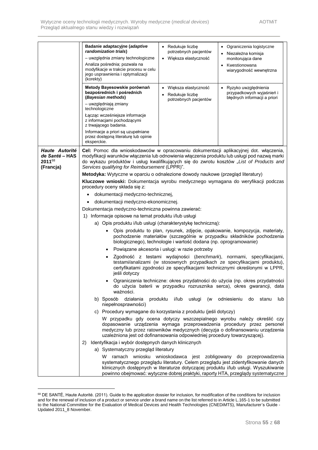|                     | Badanie adaptacyjne (adaptive<br>Redukuje liczbę<br>• Ograniczenia logistyczne<br>$\bullet$<br>randomization trials)<br>potrzebnych pacjentów<br>• Niezależna komisja                                                                                          |  |  |  |
|---------------------|----------------------------------------------------------------------------------------------------------------------------------------------------------------------------------------------------------------------------------------------------------------|--|--|--|
|                     | - uwzględnia zmiany technologiczne<br>· Większa elastyczność<br>monitorująca dane                                                                                                                                                                              |  |  |  |
|                     | Analiza pośrednia; pozwala na<br>• Kwestionowana                                                                                                                                                                                                               |  |  |  |
|                     | modyfikacje w trakcie procesu w celu<br>wiarygodność wewnętrzna<br>jego usprawnienia i optymalizacji<br>(korekty)                                                                                                                                              |  |  |  |
|                     | Metody Bayesowskie porównań<br>Większa elastyczność<br>• Ryzyko uwzględnienia<br>$\bullet$<br>bezpośrednich i pośrednich<br>przypadkowych wyjaśnień i<br>Redukuje liczbe<br>(Bayesian methods)<br>błędnych informacji a priori                                 |  |  |  |
|                     | potrzebnych pacjentów<br>- uwzględniają zmiany<br>technologiczne                                                                                                                                                                                               |  |  |  |
|                     | Łącząc wcześniejsze informacje<br>z informacjami pochodzącymi                                                                                                                                                                                                  |  |  |  |
|                     | z trwającego badania.<br>Informacje a priori są uzupełniane                                                                                                                                                                                                    |  |  |  |
|                     | przez dostępną literaturę lub opinie<br>eksperckie.                                                                                                                                                                                                            |  |  |  |
| Haute Autorité      | Cel: Pomoc dla wnioskodawców w opracowaniu dokumentacji aplikacyjnej dot. włączenia,                                                                                                                                                                           |  |  |  |
| de Santé - HAS      | modyfikacji warunków włączenia lub odnowienia włączenia produktu lub usługi pod nazwą marki                                                                                                                                                                    |  |  |  |
| 201168<br>(Francja) | do wykazu produktów i usług kwalifikujących się do zwrotu kosztów "List of Products and<br>Services qualifying for Reimbursement (LPPR)".                                                                                                                      |  |  |  |
|                     |                                                                                                                                                                                                                                                                |  |  |  |
|                     | Metodyka: Wytyczne w oparciu o odnalezione dowody naukowe (przegląd literatury)                                                                                                                                                                                |  |  |  |
|                     | Kluczowe wnioski: Dokumentacja wyrobu medycznego wymagana do weryfikacji podczas<br>procedury oceny składa się z:                                                                                                                                              |  |  |  |
|                     | dokumentacji medyczno-technicznej,                                                                                                                                                                                                                             |  |  |  |
|                     | dokumentacji medyczno-ekonomicznej.                                                                                                                                                                                                                            |  |  |  |
|                     | Dokumentacja medyczno-techniczna powinna zawierać:                                                                                                                                                                                                             |  |  |  |
|                     | 1) Informacje opisowe na temat produktu i/lub usługi                                                                                                                                                                                                           |  |  |  |
|                     | a) Opis produktu i/lub usługi (charakterystykę techniczną):                                                                                                                                                                                                    |  |  |  |
|                     | Opis produktu to plan, rysunek, zdjęcie, opakowanie, kompozycja, materiały,<br>pochodzenie materiałów (szczególnie w przypadku składników pochodzenia<br>biologicznego), technologie i wartość dodana (np. oprogramowanie)                                     |  |  |  |
|                     | Powiązane akcesoria i usługi: w razie potrzeby                                                                                                                                                                                                                 |  |  |  |
|                     | Zgodność z testami wydajności (benchmark), normami, specyfikacjami,                                                                                                                                                                                            |  |  |  |
|                     | testami/analizami (w stosownych przypadkach ze specyfikacjami produktu),<br>certyfikatami zgodności ze specyfikacjami technicznymi określonymi w LPPR,<br>jeśli dotyczy                                                                                        |  |  |  |
|                     | Ograniczenia techniczne: okres przydatności do użycia (np. okres przydatności<br>do użycia baterii w przypadku rozrusznika serca), okres gwarancji, data<br>ważności.                                                                                          |  |  |  |
|                     | b) Sposób<br>działania<br>produktu<br>i/lub<br>usługi<br>odniesieniu<br>do<br>(w<br>stanu<br>lub<br>niepełnosprawności)                                                                                                                                        |  |  |  |
|                     | c) Procedury wymagane do korzystania z produktu (jeśli dotyczy)                                                                                                                                                                                                |  |  |  |
|                     | W przypadku gdy ocena dotyczy wszczepialnego wyrobu należy określić czy                                                                                                                                                                                        |  |  |  |
|                     | dopasowanie urządzenia wymaga przeprowadzenia procedury przez personel<br>medyczny lub przez ratowników medycznych (decyzja o dofinansowaniu urządzenia<br>uzależniona jest od dofinansowania odpowiedniej procedury towarzyszącej).                           |  |  |  |
|                     | Identyfikacja i wybór dostępnych danych klinicznych<br>2)                                                                                                                                                                                                      |  |  |  |
|                     | a) Systematyczny przegląd literatury                                                                                                                                                                                                                           |  |  |  |
|                     | ramach wniosku wnioskodawca jest zobligowany<br>W<br>do<br>przeprowadzenia                                                                                                                                                                                     |  |  |  |
|                     | systematycznego przeglądu literatury. Celem przeglądu jest zidentyfikowanie danych<br>klinicznych dostępnych w literaturze dotyczącej produktu i/lub usługi. Wyszukiwanie<br>powinno obejmować: wytyczne dobrej praktyki, raporty HTA, przeglądy systematyczne |  |  |  |

 $^{68}$  DE SANTÉ, Haute Autorité. (2011). Guide to the application dossier for inclusion, for modification of the conditions for inclusion and for the renewal of inclusion of a product or service under a brand name on the list referred to in Article L.165-1 to be submitted to the National Committee for the Evaluation of Medical Devices and Health Technologies (CNEDiMTS), Manufacturer's Guide - Updated 2011\_8 November.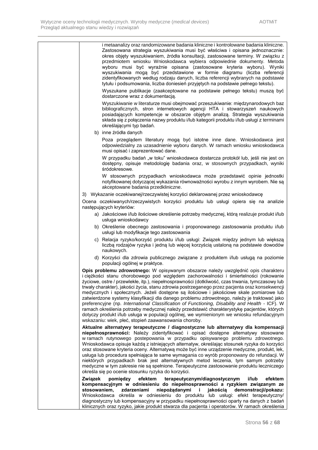| i metaanalizy oraz randomizowane badania kliniczne i kontrolowane badania kliniczne.<br>Zastosowana strategia wyszukiwania musi być właściwa i opisana jednoznacznie:<br>okres objęty wyszukiwaniem, źródła konsultacji, zastosowane terminy. W związku z<br>przedmiotem wniosku Wnioskodawca wybiera odpowiednie dokumenty. Metoda<br>wyboru musi być wyraźnie opisana (zastosowane kryteria wyboru). Wyniki<br>wyszukiwania mogą być przedstawione w formie diagramu (liczba referencji<br>zidentyfikowanych według rodzaju danych, liczba referencji wybranych na podstawie<br>tytułu i podsumowania, liczba doniesień przyjętych na podstawie pełnego tekstu).                                                                                                                                                                                                                                                                 |
|------------------------------------------------------------------------------------------------------------------------------------------------------------------------------------------------------------------------------------------------------------------------------------------------------------------------------------------------------------------------------------------------------------------------------------------------------------------------------------------------------------------------------------------------------------------------------------------------------------------------------------------------------------------------------------------------------------------------------------------------------------------------------------------------------------------------------------------------------------------------------------------------------------------------------------|
| Wyszukane publikacje (zaakceptowane na podstawie pełnego tekstu) muszą być<br>dostarczone wraz z dokumentacją.                                                                                                                                                                                                                                                                                                                                                                                                                                                                                                                                                                                                                                                                                                                                                                                                                     |
| Wyszukiwanie w literaturze musi obejmować przeszukiwanie: międzynarodowych baz<br>bibliograficznych, stron internetowych agencji HTA i stowarzyszeń naukowych<br>posiadających kompetencje w obszarze objętym analizą. Strategia wyszukiwania<br>składa się z połączenia nazwy produktu i/lub kategorii produktu i/lub usługi z terminami<br>określającymi typ badań.                                                                                                                                                                                                                                                                                                                                                                                                                                                                                                                                                              |
| b) inne źródła danych                                                                                                                                                                                                                                                                                                                                                                                                                                                                                                                                                                                                                                                                                                                                                                                                                                                                                                              |
| Poza przeglądem literatury mogą być istotne inne dane. Wnioskodawca jest<br>odpowiedzialny za uzasadnienie wyboru danych. W ramach wniosku wnioskodawca<br>musi opisać i zaprezentować dane.                                                                                                                                                                                                                                                                                                                                                                                                                                                                                                                                                                                                                                                                                                                                       |
| W przypadku badań "w toku" wnioskodawca dostarcza protokół lub, jeśli nie jest on<br>dostępny, opisuje metodologię badania oraz, w stosownych przypadkach, wyniki<br>śródokresowe.                                                                                                                                                                                                                                                                                                                                                                                                                                                                                                                                                                                                                                                                                                                                                 |
| W stosownych przypadkach wnioskodawca może przedstawić opinie jednostki<br>notyfikowanej dotyczącej wykazania równoważności wyrobu z innym wyrobem. Nie są<br>akceptowane badania przedkliniczne.                                                                                                                                                                                                                                                                                                                                                                                                                                                                                                                                                                                                                                                                                                                                  |
| 3) Wykazanie oczekiwanej/rzeczywistej korzyści deklarowanej przez wnioskodawcę                                                                                                                                                                                                                                                                                                                                                                                                                                                                                                                                                                                                                                                                                                                                                                                                                                                     |
| Ocena oczekiwanych/rzeczywistych korzyści produktu lub usługi opiera się na analizie<br>następujących kryteriów:                                                                                                                                                                                                                                                                                                                                                                                                                                                                                                                                                                                                                                                                                                                                                                                                                   |
| a) Jakościowe i/lub ilościowe określenie potrzeby medycznej, którą realizuje produkt i/lub<br>usługa wnioskodawcy                                                                                                                                                                                                                                                                                                                                                                                                                                                                                                                                                                                                                                                                                                                                                                                                                  |
| b) Określenie obecnego zastosowania i proponowanego zastosowania produktu i/lub<br>usługi lub modyfikacje tego zastosowania                                                                                                                                                                                                                                                                                                                                                                                                                                                                                                                                                                                                                                                                                                                                                                                                        |
| c) Relacja ryzyko/korzyść produktu i/lub usługi: Związek między jednym lub większą<br>liczbą rodzajów ryzyka i jedną lub więcej korzyścią ustaloną na podstawie dowodów<br>naukowych.                                                                                                                                                                                                                                                                                                                                                                                                                                                                                                                                                                                                                                                                                                                                              |
| d) Korzyści dla zdrowia publicznego związane z produktem i/lub usługą na poziomie<br>populacji ogólnej w praktyce.                                                                                                                                                                                                                                                                                                                                                                                                                                                                                                                                                                                                                                                                                                                                                                                                                 |
| Opis problemu zdrowotnego: W opisywanym obszarze należy uwzględnić opis charakteru<br>i ciężkości stanu chorobowego pod względem zachorowalności i śmiertelności (rokowanie<br>życiowe, ostre / przewlekłe, itp.), niepełnosprawności (dotkliwość, czas trwania, tymczasowy lub<br>trwały charakter), jakości życia, stanu zdrowia postrzeganego przez pacjenta oraz konsekwencji<br>medycznych i społecznych. Jeżeli dostępne są ilościowe i jakościowe skale pomiarowe lub<br>zatwierdzone systemy klasyfikacji dla danego problemu zdrowotnego, należy je traktować jako<br>preferencyjne (np. International Classification of Functioning, Disability and Health - ICF). W<br>ramach określenia potrzeby medycznej należy przedstawić charakterystykę pacjentów, których<br>dotyczy produkt i/lub usługa w populacji ogólnej, we wymienionym we wniosku refundacyjnym<br>wskazaniu: wiek, płeć, stopień zaawansowania choroby. |
| Aktualne alternatywy terapeutyczne / diagnostyczne lub alternatywy dla kompensacji<br>niepełnosprawności: Należy zidentyfikować i opisać dostępne alternatywy stosowane<br>w ramach rutynowego postepowania w przypadku opisywanego problemu zdrowotnego.<br>Wnioskodawca opisuje każdą z istniejących alternatyw, określając stosunek ryzyka do korzyści<br>oraz stosowane kryteria oceny. Alternatywą może być inne urządzenie medyczne, produkt, lek,<br>usługa lub procedura spełniająca te same wymagania co wyrób proponowany do refundacji. W<br>niektórych przypadkach brak jest alternatywnych metod leczenia, tym samym potrzeby<br>medyczne w tym zakresie nie są spełnione. Terapeutyczne zastosowanie produktu leczniczego<br>określa się po ocenie stosunku ryzyka do korzyści.                                                                                                                                      |
| Związek<br>pomiędzy<br>efektem<br>terapeutycznym/diagnostycznym<br>efektem<br>i/lub<br>kompensacyjnym w odniesieniu do niepełnosprawności a ryzykiem związanym ze<br>niepożądanymi i<br>stosowaniem,<br>zdarzeniami<br>jakością<br>demonstracji/pokazu:<br>Wnioskodawca określa w odniesieniu do produktu lub usługi: efekt terapeutyczny/<br>diagnostyczny lub kompensacyjny w przypadku niepełnosprawności oparty na danych z badań<br>klinicznych oraz ryzyko, jakie produkt stwarza dla pacjenta i operatorów. W ramach określenia                                                                                                                                                                                                                                                                                                                                                                                             |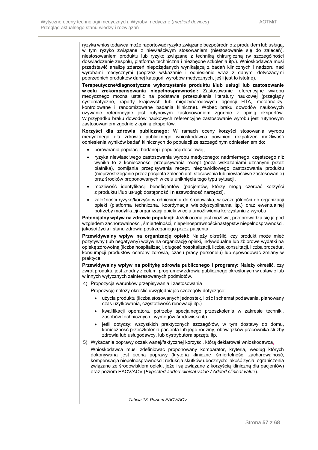| ryzyka wnioskodawca może raportować ryzyko związane bezpośrednio z produktem lub usługą,<br>w tym ryzyko związane z niewłaściwym stosowaniem (niestosowanie się do zaleceń),<br>niestosowaniem produktu lub ryzyko związane z techniką chirurgiczną (w szczególności<br>doświadczenie zespołu, platforma techniczna i niezbędne szkolenia itp.). Wnioskodawca musi<br>przedstawić analizę zdarzeń niepożądanych wynikającą z badań klinicznych i nadzoru nad<br>wyrobami medycznymi (poprzez wskazanie i odniesienie wraz z danymi dotyczącymi<br>poprzednich produktów danej kategorii wyrobów medycznych, jeśli jest to istotne).              |
|--------------------------------------------------------------------------------------------------------------------------------------------------------------------------------------------------------------------------------------------------------------------------------------------------------------------------------------------------------------------------------------------------------------------------------------------------------------------------------------------------------------------------------------------------------------------------------------------------------------------------------------------------|
| Terapeutyczne/diagnostyczne wykorzystanie produktu i/lub usługi lub zastosowanie<br>w celu zrekompensowania niepełnosprawności: Zastosowanie referencyjne wyrobu<br>medycznego można ustalić na podstawie przeszukania literatury naukowej (przeglądy<br>systematyczne, raporty krajowych lub międzynarodowych agencji HTA, metaanalizy,<br>kontrolowane i randomizowane badania kliniczne). Wobec braku dowodów naukowych<br>używanie referencyjne jest rutynowym zastosowaniem zgodnie z opinią ekspertów.<br>W przypadku braku dowodów naukowych referencyjne zastosowanie wyrobu jest rutynowym<br>zastosowaniem zgodnie z opinią ekspertów. |
| Korzyści dla zdrowia publicznego: W ramach oceny korzyści stosowania wyrobu<br>medycznego dla zdrowia publicznego wnioskodawca powinien rozpatrzeć możliwość<br>odniesienia wyników badań klinicznych do populacji ze szczególnym odniesieniem do:                                                                                                                                                                                                                                                                                                                                                                                               |
| porównania populacji badanej i populacji docelowej,<br>$\bullet$                                                                                                                                                                                                                                                                                                                                                                                                                                                                                                                                                                                 |
| ryzyka niewłaściwego zastosowania wyrobu medycznego: nadmiernego, częstszego niż<br>$\bullet$<br>wynika to z konieczności przepisywania recept (poza wskazaniami uznanymi przez<br>płatnika), pomijania przepisywania recept, nieprawidłowego zastosowania produktu<br>(nieprzestrzeganie przez pacjenta zaleceń dot. stosowania lub niewłaściwe zastosowanie)<br>oraz środków proponowanych w celu uniknięcia tego typu sytuacji,                                                                                                                                                                                                               |
| możliwość identyfikacji beneficjentów (pacjentów, którzy mogą czerpać korzyści<br>$\bullet$<br>z produktu i/lub usługi; dostępność i niezawodność narzędzi),                                                                                                                                                                                                                                                                                                                                                                                                                                                                                     |
| zależności ryzyko/korzyść w odniesieniu do środowiska, w szczególności do organizacji<br>$\bullet$<br>opieki (platforma techniczna, koordynacja wielodyscyplinarna itp.) oraz ewentualnej<br>potrzeby modyfikacji organizacji opieki w celu umożliwienia korzystania z wyrobu.                                                                                                                                                                                                                                                                                                                                                                   |
| Potencjalny wpływ na zdrowie populacji: Jeżeli ocena jest możliwa, przeprowadza się ją pod<br>względem zachorowalności, śmiertelności, niepełnosprawności/następstw niepełnosprawności,<br>jakości życia i stanu zdrowia postrzeganego przez pacjenta.                                                                                                                                                                                                                                                                                                                                                                                           |
| Przewidywalny wpływ na organizację opieki: Należy określić, czy produkt może mieć<br>pozytywny (lub negatywny) wpływ na organizację opieki, indywidualne lub zbiorowe wydatki na<br>opiekę zdrowotną (liczba hospitalizacji, długość hospitalizacji, liczba konsultacji, liczba procedur,<br>konsumpcji produktów ochrony zdrowia, czasu pracy personelu) lub spowodować zmiany w<br>praktyce.                                                                                                                                                                                                                                                   |
| Przewidywalny wpływ na politykę zdrowia publicznego i programy: Należy określić, czy<br>zwrot produktu jest zgodny z celami programów zdrowia publicznego określonych w ustawie lub<br>w innych wytycznych zainteresowanych podmiotów.                                                                                                                                                                                                                                                                                                                                                                                                           |
| 4) Propozycja warunków przepisywania i zastosowania                                                                                                                                                                                                                                                                                                                                                                                                                                                                                                                                                                                              |
| Propozycję należy określić uwzględniając szczegóły dotyczące:                                                                                                                                                                                                                                                                                                                                                                                                                                                                                                                                                                                    |
| użycia produktu (liczba stosowanych jednostek, ilość i schemat podawania, planowany<br>czas użytkowania, częstotliwość renowacji itp.)                                                                                                                                                                                                                                                                                                                                                                                                                                                                                                           |
| kwalifikacji operatora, potrzeby specjalnego przeszkolenia w zakresie techniki,<br>$\bullet$<br>zasobów technicznych i wymogów środowiska itp.                                                                                                                                                                                                                                                                                                                                                                                                                                                                                                   |
| jeśli dotyczy: wszystkich praktycznych szczegółów, w tym dostawy do domu,<br>konieczność przeszkolenia pacjenta lub jego rodziny, obowiązków pracownika służby<br>zdrowia lub usługodawcy, lub dystrybutora sprzętu itp.                                                                                                                                                                                                                                                                                                                                                                                                                         |
| 5) Wykazanie poprawy oczekiwanej/faktycznej korzyści, którą deklarował wnioskodawca.                                                                                                                                                                                                                                                                                                                                                                                                                                                                                                                                                             |
| Wnioskodawca musi zdefiniować proponowany komparator, kryteria, według których<br>dokonywana jest ocena poprawy (kryteria kliniczne: śmiertelność, zachorowalność,<br>kompensacja niepełnosprawności; redukcja skutków ubocznych: jakość życia, ograniczenia<br>związane ze środowiskiem opieki, jeżeli są związane z korzyścią kliniczną dla pacjentów)<br>oraz poziom EACV/ACV (Expected added clinical value / Added clinical value).                                                                                                                                                                                                         |
|                                                                                                                                                                                                                                                                                                                                                                                                                                                                                                                                                                                                                                                  |
| Tabela 13. Poziom EACV/ACV                                                                                                                                                                                                                                                                                                                                                                                                                                                                                                                                                                                                                       |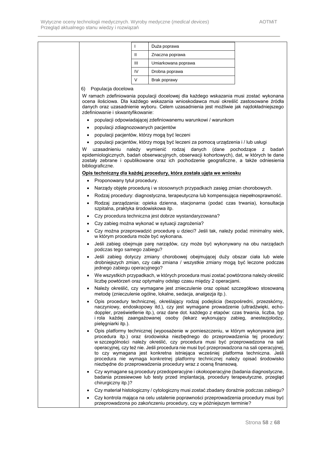|                  | $\mathbf{I}$                          | Duża poprawa                                                                                                                                                                                                                                                                                                                                                                                                                                                                                                                                                                              |                          |
|------------------|---------------------------------------|-------------------------------------------------------------------------------------------------------------------------------------------------------------------------------------------------------------------------------------------------------------------------------------------------------------------------------------------------------------------------------------------------------------------------------------------------------------------------------------------------------------------------------------------------------------------------------------------|--------------------------|
|                  | $\mathbf{II}$                         | Znaczna poprawa                                                                                                                                                                                                                                                                                                                                                                                                                                                                                                                                                                           |                          |
|                  | Ш                                     | Umiarkowana poprawa                                                                                                                                                                                                                                                                                                                                                                                                                                                                                                                                                                       |                          |
|                  | IV                                    | Drobna poprawa                                                                                                                                                                                                                                                                                                                                                                                                                                                                                                                                                                            |                          |
|                  | V                                     | Brak poprawy                                                                                                                                                                                                                                                                                                                                                                                                                                                                                                                                                                              |                          |
| 6)               | Populacja docelowa                    |                                                                                                                                                                                                                                                                                                                                                                                                                                                                                                                                                                                           |                          |
|                  | zdefiniowanie i skwantyfikowanie:     | W ramach zdefiniowania populacji docelowej dla każdego wskazania musi zostać wykonana<br>ocena ilościowa. Dla każdego wskazania wnioskodawca musi określić zastosowane źródła<br>danych oraz uzasadnienie wyboru. Celem uzasadnienia jest możliwie jak najdokładniejszego                                                                                                                                                                                                                                                                                                                 |                          |
| $\bullet$        |                                       | populacji odpowiadającej zdefiniowanemu warunkowi / warunkom                                                                                                                                                                                                                                                                                                                                                                                                                                                                                                                              |                          |
| $\bullet$        | populacji zdiagnozowanych pacjentów   |                                                                                                                                                                                                                                                                                                                                                                                                                                                                                                                                                                                           |                          |
| $\bullet$        |                                       | populacji pacjentów, którzy mogą być leczeni                                                                                                                                                                                                                                                                                                                                                                                                                                                                                                                                              |                          |
| $\bullet$<br>W   | uzasadnieniu<br>należy                | populacji pacjentów, którzy mogą być leczeni za pomocą urządzenia i / lub usługi<br>wymienić rodzaj danych<br>(dane                                                                                                                                                                                                                                                                                                                                                                                                                                                                       | pochodzace<br>badań<br>z |
| bibliograficzne. |                                       | epidemiologicznych, badań obserwacyjnych, obserwacji kohortowych), dat, w których te dane<br>zostały zebrane i opublikowane oraz ich pochodzenie geograficzne, a także odniesienia                                                                                                                                                                                                                                                                                                                                                                                                        |                          |
|                  |                                       | Opis techniczny dla każdej procedury, która została ujęta we wniosku                                                                                                                                                                                                                                                                                                                                                                                                                                                                                                                      |                          |
| $\bullet$        | Proponowany tytuł procedury.          |                                                                                                                                                                                                                                                                                                                                                                                                                                                                                                                                                                                           |                          |
| ٠                |                                       | Narządy objęte procedurą i w stosownych przypadkach zasięg zmian chorobowych.                                                                                                                                                                                                                                                                                                                                                                                                                                                                                                             |                          |
| $\bullet$        |                                       | Rodzaj procedury: diagnostyczna, terapeutyczna lub kompensująca niepełnosprawność.                                                                                                                                                                                                                                                                                                                                                                                                                                                                                                        |                          |
| $\bullet$        | szpitalna, praktyka środowiskowa itp. | Rodzaj zarządzania: opieka dzienna, stacjonarna (podać czas trwania), konsultacja                                                                                                                                                                                                                                                                                                                                                                                                                                                                                                         |                          |
| $\bullet$        |                                       | Czy procedura techniczna jest dobrze wystandaryzowana?                                                                                                                                                                                                                                                                                                                                                                                                                                                                                                                                    |                          |
| ٠                |                                       | Czy zabieg można wykonać w sytuacji zagrożenia?                                                                                                                                                                                                                                                                                                                                                                                                                                                                                                                                           |                          |
| $\bullet$        | w którym procedura może być wykonana. | Czy można przeprowadzić procedurę u dzieci? Jeśli tak, należy podać minimalny wiek,                                                                                                                                                                                                                                                                                                                                                                                                                                                                                                       |                          |
| $\bullet$        | podczas tego samego zabiegu?          | Jeśli zabieg obejmuje parę narządów, czy może być wykonywany na obu narządach                                                                                                                                                                                                                                                                                                                                                                                                                                                                                                             |                          |
|                  | jednego zabiegu operacyjnego?         | Jeśli zabieg dotyczy zmiany chorobowej obejmującej duży obszar ciała lub wiele<br>drobniejszych zmian, czy cała zmiana / wszystkie zmiany mogą być leczone podczas                                                                                                                                                                                                                                                                                                                                                                                                                        |                          |
| $\bullet$        |                                       | We wszystkich przypadkach, w których procedura musi zostać powtórzona należy określić<br>liczbę powtórzeń oraz optymalny odstęp czasu między 2 operacjami.                                                                                                                                                                                                                                                                                                                                                                                                                                |                          |
| $\bullet$        |                                       | Należy określić, czy wymagane jest znieczulenie oraz opisać szczegółowo stosowaną<br>metodę (znieczulenie ogólne, lokalne, sedacja, analgezja itp.).                                                                                                                                                                                                                                                                                                                                                                                                                                      |                          |
| $\bullet$        | pielęgniarki itp.).                   | Opis procedury technicznej, określający rodzaj podejścia (bezpośredni, przezskórny,<br>naczyniowy, endoskopowy itd.), czy jest wymagane prowadzenie (ultradźwięki, echo-<br>doppler, prześwietlenie itp.), oraz dane dot. każdego z etapów: czas trwania, liczba, typ<br>i rola każdej zaangażowanej osoby (lekarz wykonujący zabieg, anestezjolodzy,                                                                                                                                                                                                                                     |                          |
| $\bullet$        |                                       | Opis platformy technicznej (wyposażenie w pomieszczeniu, w którym wykonywana jest<br>procedura itp.) oraz środowiska niezbędnego do przeprowadzenia tej procedury:<br>w szczególności należy określić, czy procedura musi być przeprowadzona na sali<br>operacyjnej, czy też nie. Jeśli procedura nie musi być przeprowadzona na sali operacyjnej,<br>to czy wymagana jest konkretna istniejąca wcześniej platforma techniczna. Jeśli<br>procedura nie wymaga konkretnej platformy technicznej należy opisać środowisko<br>niezbędne do przeprowadzenia procedury wraz z oceną finansową. |                          |
| $\bullet$        | chirurgiczny itp.)?                   | Czy wymagane są procedury przedoperacyjne i okołooperacyjne (badania diagnostyczne,<br>badania przesiewowe lub testy przed implantacją, procedury terapeutyczne, przegląd                                                                                                                                                                                                                                                                                                                                                                                                                 |                          |
| $\bullet$        |                                       | Czy materiał histologiczny / cytologiczny musi zostać zbadany doraźnie podczas zabiegu?                                                                                                                                                                                                                                                                                                                                                                                                                                                                                                   |                          |
|                  |                                       | Czy kontrola mająca na celu ustalenie poprawności przeprowadzenia procedury musi być                                                                                                                                                                                                                                                                                                                                                                                                                                                                                                      |                          |

przeprowadzona po zakończeniu procedury, czy w późniejszym terminie?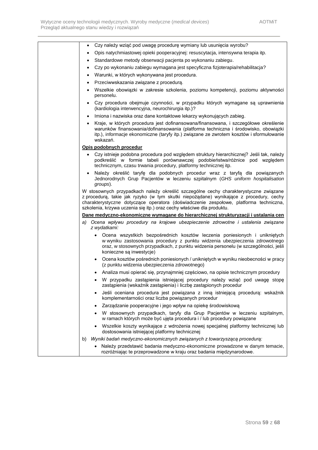| $\bullet$ | Czy należy wziąć pod uwagę procedurę wymiany lub usunięcia wyrobu?                                                                                                                                                                                                                                                                               |
|-----------|--------------------------------------------------------------------------------------------------------------------------------------------------------------------------------------------------------------------------------------------------------------------------------------------------------------------------------------------------|
|           | Opis natychmiastowej opieki pooperacyjnej: resuscytacja, intensywna terapia itp.                                                                                                                                                                                                                                                                 |
|           | · Standardowe metody obserwacji pacjenta po wykonaniu zabiegu.                                                                                                                                                                                                                                                                                   |
| $\bullet$ | Czy po wykonaniu zabiegu wymagana jest specyficzna fizjoterapia/rehabilitacja?                                                                                                                                                                                                                                                                   |
|           | Warunki, w których wykonywana jest procedura.                                                                                                                                                                                                                                                                                                    |
| $\bullet$ | Przeciwwskazania związane z procedurą.                                                                                                                                                                                                                                                                                                           |
|           | · Wszelkie obowiązki w zakresie szkolenia, poziomu kompetencji, poziomu aktywności<br>personelu.                                                                                                                                                                                                                                                 |
| $\bullet$ | Czy procedura obejmuje czynności, w przypadku których wymagane są uprawnienia<br>(kardiologia interwencyjna, neurochirurgia itp.)?                                                                                                                                                                                                               |
| $\bullet$ | Imiona i nazwiska oraz dane kontaktowe lekarzy wykonujących zabieg.                                                                                                                                                                                                                                                                              |
|           | • Kraje, w których procedura jest dofinansowana/finansowana, i szczegółowe określenie<br>warunków finansowania/dofinansowania (platforma techniczna i środowisko, obowiązki<br>itp.), informacje ekonomiczne (taryfy itp.) związane ze zwrotem kosztów i sformułowanie<br>wskazań.                                                               |
|           | Opis podobnych procedur                                                                                                                                                                                                                                                                                                                          |
|           | • Czy istnieje podobna procedura pod względem struktury hierarchicznej? Jeśli tak, należy<br>podkreślić w formie tabeli porównawczej podobieństwa/różnice pod względem<br>technicznym, czasu trwania procedury, platformy technicznej itp.                                                                                                       |
|           | · Należy określić taryfę dla podobnych procedur wraz z taryfą dla powiązanych<br>Jednorodnych Grup Pacjentów w leczeniu szpitalnym (GHS uniform hospitalisation<br>groups).                                                                                                                                                                      |
|           | W stosownych przypadkach należy określić szczególne cechy charakterystyczne związane<br>z procedurą, takie jak ryzyko (w tym skutki niepożądane) wynikające z procedury, cechy<br>charakterystyczne dotyczące operatora (doświadczenie zespołowe, platforma techniczna,<br>szkolenia, krzywa uczenia się itp.) oraz cechy właściwe dla produktu. |
|           | Dane medyczno-ekonomiczne wymagane do hierarchicznej strukturyzacji i ustalania cen                                                                                                                                                                                                                                                              |
|           | a) Ocena wpływu procedury na krajowe ubezpieczenie zdrowotne i ustalenia związane<br>z wydatkami:                                                                                                                                                                                                                                                |
|           | Ocena wszystkich bezpośrednich kosztów leczenia poniesionych i unikniętych<br>$\bullet$<br>w wyniku zastosowania procedury z punktu widzenia ubezpieczenia zdrowotnego<br>oraz, w stosownych przypadkach, z punktu widzenia personelu (w szczególności, jeśli<br>konieczne są inwestycje)                                                        |
|           | • Ocena kosztów pośrednich poniesionych / unikniętych w wyniku nieobecności w pracy<br>(z punktu widzenia ubezpieczenia zdrowotnego)                                                                                                                                                                                                             |
|           | · Analiza musi opierać się, przynajmniej częściowo, na opisie technicznym procedury                                                                                                                                                                                                                                                              |
| ٠         | W przypadku zastąpienia istniejącej procedury należy wziąć pod uwagę stopę<br>zastąpienia (wskaźnik zastąpienia) i liczbę zastąpionych procedur                                                                                                                                                                                                  |
| $\bullet$ | Jeśli oceniana procedura jest powiązana z inną istniejącą procedurą: wskaźnik<br>komplementarności oraz liczba powiązanych procedur                                                                                                                                                                                                              |
| $\bullet$ | Zarządzanie pooperacyjne i jego wpływ na opiekę środowiskową                                                                                                                                                                                                                                                                                     |
|           | · W stosownych przypadkach, taryfy dla Grup Pacjentów w leczeniu szpitalnym,<br>w ramach których może być ujęta procedura i / lub procedury powiązane                                                                                                                                                                                            |
|           | Wszelkie koszty wynikające z wdrożenia nowej specjalnej platformy technicznej lub<br>dostosowania istniejącej platformy technicznej                                                                                                                                                                                                              |
| b)        | Wyniki badań medyczno-ekonomicznych związanych z towarzyszącą procedurą:                                                                                                                                                                                                                                                                         |
|           | Należy przedstawić badania medyczno-ekonomiczne prowadzone w danym temacie,<br>rozróżniając te przeprowadzone w kraju oraz badania międzynarodowe.                                                                                                                                                                                               |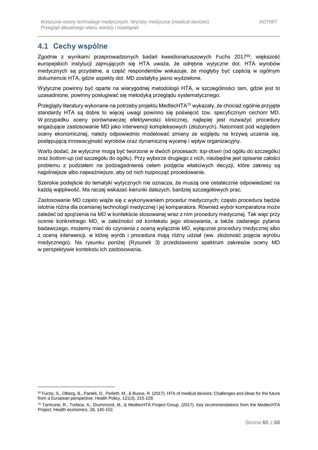## <span id="page-59-0"></span>**4.1 Cechy wspólne**

1

Zgodnie z wynikami przeprowadzonych badań kwestionariuszowych Fuchs 2017<sup>69</sup>, większość europejskich instytucji zajmujących się HTA uważa, że odrębne wytyczne dot. HTA wyrobów medycznych są przydatne, a część respondentów wskazuje, że mogłyby być częścią w ogólnym dokumencie HTA, gdzie aspekty dot. MD zostałyby jasno wydzielone.

Wytyczne powinny być oparte na wiarygodnej metodologii HTA, w szczególności tam, gdzie jest to uzasadnione, powinny posługiwać się metodyką przeglądu systematycznego.

Przeglądy literatury wykonane na potrzeby projektu MedtecHTA<sup>70</sup> wykazały, że chociaż ogólnie przyjęte standardy HTA są dobre to więcej uwagi powinno się poświęcić tzw. specyficznym cechom MD. W przypadku oceny porównawczej efektywności klinicznej, najlepiej jest rozważyć procedury angażujące zastosowanie MD jako interwencji kompleksowych (złożonych). Natomiast pod względem oceny ekonomicznej, należy odpowiednio modelować zmiany ze względu na krzywą uczenia się, postępującą innowacyjność wyrobów oraz dynamiczną wycenę i wpływ organizacyjny.

Warto dodać, że wytyczne mogą być tworzone w dwóch procesach: *top-down* (od ogółu do szczegółu) oraz *bottom-up* (od szczegółu do ogółu). Przy wyborze drugiego z nich, niezbędne jest opisanie całości problemu z podziałem na podzagadnienia celem podjęcia właściwych decyzji, które zakresy są najpilniejsze albo najważniejsze, aby od nich rozpocząć procedowanie.

Szerokie podejście do tematyki wytycznych nie oznacza, że muszą one ostatecznie odpowiedzieć na każdą wątpliwość. Ma raczej wskazać kierunki dalszych, bardziej szczegółowych prac.

Zastosowanie MD często wiąże się z wykonywaniem procedur medycznych; często procedura będzie istotnie różna dla ocenianej technologii medycznej i jej komparatora. Również wybór komparatora może zależeć od spojrzenia na MD w kontekście stosowanej wraz z nim procedury medycznej. Tak więc przy ocenie konkretnego MD, w zależności od kontekstu jego stosowania, a także zadanego pytania badawczego, możemy mieć do czynienia z oceną wyłącznie MD, wyłącznie procedury medycznej albo z oceną interwencji, w której wyrób i procedura mają różny udział (ww. złożoność pojęcia wyrobu medycznego). Na rysunku poniżej [\(Rysunek 3\)](#page-60-0) przedstawiono spektrum zakresów oceny MD w perspektywie kontekstu ich zastosowania.

<sup>69</sup> Fuchs, S., Olberg, B., Panteli, D., Perleth, M., & Busse, R. (2017). HTA of medical devices: Challenges and ideas for the future from a European perspective. Health Policy, 121(3), 215-229.

 $70$  Tarricone, R., Torbica, A., Drummond, M., & MedtecHTA Project Group. (2017). Key recommendations from the MedtecHTA Project. Health economics, 26, 145-152.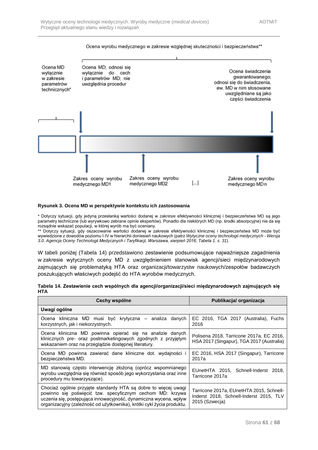

#### Ocena wyrobu medycznego w zakresie wzglednej skuteczności i bezpieczeństwa\*\*

#### <span id="page-60-0"></span>**Rysunek 3. Ocena MD w perspektywie kontekstu ich zastosowania**

\* Dotyczy sytuacji, gdy jedyną przesłanką wartości dodanej w zakresie efektywności klinicznej i bezpieczeństwa MD są jego parametry techniczne (lub wyrywkowo zebrane opinie ekspertów). Ponadto dla niektórych MD (np. środki absorpcyjne) nie da się rozsądnie wskazać populacji, w której wyrób ma być oceniany.<br>\*\* Dotvezy sytuacji, w której wyrób ma być oceniany.

Dotyczy sytuacji, gdy oszacowanie wartości dodanej w zakresie efektywności klinicznej i bezpieczeństwa MD może być wywiedzione z dowodów poziomu I-IV w hierarchii doniesień naukowych (patrz *Wytyczne oceny technologii medycznych - Wersja 3.0. Agencja Oceny Technologii Medycznych i Taryfikacji, Warszawa, sierpień 2016; Tabela 1. s. 31*).

W tabeli poniżej [\(Tabela 14\)](#page-60-1) przedstawiono zestawienie podsumowujące najważniejsze zagadnienia w zakresie wytycznych oceny MD z uwzględnieniem stanowisk agencji/sieci międzynarodowych zajmujących się problematyką HTA oraz organizacji/towarzystw naukowych/zespołów badawczych poszukujących właściwych podejść do HTA wyrobów medycznych.

<span id="page-60-1"></span>

|            |  |  | Tabela 14. Zestawienie cech wspólnych dla agencji/organizacji/sieci międzynarodowych zajmujących się |  |
|------------|--|--|------------------------------------------------------------------------------------------------------|--|
| <b>HTA</b> |  |  |                                                                                                      |  |

| Cechy wspólne                                                                                                                                                                                                                                                             | Publikacja/ organizacja                                                                               |
|---------------------------------------------------------------------------------------------------------------------------------------------------------------------------------------------------------------------------------------------------------------------------|-------------------------------------------------------------------------------------------------------|
| Uwagi ogólne                                                                                                                                                                                                                                                              |                                                                                                       |
| Ocena kliniczna MD musi być krytyczna – analiza danych<br>korzystnych, jak i niekorzystnych.                                                                                                                                                                              | EC 2016, TGA 2017 (Australia), Fuchs<br>2016                                                          |
| Ocena kliniczna MD powinna opierać się na analizie danych<br>klinicznych pre- oraz postmarketingowych zgodnych z przyjętym<br>wskazaniem oraz na przeglądzie dostępnej literatury.                                                                                        | Polisena 2018, Tarricone 2017a, EC 2016,<br>HSA 2017 (Singapur), TGA 2017 (Australia)                 |
| Ocena MD powinna zawierać dane kliniczne dot. wydajności i<br>bezpieczeństwa MD.                                                                                                                                                                                          | EC 2016, HSA 2017 (Singapur), Tarricone<br>2017a                                                      |
| MD stanowią często interwencję złożoną (oprócz wspomnianego<br>wyrobu uwzględnia się również sposób jego wykorzystania oraz inne<br>procedury mu towarzyszące).                                                                                                           | EUnetHTA 2015, Schnell-Inderst 2018,<br>Tarricone 2017a                                               |
| Chociaż ogólnie przyjęte standardy HTA są dobre to więcej uwagi<br>powinno się poświęcić tzw. specyficznym cechom MD: krzywa<br>uczenia się, postępująca innowacyjność, dynamiczna wycena, wpływ<br>organizacyjny (zależność od użytkownika), krótki cykl życia produktu. | Tarricone 2017a, EUnetHTA 2015, Schnell-<br>Inderst 2018, Schnell-Inderst 2015, TLV<br>2015 (Szwecja) |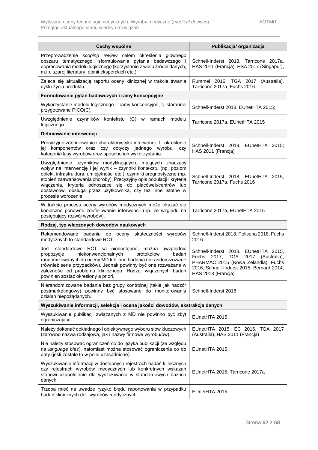| Cechy wspólne                                                                                                                                                                                                                                                                                                                                                                                                                         | Publikacja/ organizacja                                                                                                                                                                             |
|---------------------------------------------------------------------------------------------------------------------------------------------------------------------------------------------------------------------------------------------------------------------------------------------------------------------------------------------------------------------------------------------------------------------------------------|-----------------------------------------------------------------------------------------------------------------------------------------------------------------------------------------------------|
| Przeprowadzenie scoping review celem określenia głównego<br>obszaru tematycznego, sformułowania pytania badawczego i<br>dopracowania modelu logicznego (korzystanie z wielu źródeł danych,<br>m.in. szarej literatury, opinii eksperckich etc.).                                                                                                                                                                                      | Schnell-Inderst 2018, Tarricone 2017a,<br>HAS 2011 (Francja), HSA 2017 (Singapur),                                                                                                                  |
| Zaleca się aktualizację raportu oceny klinicznej w trakcie trwania<br>cyklu życia produktu.                                                                                                                                                                                                                                                                                                                                           | Rummel 2016, TGA 2017 (Australia),<br>Tarricone 2017a, Fuchs 2016                                                                                                                                   |
| Formułowanie pytań badawczych i ramy koncepcyjne                                                                                                                                                                                                                                                                                                                                                                                      |                                                                                                                                                                                                     |
| Wykorzystanie modelu logicznego – ramy koncepcyjne, tj. starannie<br>przygotowane PICO(C)                                                                                                                                                                                                                                                                                                                                             | Schnell-Inderst 2018, EUnetHTA 2015;                                                                                                                                                                |
| Uwzględnienie czynników kontekstu (C) w ramach modelu<br>logicznego.                                                                                                                                                                                                                                                                                                                                                                  | Tarricone 2017a, EUnetHTA 2015                                                                                                                                                                      |
| Definiowanie interwencji                                                                                                                                                                                                                                                                                                                                                                                                              |                                                                                                                                                                                                     |
| Precyzyjne zdefiniowanie i charakterystyka interwencji, tj. określenie<br>jej komponentów oraz czy dotyczy jednego wyrobu,<br>czy<br>kategorii/klasy wyrobów oraz sposobu ich wykorzystania.                                                                                                                                                                                                                                          | Schnell-Inderst 2018, EUnetHTA 2015;<br>HAS 2011 (Francja)                                                                                                                                          |
| Uwzględnienie czynników modyfikujących, mających znaczący<br>wpływ na interwencję i jej wynik – czynniki kontekstu (np. poziom<br>opieki, infrastruktura, umiejętności etc.), czynniki prognostyczne (np.<br>stopień zaawansowania choroby). Precyzyjny opis populacji i kryteria<br>włączenia, kryteria odnoszące się do placówek/centrów lub<br>dostawców, obsługa przez użytkownika, czy też inne istotne w<br>procesie wdrożenia. | Schnell-Inderst 2018, EUnetHTA 2015,<br>Tarricone 2017a, Fuchs 2016                                                                                                                                 |
| W trakcie procesu oceny wyrobów medycznych może okazać się<br>konieczne ponowne zdefiniowanie interwencji (np. ze względu na<br>postępujący rozwój wyrobów).                                                                                                                                                                                                                                                                          | Tarricone 2017a, EUnetHTA 2015                                                                                                                                                                      |
| Rodzaj, typ włączonych dowodów naukowych                                                                                                                                                                                                                                                                                                                                                                                              |                                                                                                                                                                                                     |
| Rekomendowane<br>badania do oceny skuteczności<br>wyrobów<br>medycznych to standardowe RCT.                                                                                                                                                                                                                                                                                                                                           | Schnell-Inderst 2018, Polisena 2018, Fuchs<br>2016                                                                                                                                                  |
| Jeśli standardowe RCT są niedostępne, można uwzględnić<br>niekonwencjonalnych<br>protokołów<br>badań<br>propozycje<br>randomizowanych do oceny MD lub inne badania nierandomizowane<br>(również serie przypadków). Jednak powinny być one rozważane w<br>zależności od problemu klinicznego. Rodzaj włączonych badań<br>powinien zostać określony a priori.                                                                           | Schnell-Inderst 2018, EUnetHTA 2015,<br><b>TGA</b><br>2017 (Australia),<br>Fuchs<br>2017.<br>PHARMAC 2015 (Nowa Zelandia), Fuchs<br>2016, Schnell-Inderst 2015, Bernard 2014,<br>HAS 2013 (Francja) |
| Nierandomizowane badania bez grupy kontrolnej (takie jak nadzór<br>postmarketingowy) powinny być stosowane do monitorowania<br>działań niepożądanych.                                                                                                                                                                                                                                                                                 | Schnell-Inderst 2018                                                                                                                                                                                |
| Wyszukiwanie informacji, selekcja i ocena jakości dowodów, ekstrakcja danych                                                                                                                                                                                                                                                                                                                                                          |                                                                                                                                                                                                     |
| Wyszukiwanie publikacji związanych z MD nie powinno być zbyt<br>ograniczające.                                                                                                                                                                                                                                                                                                                                                        | EUnetHTA 2015                                                                                                                                                                                       |
| Należy dokonać dokładnego i obiektywnego wyboru słów kluczowych<br>(zarówno nazwa rodzajowa, jak i nazwy firmowe wyrobu/ów).                                                                                                                                                                                                                                                                                                          | EUnetHTA 2015, EC 2016, TGA 2017<br>(Australia), HAS 2011 (Francja)                                                                                                                                 |
| Nie należy stosować ograniczeń co do języka publikacji (ze względu<br>na language bias), natomiast można stosować ograniczenia co do<br>daty (jeśli zostało to w pełni uzasadnione).                                                                                                                                                                                                                                                  | EUnetHTA 2015                                                                                                                                                                                       |
| Wyszukiwanie informacji w dostępnych rejestrach badań klinicznych<br>czy rejestrach wyrobów medycznych lub konkretnych wskazań<br>stanowi uzupełnienie dla wyszukiwania w standardowych bazach<br>danych.                                                                                                                                                                                                                             | EUnetHTA 2015, Tarricone 2017a                                                                                                                                                                      |
| Trzeba mieć na uwadze ryzyko błędu raportowania w przypadku<br>badań klinicznych dot. wyrobów medycznych.                                                                                                                                                                                                                                                                                                                             | EUnetHTA 2015                                                                                                                                                                                       |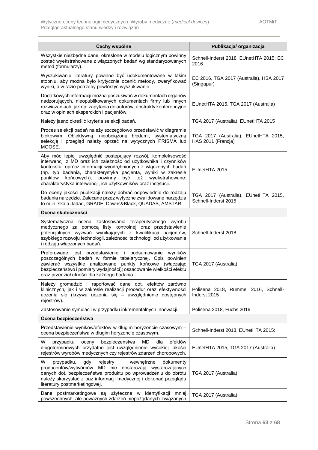| Cechy wspólne                                                                                                                                                                                                                                                                                                                                                                                         | Publikacja/organizacja                                       |
|-------------------------------------------------------------------------------------------------------------------------------------------------------------------------------------------------------------------------------------------------------------------------------------------------------------------------------------------------------------------------------------------------------|--------------------------------------------------------------|
| Wszystkie niezbędne dane, określone w modelu logicznym powinny<br>zostać wyekstrahowane z włączonych badań wg standaryzowanych<br>metod (formularzy).                                                                                                                                                                                                                                                 | Schnell-Inderst 2018, EUnetHTA 2015; EC<br>2016              |
| Wyszukiwanie literatury powinno być udokumentowane w takim<br>stopniu, aby można było krytycznie ocenić metody, zweryfikować<br>wyniki, a w razie potrzeby powtórzyć wyszukiwanie.                                                                                                                                                                                                                    | EC 2016, TGA 2017 (Australia), HSA 2017<br>(Singapur)        |
| Dodatkowych informacji można poszukiwać w dokumentach organów<br>nadzorujących, nieopublikowanych dokumentach firmy lub innych<br>rozwiązaniach, jak np. zapytania do autorów, abstrakty konferencyjne<br>oraz w opiniach eksperckich i pacjentów.                                                                                                                                                    | EUnetHTA 2015, TGA 2017 (Australia)                          |
| Należy jasno określić kryteria selekcji badań.                                                                                                                                                                                                                                                                                                                                                        | TGA 2017 (Australia), EUnetHTA 2015                          |
| Proces selekcji badań należy szczegółowo przedstawić w diagramie<br>blokowym. Obiektywną, nieobciążoną błędami, systematyczną<br>selekcję i przegląd należy oprzeć na wytycznych PRISMA lub<br>MOOSE.                                                                                                                                                                                                 | TGA 2017 (Australia), EUnetHTA 2015,<br>HAS 2011 (Francja)   |
| Aby móc lepiej uwzględnić postępujący rozwój, kompleksowość<br>interwencji z MD oraz ich zależność od użytkownika i czynników<br>kontekstu, oprócz informacji wyodrębnionych z włączonych badań<br>(np. typ badania, charakterystyka pacjenta, wyniki w zakresie<br>końcowych),<br>powinny<br>być też<br>wyekstrahowane:<br>punktów<br>charakterystyka interwencji, ich użytkowników oraz instytucji. | EUnetHTA 2015                                                |
| Do oceny jakości publikacji należy dobrać odpowiednie do rodzaju<br>badania narzędzie. Zalecane przez wytyczne zwalidowane narzędzia<br>to m.in. skala Jadad, GRADE, Downs&Black, QUADAS, AMSTAR.                                                                                                                                                                                                     | TGA 2017 (Australia), EUnetHTA 2015,<br>Schnell-Inderst 2015 |
| Ocena skuteczności                                                                                                                                                                                                                                                                                                                                                                                    |                                                              |
| Systematyczna ocena zastosowania terapeutycznego wyrobu<br>medycznego za pomocą listy kontrolnej oraz przedstawienie<br>potencjalnych wyzwań wynikających z kwalifikacji pacjentów,<br>szybkiego rozwoju technologii, zależności technologii od użytkowania<br>i rodzaju włączonych badań.                                                                                                            | Schnell-Inderst 2018                                         |
| Preferowane jest przedstawienie i podsumowanie<br>wyników<br>poszczególnych badań w formie tabelarycznej. Opis powinien<br>zawierać wszystkie analizowane punkty końcowe (włączając<br>bezpieczeństwo i pomiary wydajności); oszacowanie wielkości efektu<br>oraz przedział ufności dla każdego badania.                                                                                              | TGA 2017 (Australia)                                         |
| Należy gromadzić i raportować dane dot. efektów zarówno<br>klinicznych, jak i w zakresie realizacji procedur oraz efektywności<br>uczenia się (krzywa uczenia się – uwzględnienie dostępnych<br>rejestrów).                                                                                                                                                                                           | Polisena 2018, Rummel 2016, Schnell-<br>Inderst 2015         |
| Zastosowanie symulacji w przypadku inkrementalnych innowacji.                                                                                                                                                                                                                                                                                                                                         | Polisena 2018, Fuchs 2016                                    |
| Ocena bezpieczeństwa                                                                                                                                                                                                                                                                                                                                                                                  |                                                              |
| Przedstawienie wyników/efektów w długim horyzoncie czasowym -<br>ocena bezpieczeństwa w długim horyzoncie czasowym.                                                                                                                                                                                                                                                                                   | Schnell-Inderst 2018, EUnetHTA 2015;                         |
| W<br>przypadku<br>bezpieczeństwa<br>MD<br>efektów<br>oceny<br>dla<br>długoterminowych przydatne jest uwzględnienie wysokiej jakości<br>rejestrów wyrobów medycznych czy rejestrów zdarzeń chorobowych.                                                                                                                                                                                                | EUnetHTA 2015, TGA 2017 (Australia)                          |
| W<br>przypadku,<br>wewnętrzne<br>gdy<br>rejestry<br>j.<br>dokumenty<br>producentów/wytwórców MD nie dostarczają wystarczających<br>danych dot. bezpieczeństwa produktu po wprowadzeniu do obrotu<br>należy skorzystać z baz informacji medycznej i dokonać przeglądu<br>literatury postmarketingowej.                                                                                                 | TGA 2017 (Australia)                                         |
| Dane postmarketingowe są użyteczne w identyfikacji mniej<br>powszechnych, ale poważnych zdarzeń niepożądanych związanych                                                                                                                                                                                                                                                                              | TGA 2017 (Australia)                                         |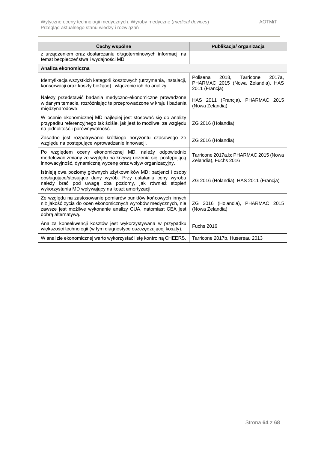<span id="page-63-0"></span>

| Cechy wspólne                                                                                                                                                                                                                                  | Publikacja/ organizacja                                                                         |
|------------------------------------------------------------------------------------------------------------------------------------------------------------------------------------------------------------------------------------------------|-------------------------------------------------------------------------------------------------|
| z urządzeniem oraz dostarczaniu długoterminowych informacji na<br>temat bezpieczeństwa i wydajności MD.                                                                                                                                        |                                                                                                 |
| Analiza ekonomiczna                                                                                                                                                                                                                            |                                                                                                 |
| Identyfikacja wszystkich kategorii kosztowych (utrzymania, instalacji,<br>konserwacji oraz koszty bieżące) i włączenie ich do analizy.                                                                                                         | 2018,<br>Polisena<br>Tarricone<br>2017a,<br>PHARMAC 2015 (Nowa Zelandia), HAS<br>2011 (Francia) |
| Należy przedstawić badania medyczno-ekonomiczne prowadzone<br>w danym temacie, rozróżniając te przeprowadzone w kraju i badania<br>międzynarodowe.                                                                                             | HAS 2011 (Francja), PHARMAC 2015<br>(Nowa Zelandia)                                             |
| W ocenie ekonomicznej MD najlepiej jest stosować się do analizy<br>przypadku referencyjnego tak ściśle, jak jest to możliwe, ze względu<br>na jednolitość i porównywalność.                                                                    | ZG 2016 (Holandia)                                                                              |
| Zasadne jest rozpatrywanie krótkiego horyzontu czasowego ze<br>względu na postępujące wprowadzanie innowacji.                                                                                                                                  | ZG 2016 (Holandia)                                                                              |
| Po względem oceny ekonomicznej MD, należy odpowiednio<br>modelować zmiany ze względu na krzywą uczenia się, postępującą<br>innowacyjność, dynamiczną wycenę oraz wpływ organizacyjny.                                                          | Tarricone 2017a,b; PHARMAC 2015 (Nowa<br>Zelandia), Fuchs 2016                                  |
| Istnieją dwa poziomy głównych użytkowników MD: pacjenci i osoby<br>obsługujące/stosujące dany wyrób. Przy ustalaniu ceny wyrobu<br>należy brać pod uwagę oba poziomy, jak również stopień<br>wykorzystania MD wpływający na koszt amortyzacji. | ZG 2016 (Holandia), HAS 2011 (Francja)                                                          |
| Ze względu na zastosowanie pomiarów punktów końcowych innych<br>niż jakość życia do ocen ekonomicznych wyrobów medycznych, nie<br>zawsze jest możliwe wykonanie analizy CUA, natomiast CEA jest<br>dobrą alternatywą.                          | ZG 2016 (Holandia), PHARMAC 2015<br>(Nowa Zelandia)                                             |
| Analiza konsekwencji kosztów jest wykorzystywana w przypadku<br>większości technologii (w tym diagnostyce oszczędzającej koszty).                                                                                                              | <b>Fuchs 2016</b>                                                                               |
| W analizie ekonomicznej warto wykorzystać listę kontrolną CHEERS.                                                                                                                                                                              | Tarricone 2017b, Husereau 2013                                                                  |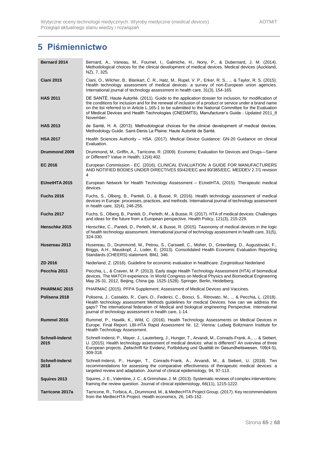# **5 Piśmiennictwo**

| <b>Bernard 2014</b>            | Bernard, A., Vaneau, M., Fournel, I., Galmiche, H., Nony, P., & Dubernard, J. M. (2014).<br>Methodological choices for the clinical development of medical devices. Medical devices (Auckland,<br>NZ), 7, 325.                                                                                                                                                                                                                            |
|--------------------------------|-------------------------------------------------------------------------------------------------------------------------------------------------------------------------------------------------------------------------------------------------------------------------------------------------------------------------------------------------------------------------------------------------------------------------------------------|
| <b>Ciani 2015</b>              | Ciani, O., Wilcher, B., Blankart, C. R., Hatz, M., Rupel, V. P., Erker, R. S.,  & Taylor, R. S. (2015).<br>Health technology assessment of medical devices: a survey of non-European union agencies.<br>International journal of technology assessment in health care, 31(3), 154-165.                                                                                                                                                    |
| <b>HAS 2011</b>                | DE SANTÉ, Haute Autorité. (2011). Guide to the application dossier for inclusion, for modification of<br>the conditions for inclusion and for the renewal of inclusion of a product or service under a brand name<br>on the list referred to in Article L.165-1 to be submitted to the National Committee for the Evaluation<br>of Medical Devices and Health Technologies (CNEDiMTS), Manufacturer's Guide - Updated 2011_8<br>November. |
| <b>HAS 2013</b>                | de Santé, H. A. (2013). Methodological choices for the clinical development of medical devices.<br>Methodology Guide. Saint-Denis La Plaine: Haute Autorité de Santé.                                                                                                                                                                                                                                                                     |
| <b>HSA 2017</b>                | Health Sciences Authority – HSA. (2017). Medical Device Guidance: GN-20 Guidance on clinical<br>Evaluation.                                                                                                                                                                                                                                                                                                                               |
| Drummond 2009                  | Drummond, M., Griffin, A., Tarricone, R. (2009). Economic Evaluation for Devices and Drugs—Same<br>or Different? Value in Health; 12(4):402.                                                                                                                                                                                                                                                                                              |
| EC 2016                        | European Commission - EC. (2016). CLINICAL EVALUATION: A GUIDE FOR MANUFACTURERS<br>AND NOTIFIED BODIES UNDER DIRECTIVES 93/42/EEC and 90/385/EEC. MEDDEV 2.7/1 revision<br>4                                                                                                                                                                                                                                                             |
| <b>EUnetHTA 2015</b>           | European Network for Health Technology Assessment - EUnetHTA, (2015). Therapeutic medical<br>devices.                                                                                                                                                                                                                                                                                                                                     |
| <b>Fuchs 2016</b>              | Fuchs, S., Olberg, B., Panteli, D., & Busse, R. (2016). Health technology assessment of medical<br>devices in Europe: processes, practices, and methods. International journal of technology assessment<br>in health care, 32(4), 246-255.                                                                                                                                                                                                |
| <b>Fuchs 2017</b>              | Fuchs, S., Olberg, B., Panteli, D., Perleth, M., & Busse, R. (2017). HTA of medical devices: Challenges<br>and ideas for the future from a European perspective. Health Policy, 121(3), 215-229.                                                                                                                                                                                                                                          |
| Henschke 2015                  | Henschke, C., Panteli, D., Perleth, M., & Busse, R. (2015). Taxonomy of medical devices in the logic<br>of health technology assessment. International journal of technology assessment in health care, 31(5),<br>324-330.                                                                                                                                                                                                                |
| Husereau 2013                  | Husereau, D., Drummond, M., Petrou, S., Carswell, C., Moher, D., Greenberg, D., Augustovski, F.,<br>Briggs, A.H., Mauskopf, J., Loder, E. (2013). Consolidated Health Economic Evaluation Reporting<br>Standards (CHEERS) statement. BMJ, 346.                                                                                                                                                                                            |
| ZD 2016                        | Nederland, Z. (2016). Guideline for economic evaluation in healthcare. Zorginstituut Nederland                                                                                                                                                                                                                                                                                                                                            |
| Pecchia 2013                   | Pecchia, L., & Craven, M. P. (2013). Early stage Health Technology Assessment (HTA) of biomedical<br>devices. The MATCH experience. In World Congress on Medical Physics and Biomedical Engineering<br>May 26-31, 2012, Beijing, China (pp. 1525-1528). Springer, Berlin, Heidelberg.                                                                                                                                                     |
| PHARMAC 2015                   | PHARMAC (2015). PFPA Supplement; Assessment of Medical Devices and Vaccines.                                                                                                                                                                                                                                                                                                                                                              |
| Polisena 2018                  | Polisena, J., Castaldo, R., Ciani, O., Federici, C., Borsci, S., Ritrovato, M.,  & Pecchia, L. (2018).<br>Health technology assessment Methods guidelines for medical Devices: how can we address the<br>gaps? The international federation of Medical and biological engineering Perspective. International<br>journal of technology assessment in health care, 1-14.                                                                    |
| Rummel 2016                    | Rummel, P., Hawlik, K., Wild, C. (2016). Health Technology Assessments on Medical Devices in<br>Europe. Final Report. LBI-HTA Rapid Assessment Nr. 12; Vienna: Ludwig Boltzmann Institute for<br>Health Technology Assessment.                                                                                                                                                                                                            |
| Schnell-Inderst<br>2015        | Schnell-Inderst, P., Mayer, J., Lauterberg, J., Hunger, T., Arvandi, M., Conrads-Frank, A.,  & Siebert,<br>U. (2015). Health technology assessment of medical devices: what is different? An overview of three<br>European projects. Zeitschrift für Evidenz, Fortbildung und Qualität im Gesundheitswesen, 109(4-5),<br>309-318.                                                                                                         |
| <b>Schnell-Inderst</b><br>2018 | Schnell-Inderst, P., Hunger, T., Conrads-Frank, A., Arvandi, M., & Siebert, U. (2018). Ten<br>recommendations for assessing the comparative effectiveness of therapeutic medical devices: a<br>targeted review and adaptation. Journal of clinical epidemiology, 94, 97-113.                                                                                                                                                              |
| Squires 2013                   | Squires, J. E., Valentine, J. C., & Grimshaw, J. M. (2013). Systematic reviews of complex interventions:<br>framing the review question. Journal of clinical epidemiology, 66(11), 1215-1222.                                                                                                                                                                                                                                             |
| Tarricone 2017a                | Tarricone, R., Torbica, A., Drummond, M., & MedtecHTA Project Group. (2017). Key recommendations<br>from the MedtecHTA Project. Health economics, 26, 145-152.                                                                                                                                                                                                                                                                            |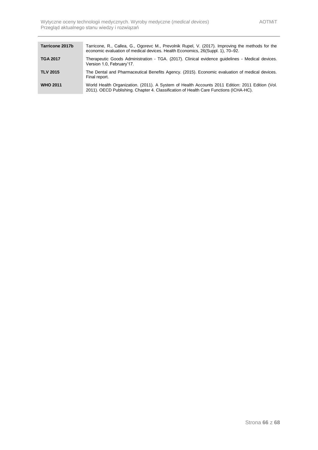<span id="page-65-0"></span>

| Tarricone 2017b | Tarricone, R., Callea, G., Ogorevc M., Prevolnik Rupel, V. (2017). Improving the methods for the<br>economic evaluation of medical devices. Health Economics, 26(Suppl. 1), 70–92.       |
|-----------------|------------------------------------------------------------------------------------------------------------------------------------------------------------------------------------------|
| <b>TGA 2017</b> | Therapeutic Goods Administration - TGA. (2017). Clinical evidence guidelines - Medical devices.<br>Version 1.0, February'17.                                                             |
| <b>TLV 2015</b> | The Dental and Pharmaceutical Benefits Agency. (2015). Economic evaluation of medical devices.<br>Final report.                                                                          |
| <b>WHO 2011</b> | World Health Organization. (2011). A System of Health Accounts 2011 Edition: 2011 Edition (Vol.<br>2011). OECD Publishing. Chapter 4. Classification of Health Care Functions (ICHA-HC). |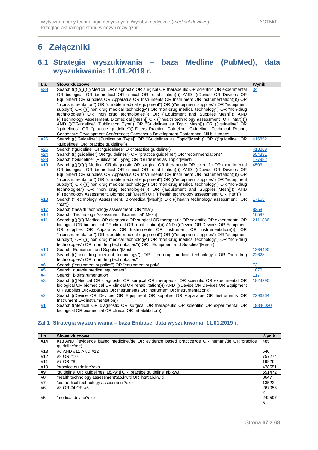# **6 Załączniki**

## <span id="page-66-0"></span>**6.1 Strategia wyszukiwania – baza Medline (PubMed), data wyszukiwania: 11.01.2019 r.**

| Lp.       | Słowa kluczowe                                                                                     | Wynik    |
|-----------|----------------------------------------------------------------------------------------------------|----------|
| #38       | Search (((((((((((((Medical OR diagnostic OR surgical OR therapeutic OR scientific OR experimental | 34       |
|           | OR biological OR biomedical OR clinical OR rehabilitation)))) AND (((Device OR Devices OR          |          |
|           | Equipment OR supplies OR Apparatus OR Instruments OR Instrument OR instrumentation))))) OR         |          |
|           | "bioinstrumentation") OR "durable medical equipment") OR (("equipment supplies") OR "equipment     |          |
|           | supply")) OR (((("non drug medical technology") OR "non-drug medical technology") OR "non-drug     |          |
|           | technologies") OR "non drug technologies")) OR ("Equipment and Supplies"[Mesh]))) AND              |          |
|           | (("Technology Assessment, Biomedical"[Mesh]) OR (("health technology assessment" OR "hta")))))     |          |
|           | AND (((("Guideline" [Publication Type]) OR "Guidelines as Topic"[Mesh])) OR (("guideline" OR       |          |
|           | "guidelines" OR "practice guideline"))) Filters: Practice Guideline; Guideline; Technical Report;  |          |
|           | Consensus Development Conference; Consensus Development Conference, NIH; Humans                    |          |
| #26       | Search ((("Guideline" [Publication Type]) OR "Guidelines as Topic"[Mesh])) OR (("guideline" OR     | 416852   |
|           | "guidelines" OR "practice guideline"))                                                             |          |
| #25       | Search ("guideline" OR "guidelines" OR "practice guideline")                                       | 413869   |
| #24       | Search ((("guideline") OR "guidelines") OR "practice guideline") OR "recommendations"              | 554381   |
| #23       | Search ("Guideline" [Publication Type]) OR "Guidelines as Topic"[Mesh]                             | 177982   |
| #19       | Search ((((((((((((Medical OR diagnostic OR surgical OR therapeutic OR scientific OR experimental  | 4503     |
|           | OR biological OR biomedical OR clinical OR rehabilitation)))) AND (((Device OR Devices OR          |          |
|           | Equipment OR supplies OR Apparatus OR Instruments OR Instrument OR instrumentation))))) OR         |          |
|           | "bioinstrumentation") OR "durable medical equipment") OR (("equipment supplies") OR "equipment     |          |
|           | supply")) OR (((("non drug medical technology") OR "non-drug medical technology") OR "non-drug     |          |
|           | technologies") OR "non drug technologies")) OR ("Equipment and Supplies"[Mesh]))) AND              |          |
|           | (("Technology Assessment, Biomedical"[Mesh]) OR (("health technology assessment" OR "hta")))       |          |
| #18       | Search ("Technology Assessment, Biomedical"[Mesh]) OR (("health technology assessment" OR          | 17155    |
|           | "hta"))                                                                                            |          |
| #17       | Search ("health technology assessment" OR "hta")                                                   | 8258     |
| #14       | Search "Technology Assessment, Biomedical"[Mesh]                                                   | 10587    |
| #11       | Search (((((((((Medical OR diagnostic OR surgical OR therapeutic OR scientific OR experimental OR  | 2111886  |
|           | biological OR biomedical OR clinical OR rehabilitation)))) AND (((Device OR Devices OR Equipment   |          |
|           | OR supplies OR Apparatus OR Instruments OR Instrument OR instrumentation)))) OR                    |          |
|           | "bioinstrumentation") OR "durable medical equipment") OR (("equipment supplies") OR "equipment     |          |
|           | supply")) OR (((("non drug medical technology") OR "non-drug medical technology") OR "non-drug     |          |
|           | technologies") OR "non drug technologies")) OR ("Equipment and Supplies"[Mesh])                    |          |
| #10       | Search "Equipment and Supplies"[Mesh]                                                              | 1364400  |
| <b>#Z</b> | Search ((("non drug medical technology") OR "non-drug medical technology") OR "non-drug            | 22628    |
|           | technologies") OR "non drug technologies"                                                          |          |
| #6        | Search ("equipment supplies") OR "equipment supply"                                                | 73       |
| #5        | Search "durable medical equipment"                                                                 | 1070     |
| #4        | Search "bioinstrumentation"                                                                        | 117      |
| #3        | Search ((((Medical OR diagnostic OR surgical OR therapeutic OR scientific OR experimental OR       | 1824290  |
|           | biological OR biomedical OR clinical OR rehabilitation)))) AND (((Device OR Devices OR Equipment   |          |
|           | OR supplies OR Apparatus OR Instruments OR Instrument OR instrumentation)))                        |          |
| #2        | Search ((Device OR Devices OR Equipment OR supplies OR Apparatus OR Instruments OR                 | 2296964  |
|           | Instrument OR instrumentation))                                                                    |          |
| #1        | Search ((Medical OR diagnostic OR surgical OR therapeutic OR scientific OR experimental OR         | 19846020 |
|           | biological OR biomedical OR clinical OR rehabilitation))                                           |          |

### **Zal 1 Strategia wyszukiwania – baza Embase, data wyszukiwania: 11.01.2019 r.**

| Lp. | Słowa kluczowe                                                                                   | Wynik  |
|-----|--------------------------------------------------------------------------------------------------|--------|
| #14 | #13 AND ('evidence based medicine'/de OR 'evidence based practice'/de OR 'human'/de OR 'practice | 485    |
|     | quideline'/de)                                                                                   |        |
| #13 | #6 AND #11 AND #12                                                                               | 540    |
| #12 | #9 OR #10                                                                                        | 757274 |
| #11 | #7 OR #8                                                                                         | 19926  |
| #10 | 'practice quideline'/exp                                                                         | 478551 |
| #9  | 'guideline' OR 'guidelines':ab, kw, ti OR 'practice guideline':ab, kw, ti                        | 651472 |
| #8  | 'health technology assessment':ab.kw.ti OR 'hta':ab.kw.ti                                        | 8647   |
| #7  | 'biomedical technology assessment'/exp                                                           | 13522  |
| #6  | #3 OR #4 OR #5                                                                                   | 267053 |
|     |                                                                                                  |        |
| #5  | 'medical device'/exp                                                                             | 242597 |
|     |                                                                                                  | 5      |